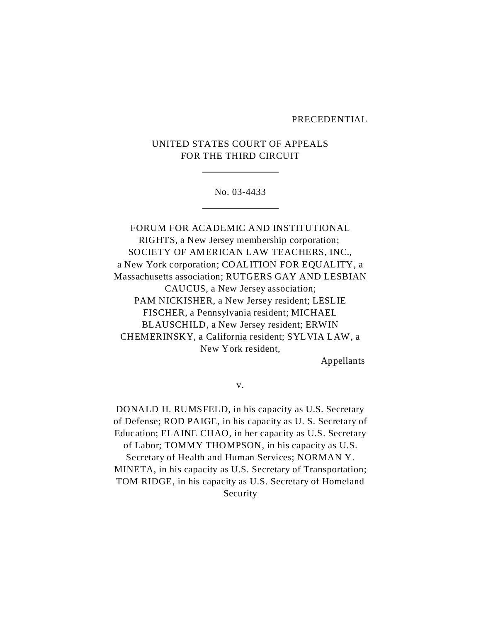#### PRECEDENTIAL

# UNITED STATES COURT OF APPEALS FOR THE THIRD CIRCUIT

l,

 $\overline{a}$ 

#### No. 03-4433

FORUM FOR ACADEMIC AND INSTITUTIONAL RIGHTS, a New Jersey membership corporation; SOCIETY OF AMERICAN LAW TEACHERS, INC., a New York corporation; COALITION FOR EQUALITY, a Massachusetts association; RUTGERS GAY AND LESBIAN CAUCUS, a New Jersey association; PAM NICKISHER, a New Jersey resident; LESLIE FISCHER, a Pennsylvania resident; MICHAEL BLAUSCHILD, a New Jersey resident; ERWIN CHEMERINSKY, a California resident; SYLVIA LAW, a New York resident,

Appellants

v.

DONALD H. RUMSFELD, in his capacity as U.S. Secretary of Defense; ROD PAIGE, in his capacity as U. S. Secretary of Education; ELAINE CHAO, in her capacity as U.S. Secretary of Labor; TOMMY THOMPSON, in his capacity as U.S. Secretary of Health and Human Services; NORMAN Y. MINETA, in his capacity as U.S. Secretary of Transportation; TOM RIDGE, in his capacity as U.S. Secretary of Homeland Security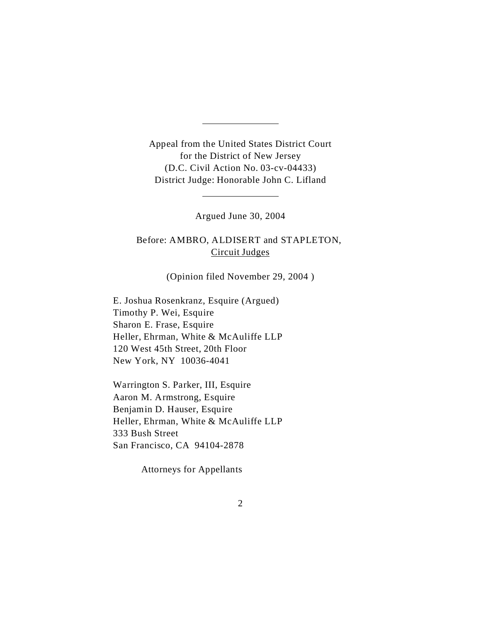Appeal from the United States District Court for the District of New Jersey (D.C. Civil Action No. 03-cv-04433) District Judge: Honorable John C. Lifland

l,

l,

Argued June 30, 2004

Before: AMBRO, ALDISERT and STAPLETON, Circuit Judges

(Opinion filed November 29, 2004 )

E. Joshua Rosenkranz, Esquire (Argued) Timothy P. Wei, Esquire Sharon E. Frase, Esquire Heller, Ehrman, White & McAuliffe LLP 120 West 45th Street, 20th Floor New York, NY 10036-4041

Warrington S. Parker, III, Esquire Aaron M. Armstrong, Esquire Benjamin D. Hauser, Esquire Heller, Ehrman, White & McAuliffe LLP 333 Bush Street San Francisco, CA 94104-2878

Attorneys for Appellants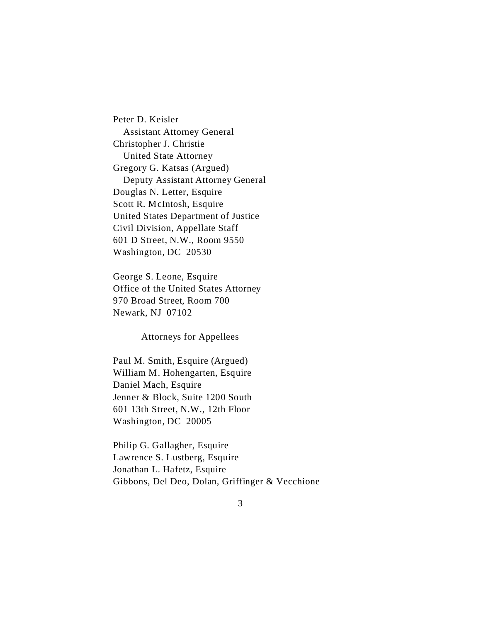Peter D. Keisler Assistant Attorney General Christopher J. Christie United State Attorney Gregory G. Katsas (Argued) Deputy Assistant Attorney General Douglas N. Letter, Esquire Scott R. McIntosh, Esquire United States Department of Justice Civil Division, Appellate Staff 601 D Street, N.W., Room 9550 Washington, DC 20530

George S. Leone, Esquire Office of the United States Attorney 970 Broad Street, Room 700 Newark, NJ 07102

Attorneys for Appellees

Paul M. Smith, Esquire (Argued) William M. Hohengarten, Esquire Daniel Mach, Esquire Jenner & Block, Suite 1200 South 601 13th Street, N.W., 12th Floor Washington, DC 20005

Philip G. Gallagher, Esquire Lawrence S. Lustberg, Esquire Jonathan L. Hafetz, Esquire Gibbons, Del Deo, Dolan, Griffinger & Vecchione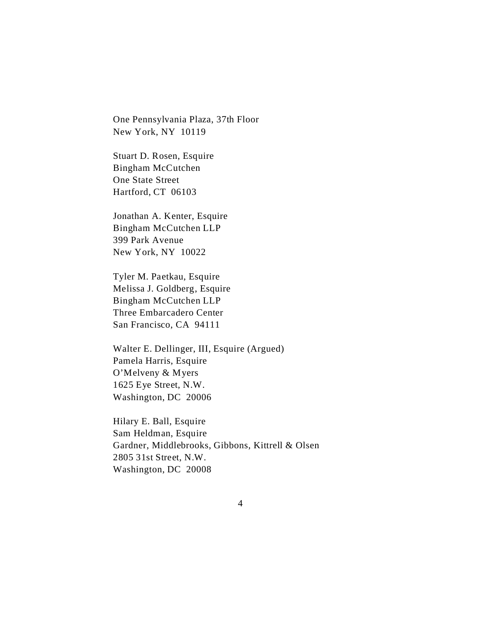One Pennsylvania Plaza, 37th Floor New York, NY 10119

Stuart D. Rosen, Esquire Bingham McCutchen One State Street Hartford, CT 06103

Jonathan A. Kenter, Esquire Bingham McCutchen LLP 399 Park Avenue New York, NY 10022

Tyler M. Paetkau, Esquire Melissa J. Goldberg, Esquire Bingham McCutchen LLP Three Embarcadero Center San Francisco, CA 94111

Walter E. Dellinger, III, Esquire (Argued) Pamela Harris, Esquire O'Melveny & Myers 1625 Eye Street, N.W. Washington, DC 20006

Hilary E. Ball, Esquire Sam Heldman, Esquire Gardner, Middlebrooks, Gibbons, Kittrell & Olsen 2805 31st Street, N.W. Washington, DC 20008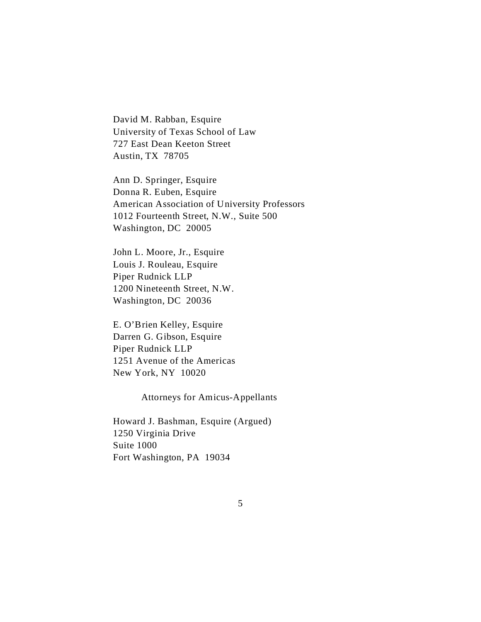David M. Rabban, Esquire University of Texas School of Law 727 East Dean Keeton Street Austin, TX 78705

Ann D. Springer, Esquire Donna R. Euben, Esquire American Association of University Professors 1012 Fourteenth Street, N.W., Suite 500 Washington, DC 20005

John L. Moore, Jr., Esquire Louis J. Rouleau, Esquire Piper Rudnick LLP 1200 Nineteenth Street, N.W. Washington, DC 20036

E. O'Brien Kelley, Esquire Darren G. Gibson, Esquire Piper Rudnick LLP 1251 Avenue of the Americas New York, NY 10020

Attorneys for Amicus-Appellants

Howard J. Bashman, Esquire (Argued) 1250 Virginia Drive Suite 1000 Fort Washington, PA 19034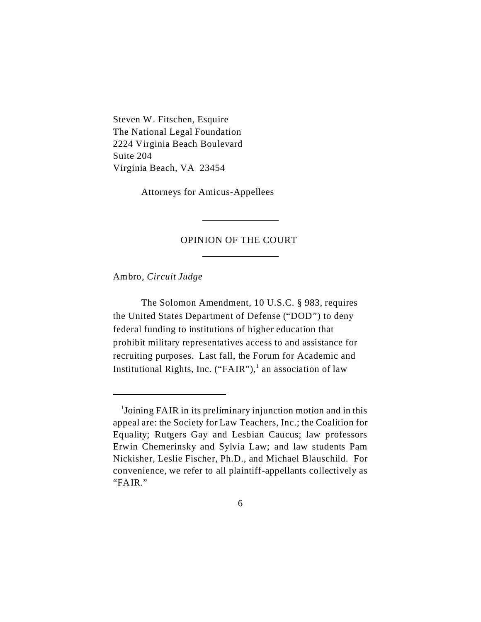Steven W. Fitschen, Esquire The National Legal Foundation 2224 Virginia Beach Boulevard Suite 204 Virginia Beach, VA 23454

Attorneys for Amicus-Appellees

 $\overline{a}$ 

 $\overline{a}$ 

## OPINION OF THE COURT

Ambro, *Circuit Judge*

The Solomon Amendment, 10 U.S.C. § 983, requires the United States Department of Defense ("DOD") to deny federal funding to institutions of higher education that prohibit military representatives access to and assistance for recruiting purposes. Last fall, the Forum for Academic and Institutional Rights, Inc. ("FAIR"),<sup>1</sup> an association of law

<sup>&</sup>lt;sup>1</sup>Joining FAIR in its preliminary injunction motion and in this appeal are: the Society for Law Teachers, Inc.; the Coalition for Equality; Rutgers Gay and Lesbian Caucus; law professors Erwin Chemerinsky and Sylvia Law; and law students Pam Nickisher, Leslie Fischer, Ph.D., and Michael Blauschild. For convenience, we refer to all plaintiff-appellants collectively as "FAIR."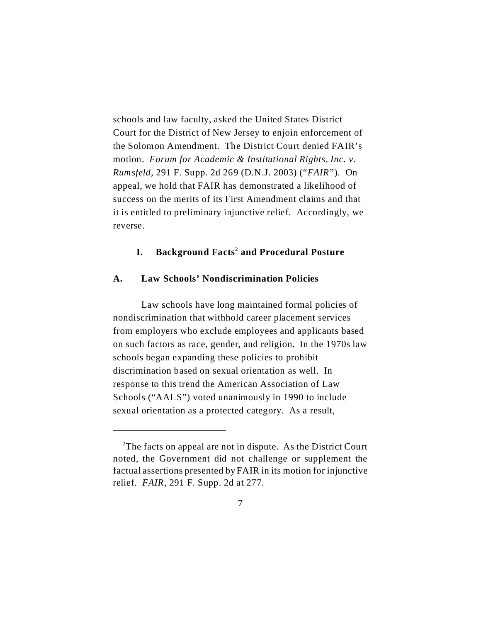schools and law faculty, asked the United States District Court for the District of New Jersey to enjoin enforcement of the Solomon Amendment. The District Court denied FAIR's motion. *Forum for Academic & Institutional Rights, Inc. v. Rumsfeld*, 291 F. Supp. 2d 269 (D.N.J. 2003) ("*FAIR*"). On appeal, we hold that FAIR has demonstrated a likelihood of success on the merits of its First Amendment claims and that it is entitled to preliminary injunctive relief. Accordingly, we reverse.

## **I. Background Facts**<sup>2</sup>  **and Procedural Posture**

#### **A. Law Schools' Nondiscrimination Policies**

Law schools have long maintained formal policies of nondiscrimination that withhold career placement services from employers who exclude employees and applicants based on such factors as race, gender, and religion. In the 1970s law schools began expanding these policies to prohibit discrimination based on sexual orientation as well. In response to this trend the American Association of Law Schools ("AALS") voted unanimously in 1990 to include sexual orientation as a protected category. As a result,

<sup>&</sup>lt;sup>2</sup>The facts on appeal are not in dispute. As the District Court noted, the Government did not challenge or supplement the factual assertions presented by FAIR in its motion for injunctive relief. *FAIR*, 291 F. Supp. 2d at 277.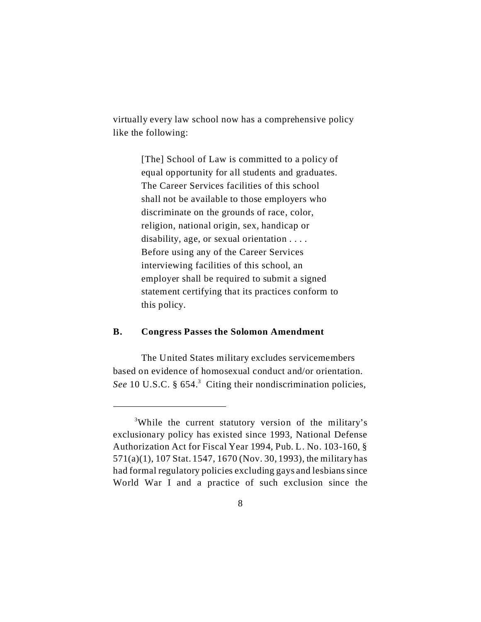virtually every law school now has a comprehensive policy like the following:

> [The] School of Law is committed to a policy of equal opportunity for all students and graduates. The Career Services facilities of this school shall not be available to those employers who discriminate on the grounds of race, color, religion, national origin, sex, handicap or disability, age, or sexual orientation . . . . Before using any of the Career Services interviewing facilities of this school, an employer shall be required to submit a signed statement certifying that its practices conform to this policy.

## **B. Congress Passes the Solomon Amendment**

The United States military excludes servicemembers based on evidence of homosexual conduct and/or orientation. See 10 U.S.C. § 654.<sup>3</sup> Citing their nondiscrimination policies,

<sup>3</sup>While the current statutory version of the military's exclusionary policy has existed since 1993, National Defense Authorization Act for Fiscal Year 1994, Pub. L. No. 103-160, § 571(a)(1), 107 Stat. 1547, 1670 (Nov. 30, 1993), the military has had formal regulatory policies excluding gays and lesbians since World War I and a practice of such exclusion since the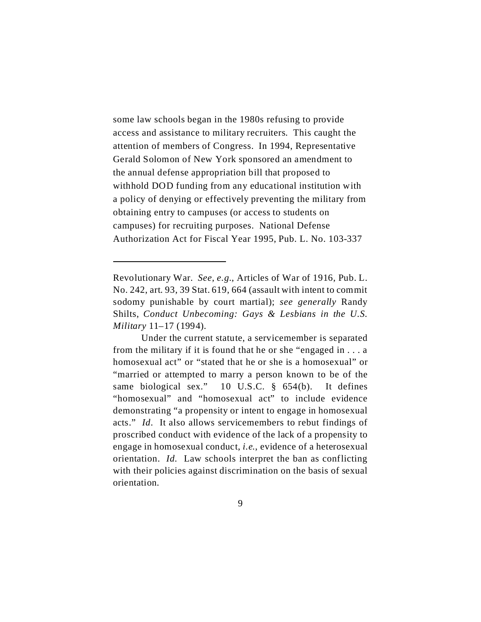some law schools began in the 1980s refusing to provide access and assistance to military recruiters. This caught the attention of members of Congress. In 1994, Representative Gerald Solomon of New York sponsored an amendment to the annual defense appropriation bill that proposed to withhold DOD funding from any educational institution with a policy of denying or effectively preventing the military from obtaining entry to campuses (or access to students on campuses) for recruiting purposes. National Defense Authorization Act for Fiscal Year 1995, Pub. L. No. 103-337

Revolutionary War. *See*, *e.g.*, Articles of War of 1916, Pub. L. No. 242, art. 93, 39 Stat. 619, 664 (assault with intent to commit sodomy punishable by court martial); *see generally* Randy Shilts, *Conduct Unbecoming: Gays & Lesbians in the U.S. Military* 11–17 (1994).

Under the current statute, a servicemember is separated from the military if it is found that he or she "engaged in . . . a homosexual act" or "stated that he or she is a homosexual" or "married or attempted to marry a person known to be of the same biological sex." 10 U.S.C. § 654(b). It defines "homosexual" and "homosexual act" to include evidence demonstrating "a propensity or intent to engage in homosexual acts." *Id*. It also allows servicemembers to rebut findings of proscribed conduct with evidence of the lack of a propensity to engage in homosexual conduct, *i.e.*, evidence of a heterosexual orientation. *Id.* Law schools interpret the ban as conflicting with their policies against discrimination on the basis of sexual orientation.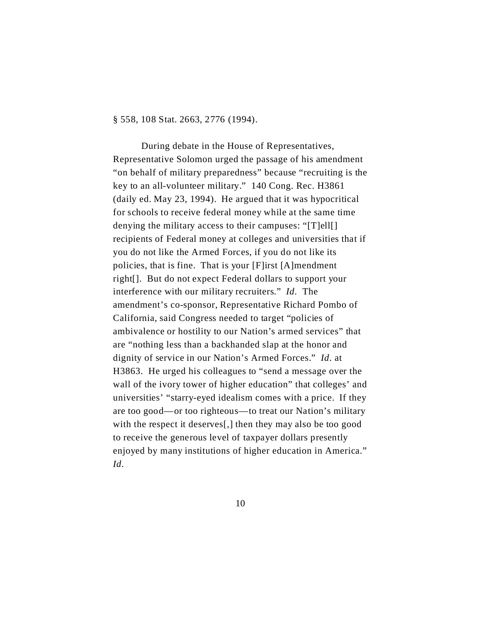§ 558, 108 Stat. 2663, 2776 (1994).

During debate in the House of Representatives, Representative Solomon urged the passage of his amendment "on behalf of military preparedness" because "recruiting is the key to an all-volunteer military." 140 Cong. Rec. H3861 (daily ed. May 23, 1994). He argued that it was hypocritical for schools to receive federal money while at the same time denying the military access to their campuses: "[T]ell[] recipients of Federal money at colleges and universities that if you do not like the Armed Forces, if you do not like its policies, that is fine. That is your [F]irst [A]mendment right[]. But do not expect Federal dollars to support your interference with our military recruiters." *Id*. The amendment's co-sponsor, Representative Richard Pombo of California, said Congress needed to target "policies of ambivalence or hostility to our Nation's armed services" that are "nothing less than a backhanded slap at the honor and dignity of service in our Nation's Armed Forces." *Id*. at H3863. He urged his colleagues to "send a message over the wall of the ivory tower of higher education" that colleges' and universities' "starry-eyed idealism comes with a price. If they are too good—or too righteous—to treat our Nation's military with the respect it deserves[,] then they may also be too good to receive the generous level of taxpayer dollars presently enjoyed by many institutions of higher education in America." *Id*.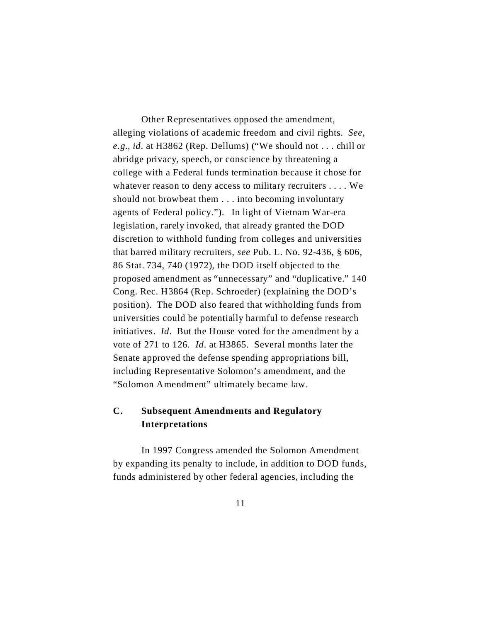Other Representatives opposed the amendment, alleging violations of academic freedom and civil rights. *See, e.g.*, *id*. at H3862 (Rep. Dellums) ("We should not . . . chill or abridge privacy, speech, or conscience by threatening a college with a Federal funds termination because it chose for whatever reason to deny access to military recruiters . . . . We should not browbeat them . . . into becoming involuntary agents of Federal policy."). In light of Vietnam War-era legislation, rarely invoked, that already granted the DOD discretion to withhold funding from colleges and universities that barred military recruiters, *see* Pub. L. No. 92-436, § 606, 86 Stat. 734, 740 (1972), the DOD itself objected to the proposed amendment as "unnecessary" and "duplicative." 140 Cong. Rec. H3864 (Rep. Schroeder) (explaining the DOD's position). The DOD also feared that withholding funds from universities could be potentially harmful to defense research initiatives. *Id*. But the House voted for the amendment by a vote of 271 to 126. *Id*. at H3865. Several months later the Senate approved the defense spending appropriations bill, including Representative Solomon's amendment, and the "Solomon Amendment" ultimately became law.

# **C. Subsequent Amendments and Regulatory Interpretations**

In 1997 Congress amended the Solomon Amendment by expanding its penalty to include, in addition to DOD funds, funds administered by other federal agencies, including the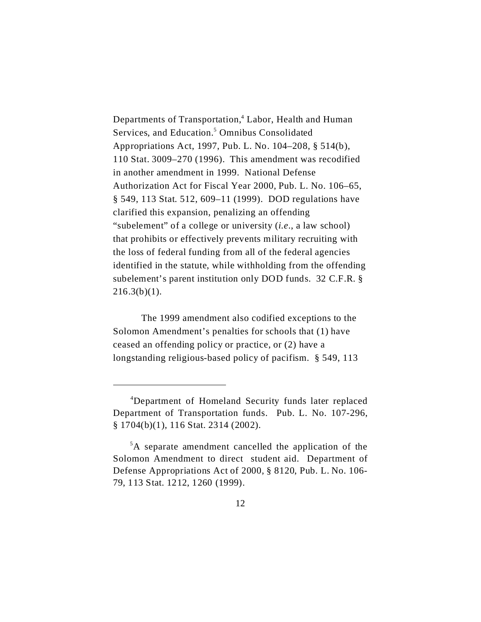Departments of Transportation,<sup>4</sup> Labor, Health and Human Services, and Education.<sup>5</sup> Omnibus Consolidated Appropriations Act, 1997, Pub. L. No. 104–208, § 514(b), 110 Stat. 3009–270 (1996). This amendment was recodified in another amendment in 1999. National Defense Authorization Act for Fiscal Year 2000, Pub. L. No. 106–65, § 549, 113 Stat. 512, 609–11 (1999). DOD regulations have clarified this expansion, penalizing an offending "subelement" of a college or university (*i.e*., a law school) that prohibits or effectively prevents military recruiting with the loss of federal funding from all of the federal agencies identified in the statute, while withholding from the offending subelement's parent institution only DOD funds. 32 C.F.R. §  $216.3(b)(1)$ .

The 1999 amendment also codified exceptions to the Solomon Amendment's penalties for schools that (1) have ceased an offending policy or practice, or (2) have a longstanding religious-based policy of pacifism. § 549, 113

<sup>4</sup>Department of Homeland Security funds later replaced Department of Transportation funds. Pub. L. No. 107-296, § 1704(b)(1), 116 Stat. 2314 (2002).

<sup>5</sup>A separate amendment cancelled the application of the Solomon Amendment to direct student aid. Department of Defense Appropriations Act of 2000, § 8120, Pub. L. No. 106- 79, 113 Stat. 1212, 1260 (1999).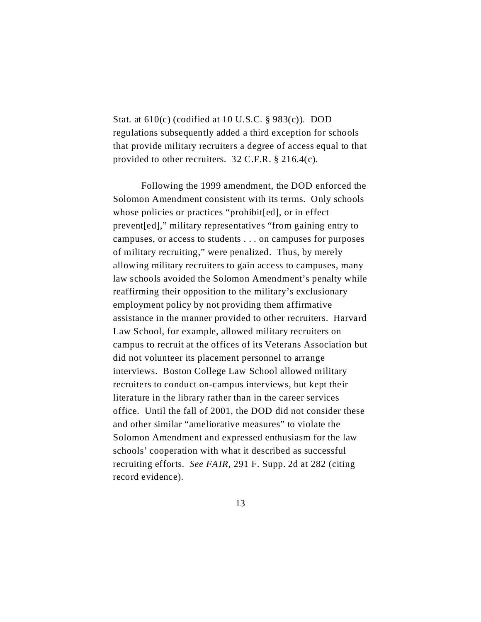Stat. at  $610(c)$  (codified at 10 U.S.C. § 983(c)). DOD regulations subsequently added a third exception for schools that provide military recruiters a degree of access equal to that provided to other recruiters. 32 C.F.R. § 216.4(c).

Following the 1999 amendment, the DOD enforced the Solomon Amendment consistent with its terms. Only schools whose policies or practices "prohibit[ed], or in effect prevent[ed]," military representatives "from gaining entry to campuses, or access to students . . . on campuses for purposes of military recruiting," were penalized. Thus, by merely allowing military recruiters to gain access to campuses, many law schools avoided the Solomon Amendment's penalty while reaffirming their opposition to the military's exclusionary employment policy by not providing them affirmative assistance in the manner provided to other recruiters. Harvard Law School, for example, allowed military recruiters on campus to recruit at the offices of its Veterans Association but did not volunteer its placement personnel to arrange interviews. Boston College Law School allowed military recruiters to conduct on-campus interviews, but kept their literature in the library rather than in the career services office. Until the fall of 2001, the DOD did not consider these and other similar "ameliorative measures" to violate the Solomon Amendment and expressed enthusiasm for the law schools' cooperation with what it described as successful recruiting efforts. *See FAIR*, 291 F. Supp. 2d at 282 (citing record evidence).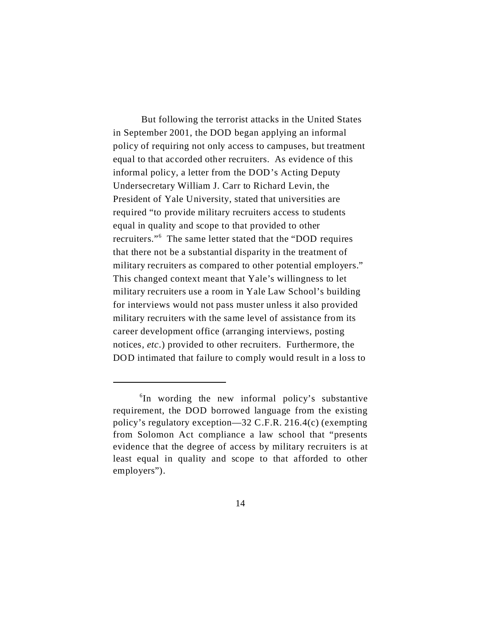But following the terrorist attacks in the United States in September 2001, the DOD began applying an informal policy of requiring not only access to campuses, but treatment equal to that accorded other recruiters. As evidence of this informal policy, a letter from the DOD's Acting Deputy Undersecretary William J. Carr to Richard Levin, the President of Yale University, stated that universities are required "to provide military recruiters access to students equal in quality and scope to that provided to other recruiters."<sup>6</sup> The same letter stated that the "DOD requires that there not be a substantial disparity in the treatment of military recruiters as compared to other potential employers." This changed context meant that Yale's willingness to let military recruiters use a room in Yale Law School's building for interviews would not pass muster unless it also provided military recruiters with the same level of assistance from its career development office (arranging interviews, posting notices, *etc*.) provided to other recruiters. Furthermore, the DOD intimated that failure to comply would result in a loss to

<sup>6</sup> In wording the new informal policy's substantive requirement, the DOD borrowed language from the existing policy's regulatory exception—32 C.F.R. 216.4(c) (exempting from Solomon Act compliance a law school that "presents evidence that the degree of access by military recruiters is at least equal in quality and scope to that afforded to other employers").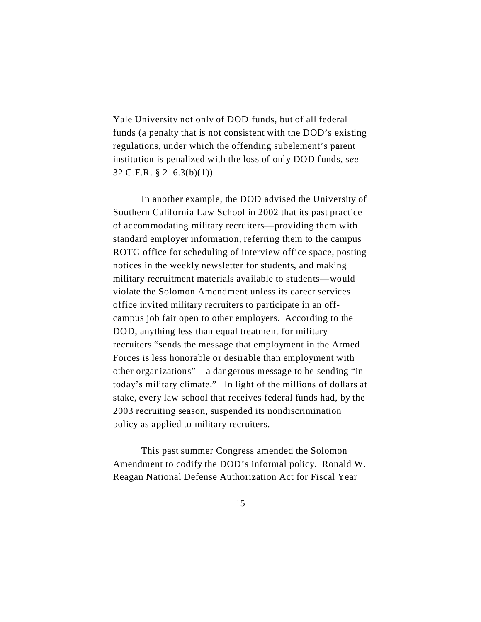Yale University not only of DOD funds, but of all federal funds (a penalty that is not consistent with the DOD's existing regulations, under which the offending subelement's parent institution is penalized with the loss of only DOD funds, *see* 32 C.F.R. § 216.3(b)(1)).

In another example, the DOD advised the University of Southern California Law School in 2002 that its past practice of accommodating military recruiters—providing them with standard employer information, referring them to the campus ROTC office for scheduling of interview office space, posting notices in the weekly newsletter for students, and making military recruitment materials available to students—would violate the Solomon Amendment unless its career services office invited military recruiters to participate in an offcampus job fair open to other employers. According to the DOD, anything less than equal treatment for military recruiters "sends the message that employment in the Armed Forces is less honorable or desirable than employment with other organizations"—a dangerous message to be sending "in today's military climate." In light of the millions of dollars at stake, every law school that receives federal funds had, by the 2003 recruiting season, suspended its nondiscrimination policy as applied to military recruiters.

This past summer Congress amended the Solomon Amendment to codify the DOD's informal policy. Ronald W. Reagan National Defense Authorization Act for Fiscal Year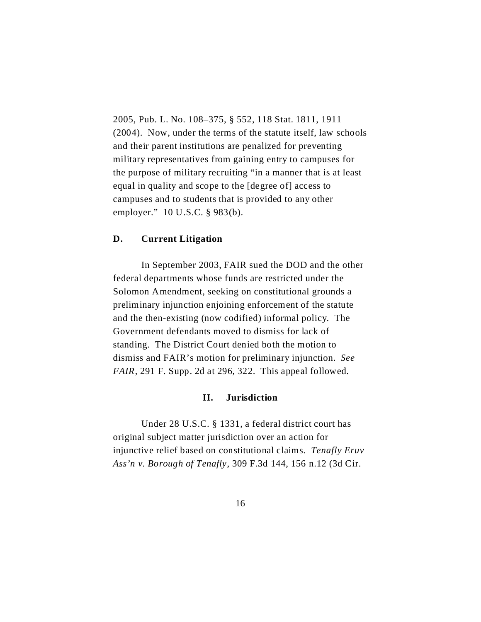2005, Pub. L. No. 108–375, § 552, 118 Stat. 1811, 1911 (2004). Now, under the terms of the statute itself, law schools and their parent institutions are penalized for preventing military representatives from gaining entry to campuses for the purpose of military recruiting "in a manner that is at least equal in quality and scope to the [degree of] access to campuses and to students that is provided to any other employer." 10 U.S.C. § 983(b).

## **D. Current Litigation**

In September 2003, FAIR sued the DOD and the other federal departments whose funds are restricted under the Solomon Amendment, seeking on constitutional grounds a preliminary injunction enjoining enforcement of the statute and the then-existing (now codified) informal policy. The Government defendants moved to dismiss for lack of standing. The District Court denied both the motion to dismiss and FAIR's motion for preliminary injunction. *See FAIR*, 291 F. Supp. 2d at 296, 322. This appeal followed.

## **II. Jurisdiction**

Under 28 U.S.C. § 1331, a federal district court has original subject matter jurisdiction over an action for injunctive relief based on constitutional claims. *Tenafly Eruv Ass'n v. Borough of Tenafly*, 309 F.3d 144, 156 n.12 (3d Cir.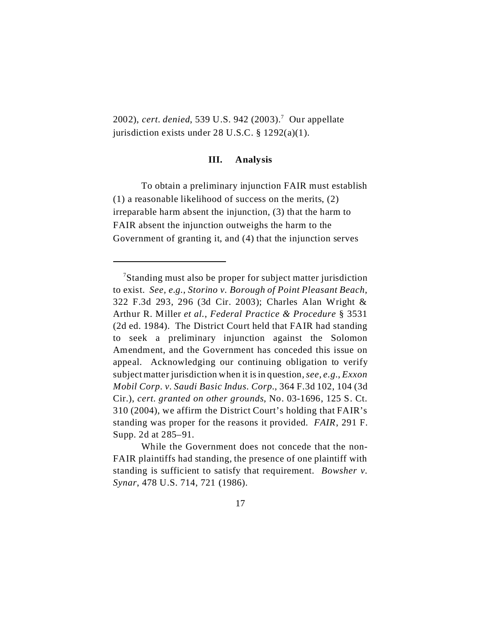2002), *cert. denied*, 539 U.S. 942 (2003).<sup>7</sup> Our appellate jurisdiction exists under 28 U.S.C. § 1292(a)(1).

### **III. Analysis**

To obtain a preliminary injunction FAIR must establish (1) a reasonable likelihood of success on the merits, (2) irreparable harm absent the injunction, (3) that the harm to FAIR absent the injunction outweighs the harm to the Government of granting it, and (4) that the injunction serves

<sup>&</sup>lt;sup>7</sup>Standing must also be proper for subject matter jurisdiction to exist. *See, e.g.*, *Storino v. Borough of Point Pleasant Beach*, 322 F.3d 293, 296 (3d Cir. 2003); Charles Alan Wright & Arthur R. Miller *et al.*, *Federal Practice & Procedure* § 3531 (2d ed. 1984). The District Court held that FAIR had standing to seek a preliminary injunction against the Solomon Amendment, and the Government has conceded this issue on appeal. Acknowledging our continuing obligation to verify subject matter jurisdiction when it is in question, *see, e.g.*, *Exxon Mobil Corp. v. Saudi Basic Indus. Corp.*, 364 F.3d 102, 104 (3d Cir.), *cert. granted on other grounds*, No. 03-1696, 125 S. Ct. 310 (2004), we affirm the District Court's holding that FAIR's standing was proper for the reasons it provided. *FAIR*, 291 F. Supp. 2d at 285–91.

While the Government does not concede that the non-FAIR plaintiffs had standing, the presence of one plaintiff with standing is sufficient to satisfy that requirement. *Bowsher v. Synar*, 478 U.S. 714, 721 (1986).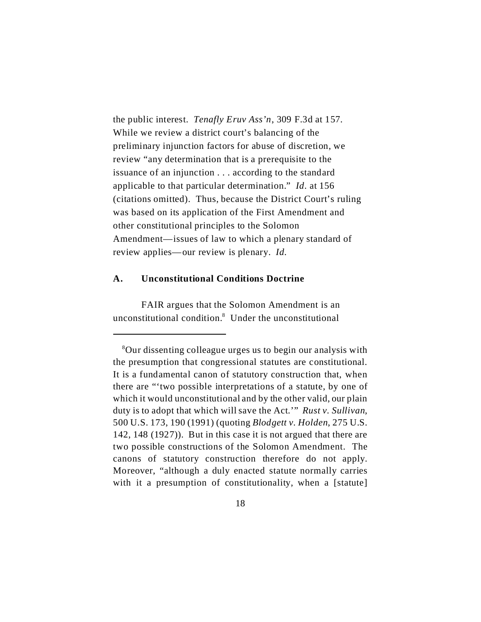the public interest. *Tenafly Eruv Ass'n*, 309 F.3d at 157. While we review a district court's balancing of the preliminary injunction factors for abuse of discretion, we review "any determination that is a prerequisite to the issuance of an injunction . . . according to the standard applicable to that particular determination." *Id*. at 156 (citations omitted). Thus, because the District Court's ruling was based on its application of the First Amendment and other constitutional principles to the Solomon Amendment—issues of law to which a plenary standard of review applies—our review is plenary. *Id.*

### **A. Unconstitutional Conditions Doctrine**

FAIR argues that the Solomon Amendment is an unconstitutional condition.<sup>8</sup> Under the unconstitutional

<sup>8</sup>Our dissenting colleague urges us to begin our analysis with the presumption that congressional statutes are constitutional. It is a fundamental canon of statutory construction that, when there are "'two possible interpretations of a statute, by one of which it would unconstitutional and by the other valid, our plain duty is to adopt that which will save the Act.'" *Rust v. Sullivan*, 500 U.S. 173, 190 (1991) (quoting *Blodgett v. Holden*, 275 U.S. 142, 148 (1927)). But in this case it is not argued that there are two possible constructions of the Solomon Amendment. The canons of statutory construction therefore do not apply. Moreover, "although a duly enacted statute normally carries with it a presumption of constitutionality, when a [statute]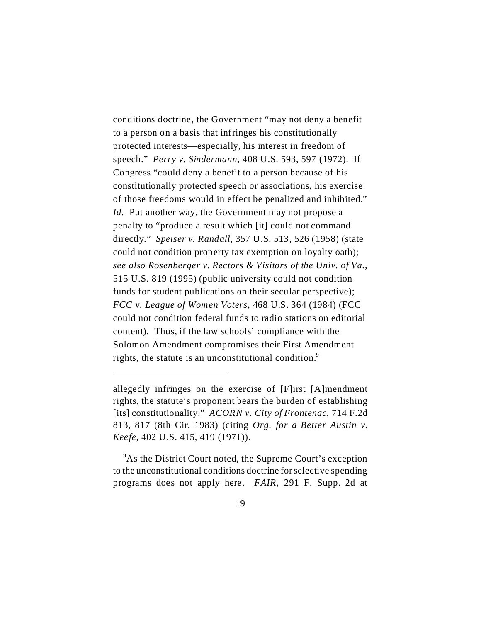conditions doctrine, the Government "may not deny a benefit to a person on a basis that infringes his constitutionally protected interests—especially, his interest in freedom of speech." *Perry v. Sindermann*, 408 U.S. 593, 597 (1972). If Congress "could deny a benefit to a person because of his constitutionally protected speech or associations, his exercise of those freedoms would in effect be penalized and inhibited." *Id*. Put another way, the Government may not propose a penalty to "produce a result which [it] could not command directly." *Speiser v. Randall*, 357 U.S. 513, 526 (1958) (state could not condition property tax exemption on loyalty oath); *see also Rosenberger v. Rectors & Visitors of the Univ. of Va.*, 515 U.S. 819 (1995) (public university could not condition funds for student publications on their secular perspective); *FCC v. League of Women Voters*, 468 U.S. 364 (1984) (FCC could not condition federal funds to radio stations on editorial content). Thus, if the law schools' compliance with the Solomon Amendment compromises their First Amendment rights, the statute is an unconstitutional condition.<sup>9</sup>

<sup>9</sup>As the District Court noted, the Supreme Court's exception to the unconstitutional conditions doctrine forselective spending programs does not apply here. *FAIR*, 291 F. Supp. 2d at

allegedly infringes on the exercise of [F]irst [A]mendment rights, the statute's proponent bears the burden of establishing [its] constitutionality." *ACORN v. City of Frontenac*, 714 F.2d 813, 817 (8th Cir. 1983) (citing *Org. for a Better Austin v. Keefe*, 402 U.S. 415, 419 (1971)).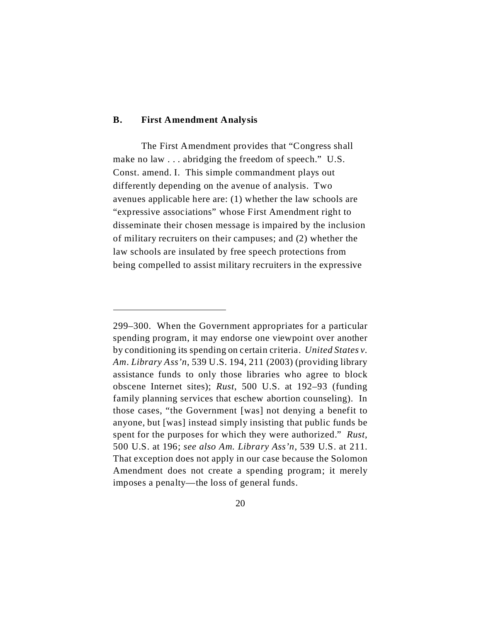#### **B. First Amendment Analysis**

The First Amendment provides that "Congress shall make no law . . . abridging the freedom of speech." U.S. Const. amend. I. This simple commandment plays out differently depending on the avenue of analysis. Two avenues applicable here are: (1) whether the law schools are "expressive associations" whose First Amendment right to disseminate their chosen message is impaired by the inclusion of military recruiters on their campuses; and (2) whether the law schools are insulated by free speech protections from being compelled to assist military recruiters in the expressive

<sup>299–300.</sup> When the Government appropriates for a particular spending program, it may endorse one viewpoint over another by conditioning its spending on certain criteria. *United States v. Am. Library Ass'n*, 539 U.S. 194, 211 (2003) (providing library assistance funds to only those libraries who agree to block obscene Internet sites); *Rust*, 500 U.S. at 192–93 (funding family planning services that eschew abortion counseling). In those cases, "the Government [was] not denying a benefit to anyone, but [was] instead simply insisting that public funds be spent for the purposes for which they were authorized." *Rust*, 500 U.S. at 196; *see also Am. Library Ass'n*, 539 U.S. at 211. That exception does not apply in our case because the Solomon Amendment does not create a spending program; it merely imposes a penalty—the loss of general funds.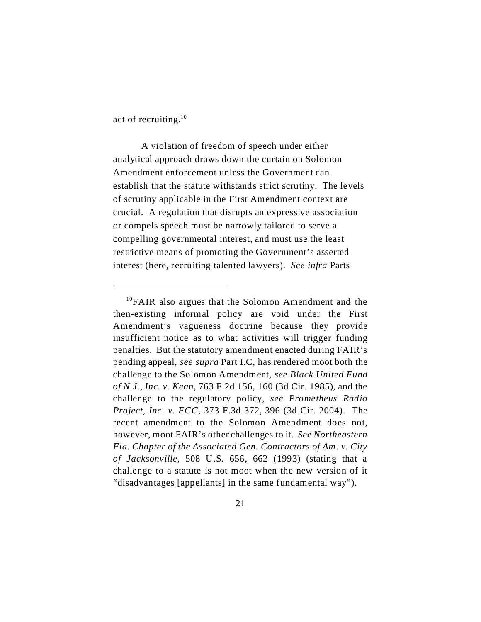act of recruiting.<sup>10</sup>

A violation of freedom of speech under either analytical approach draws down the curtain on Solomon Amendment enforcement unless the Government can establish that the statute withstands strict scrutiny. The levels of scrutiny applicable in the First Amendment context are crucial. A regulation that disrupts an expressive association or compels speech must be narrowly tailored to serve a compelling governmental interest, and must use the least restrictive means of promoting the Government's asserted interest (here, recruiting talented lawyers). *See infra* Parts

<sup>&</sup>lt;sup>10</sup>FAIR also argues that the Solomon Amendment and the then-existing informal policy are void under the First Amendment's vagueness doctrine because they provide insufficient notice as to what activities will trigger funding penalties. But the statutory amendment enacted during FAIR's pending appeal, *see supra* Part I.C, has rendered moot both the challenge to the Solomon Amendment, *see Black United Fund of N.J., Inc. v. Kean*, 763 F.2d 156, 160 (3d Cir. 1985), and the challenge to the regulatory policy, *see Prometheus Radio Project, Inc. v. FCC*, 373 F.3d 372, 396 (3d Cir. 2004). The recent amendment to the Solomon Amendment does not, however, moot FAIR's other challenges to it. *See Northeastern Fla. Chapter of the Associated Gen. Contractors of Am. v. City of Jacksonville*, 508 U.S. 656, 662 (1993) (stating that a challenge to a statute is not moot when the new version of it "disadvantages [appellants] in the same fundamental way").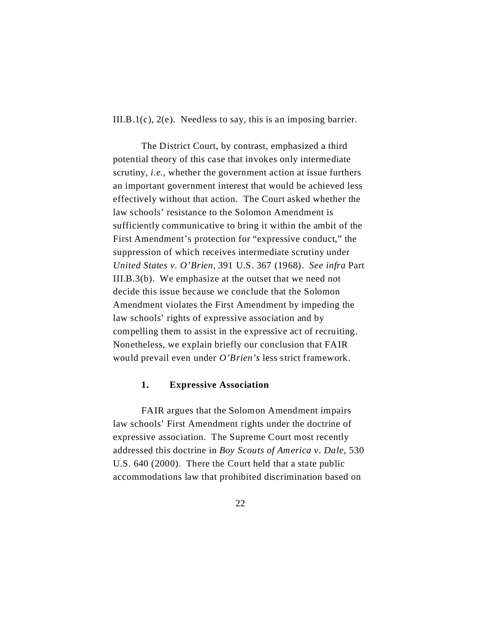III.B.1(c), 2(e). Needless to say, this is an imposing barrier.

The District Court, by contrast, emphasized a third potential theory of this case that invokes only intermediate scrutiny, *i.e.*, whether the government action at issue furthers an important government interest that would be achieved less effectively without that action. The Court asked whether the law schools' resistance to the Solomon Amendment is sufficiently communicative to bring it within the ambit of the First Amendment's protection for "expressive conduct," the suppression of which receives intermediate scrutiny under *United States v. O'Brien*, 391 U.S. 367 (1968). *See infra* Part III.B.3(b). We emphasize at the outset that we need not decide this issue because we conclude that the Solomon Amendment violates the First Amendment by impeding the law schools' rights of expressive association and by compelling them to assist in the expressive act of recruiting. Nonetheless, we explain briefly our conclusion that FAIR would prevail even under *O'Brien's* less strict framework.

#### **1. Expressive Association**

FAIR argues that the Solomon Amendment impairs law schools' First Amendment rights under the doctrine of expressive association. The Supreme Court most recently addressed this doctrine in *Boy Scouts of America v. Dale*, 530 U.S. 640 (2000). There the Court held that a state public accommodations law that prohibited discrimination based on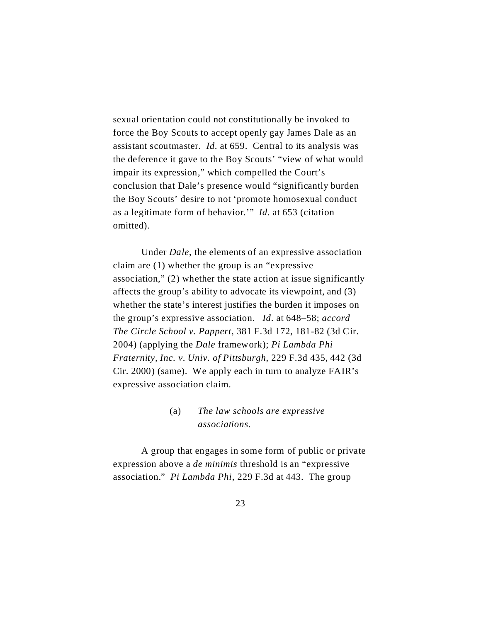sexual orientation could not constitutionally be invoked to force the Boy Scouts to accept openly gay James Dale as an assistant scoutmaster. *Id*. at 659. Central to its analysis was the deference it gave to the Boy Scouts' "view of what would impair its expression," which compelled the Court's conclusion that Dale's presence would "significantly burden the Boy Scouts' desire to not 'promote homosexual conduct as a legitimate form of behavior.'" *Id*. at 653 (citation omitted).

Under *Dale*, the elements of an expressive association claim are (1) whether the group is an "expressive association," (2) whether the state action at issue significantly affects the group's ability to advocate its viewpoint, and (3) whether the state's interest justifies the burden it imposes on the group's expressive association. *Id*. at 648–58; *accord The Circle School v. Pappert*, 381 F.3d 172, 181-82 (3d Cir. 2004) (applying the *Dale* framework); *Pi Lambda Phi Fraternity, Inc. v. Univ. of Pittsburgh*, 229 F.3d 435, 442 (3d Cir. 2000) (same). We apply each in turn to analyze FAIR's expressive association claim.

# (a) *The law schools are expressive associations*.

A group that engages in some form of public or private expression above a *de minimis* threshold is an "expressive association." *Pi Lambda Phi*, 229 F.3d at 443. The group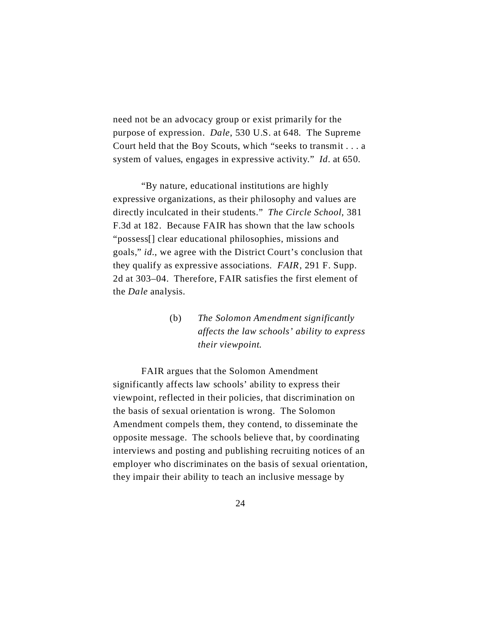need not be an advocacy group or exist primarily for the purpose of expression. *Dale*, 530 U.S. at 648. The Supreme Court held that the Boy Scouts, which "seeks to transmit . . . a system of values, engages in expressive activity." *Id*. at 650.

"By nature, educational institutions are highly expressive organizations, as their philosophy and values are directly inculcated in their students." *The Circle School*, 381 F.3d at 182. Because FAIR has shown that the law schools "possess[] clear educational philosophies, missions and goals," *id.*, we agree with the District Court's conclusion that they qualify as expressive associations. *FAIR*, 291 F. Supp. 2d at 303–04. Therefore, FAIR satisfies the first element of the *Dale* analysis.

> (b) *The Solomon Amendment significantly affects the law schools' ability to express their viewpoint*.

FAIR argues that the Solomon Amendment significantly affects law schools' ability to express their viewpoint, reflected in their policies, that discrimination on the basis of sexual orientation is wrong. The Solomon Amendment compels them, they contend, to disseminate the opposite message. The schools believe that, by coordinating interviews and posting and publishing recruiting notices of an employer who discriminates on the basis of sexual orientation, they impair their ability to teach an inclusive message by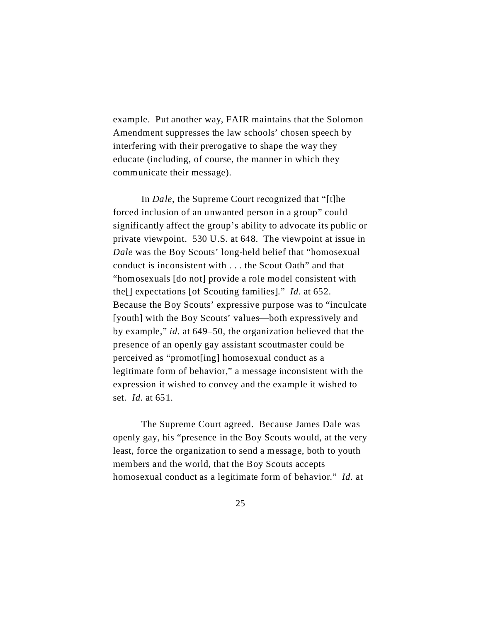example. Put another way, FAIR maintains that the Solomon Amendment suppresses the law schools' chosen speech by interfering with their prerogative to shape the way they educate (including, of course, the manner in which they communicate their message).

In *Dale*, the Supreme Court recognized that "[t]he forced inclusion of an unwanted person in a group" could significantly affect the group's ability to advocate its public or private viewpoint. 530 U.S. at 648. The viewpoint at issue in *Dale* was the Boy Scouts' long-held belief that "homosexual conduct is inconsistent with . . . the Scout Oath" and that "homosexuals [do not] provide a role model consistent with the[] expectations [of Scouting families]." *Id*. at 652. Because the Boy Scouts' expressive purpose was to "inculcate [youth] with the Boy Scouts' values—both expressively and by example," *id*. at 649–50, the organization believed that the presence of an openly gay assistant scoutmaster could be perceived as "promot[ing] homosexual conduct as a legitimate form of behavior," a message inconsistent with the expression it wished to convey and the example it wished to set. *Id.* at 651.

The Supreme Court agreed. Because James Dale was openly gay, his "presence in the Boy Scouts would, at the very least, force the organization to send a message, both to youth members and the world, that the Boy Scouts accepts homosexual conduct as a legitimate form of behavior." *Id*. at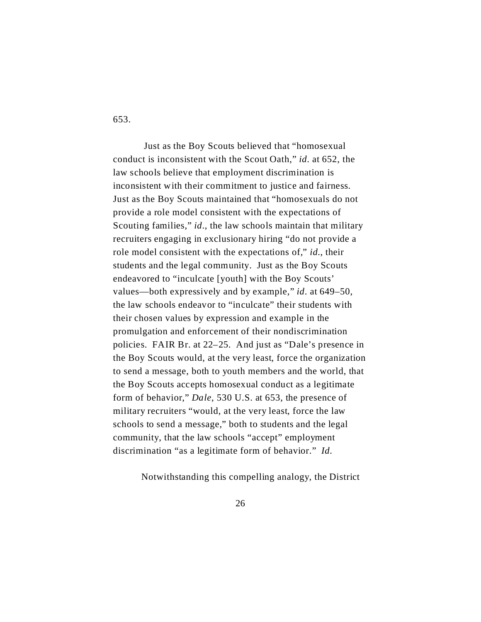653.

 Just as the Boy Scouts believed that "homosexual conduct is inconsistent with the Scout Oath," *id*. at 652, the law schools believe that employment discrimination is inconsistent with their commitment to justice and fairness. Just as the Boy Scouts maintained that "homosexuals do not provide a role model consistent with the expectations of Scouting families," *id*., the law schools maintain that military recruiters engaging in exclusionary hiring "do not provide a role model consistent with the expectations of," *id.*, their students and the legal community. Just as the Boy Scouts endeavored to "inculcate [youth] with the Boy Scouts' values—both expressively and by example," *id*. at 649–50, the law schools endeavor to "inculcate" their students with their chosen values by expression and example in the promulgation and enforcement of their nondiscrimination policies. FAIR Br. at 22–25. And just as "Dale's presence in the Boy Scouts would, at the very least, force the organization to send a message, both to youth members and the world, that the Boy Scouts accepts homosexual conduct as a legitimate form of behavior," *Dale*, 530 U.S. at 653, the presence of military recruiters "would, at the very least, force the law schools to send a message," both to students and the legal community, that the law schools "accept" employment discrimination "as a legitimate form of behavior." *Id.*

Notwithstanding this compelling analogy, the District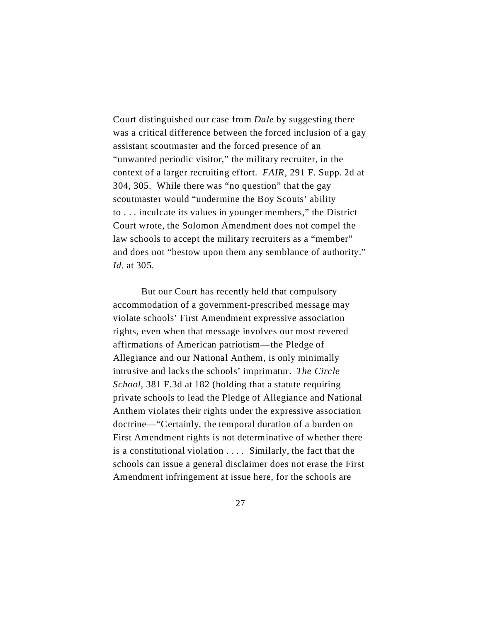Court distinguished our case from *Dale* by suggesting there was a critical difference between the forced inclusion of a gay assistant scoutmaster and the forced presence of an "unwanted periodic visitor," the military recruiter, in the context of a larger recruiting effort. *FAIR*, 291 F. Supp. 2d at 304, 305. While there was "no question" that the gay scoutmaster would "undermine the Boy Scouts' ability to . . . inculcate its values in younger members," the District Court wrote, the Solomon Amendment does not compel the law schools to accept the military recruiters as a "member" and does not "bestow upon them any semblance of authority." *Id*. at 305.

But our Court has recently held that compulsory accommodation of a government-prescribed message may violate schools' First Amendment expressive association rights, even when that message involves our most revered affirmations of American patriotism—the Pledge of Allegiance and our National Anthem, is only minimally intrusive and lacks the schools' imprimatur. *The Circle School*, 381 F.3d at 182 (holding that a statute requiring private schools to lead the Pledge of Allegiance and National Anthem violates their rights under the expressive association doctrine—"Certainly, the temporal duration of a burden on First Amendment rights is not determinative of whether there is a constitutional violation . . . . Similarly, the fact that the schools can issue a general disclaimer does not erase the First Amendment infringement at issue here, for the schools are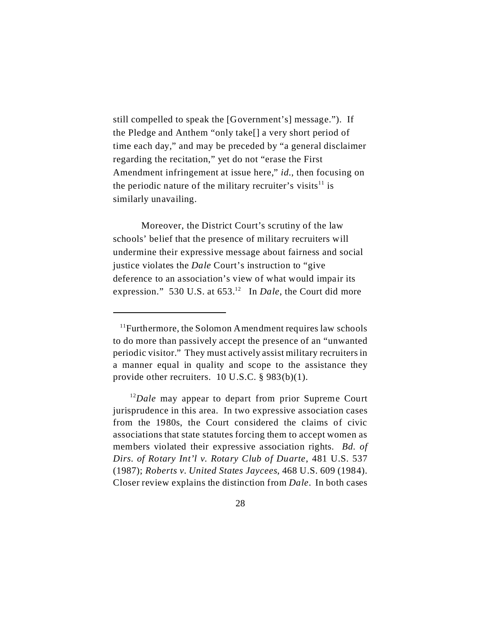still compelled to speak the [Government's] message."). If the Pledge and Anthem "only take[] a very short period of time each day," and may be preceded by "a general disclaimer regarding the recitation," yet do not "erase the First Amendment infringement at issue here," *id.*, then focusing on the periodic nature of the military recruiter's visits<sup>11</sup> is similarly unavailing.

 Moreover, the District Court's scrutiny of the law schools' belief that the presence of military recruiters will undermine their expressive message about fairness and social justice violates the *Dale* Court's instruction to "give deference to an association's view of what would impair its expression." 530 U.S. at 653.<sup>12</sup> In *Dale*, the Court did more

 $11$ Furthermore, the Solomon Amendment requires law schools to do more than passively accept the presence of an "unwanted periodic visitor." They must actively assist military recruiters in a manner equal in quality and scope to the assistance they provide other recruiters. 10 U.S.C. § 983(b)(1).

<sup>&</sup>lt;sup>12</sup>Dale may appear to depart from prior Supreme Court jurisprudence in this area. In two expressive association cases from the 1980s, the Court considered the claims of civic associations that state statutes forcing them to accept women as members violated their expressive association rights. *Bd. of Dirs. of Rotary Int'l v. Rotary Club of Duarte*, 481 U.S. 537 (1987); *Roberts v. United States Jaycees*, 468 U.S. 609 (1984). Closer review explains the distinction from *Dale*. In both cases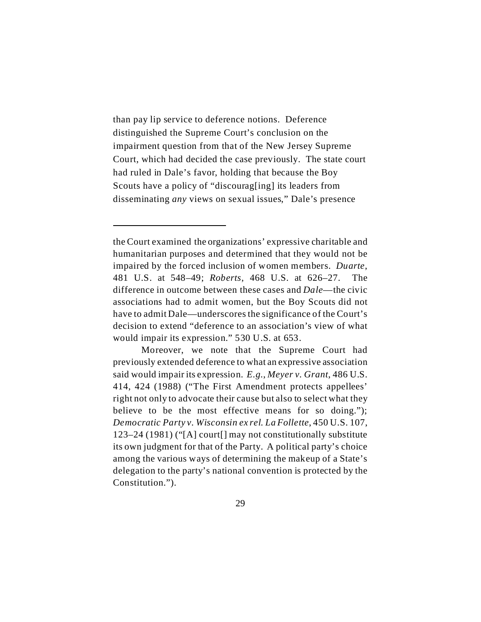than pay lip service to deference notions. Deference distinguished the Supreme Court's conclusion on the impairment question from that of the New Jersey Supreme Court, which had decided the case previously. The state court had ruled in Dale's favor, holding that because the Boy Scouts have a policy of "discourag<sup>[ing]</sup> its leaders from disseminating *any* views on sexual issues," Dale's presence

the Court examined the organizations' expressive charitable and humanitarian purposes and determined that they would not be impaired by the forced inclusion of women members. *Duarte*, 481 U.S. at 548–49; *Roberts*, 468 U.S. at 626–27. The difference in outcome between these cases and *Dale*—the civic associations had to admit women, but the Boy Scouts did not have to admit Dale—underscores the significance of the Court's decision to extend "deference to an association's view of what would impair its expression." 530 U.S. at 653.

Moreover, we note that the Supreme Court had previously extended deference to what an expressive association said would impair its expression. *E.g.*, *Meyer v. Grant*, 486 U.S. 414, 424 (1988) ("The First Amendment protects appellees' right not only to advocate their cause but also to select what they believe to be the most effective means for so doing."); *Democratic Party v. Wisconsin ex rel. La Follette*, 450 U.S. 107, 123–24 (1981) ("[A] court[] may not constitutionally substitute its own judgment for that of the Party. A political party's choice among the various ways of determining the makeup of a State's delegation to the party's national convention is protected by the Constitution.").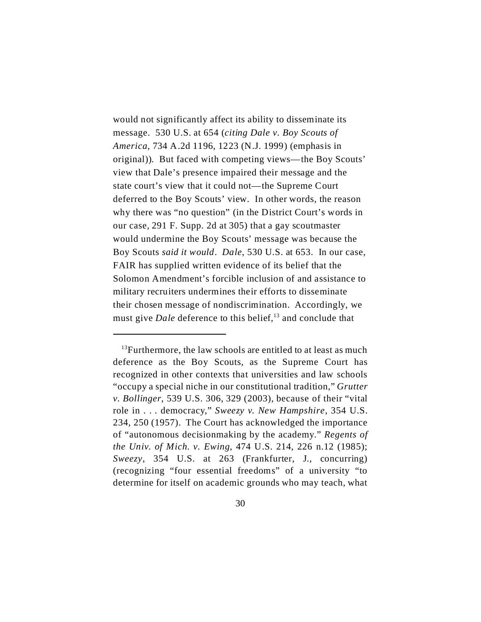would not significantly affect its ability to disseminate its message. 530 U.S. at 654 (*citing Dale v. Boy Scouts of America*, 734 A.2d 1196, 1223 (N.J. 1999) (emphasis in original)). But faced with competing views—the Boy Scouts' view that Dale's presence impaired their message and the state court's view that it could not—the Supreme Court deferred to the Boy Scouts' view. In other words, the reason why there was "no question" (in the District Court's words in our case, 291 F. Supp. 2d at 305) that a gay scoutmaster would undermine the Boy Scouts' message was because the Boy Scouts *said it would*. *Dale*, 530 U.S. at 653. In our case, FAIR has supplied written evidence of its belief that the Solomon Amendment's forcible inclusion of and assistance to military recruiters undermines their efforts to disseminate their chosen message of nondiscrimination. Accordingly, we must give *Dale* deference to this belief,<sup>13</sup> and conclude that

 $13$ Furthermore, the law schools are entitled to at least as much deference as the Boy Scouts, as the Supreme Court has recognized in other contexts that universities and law schools "occupy a special niche in our constitutional tradition," *Grutter v. Bollinger*, 539 U.S. 306, 329 (2003), because of their "vital role in . . . democracy," *Sweezy v. New Hampshire*, 354 U.S. 234, 250 (1957). The Court has acknowledged the importance of "autonomous decisionmaking by the academy." *Regents of the Univ. of Mich. v. Ewing*, 474 U.S. 214, 226 n.12 (1985); *Sweezy*, 354 U.S. at 263 (Frankfurter, J., concurring) (recognizing "four essential freedoms" of a university "to determine for itself on academic grounds who may teach, what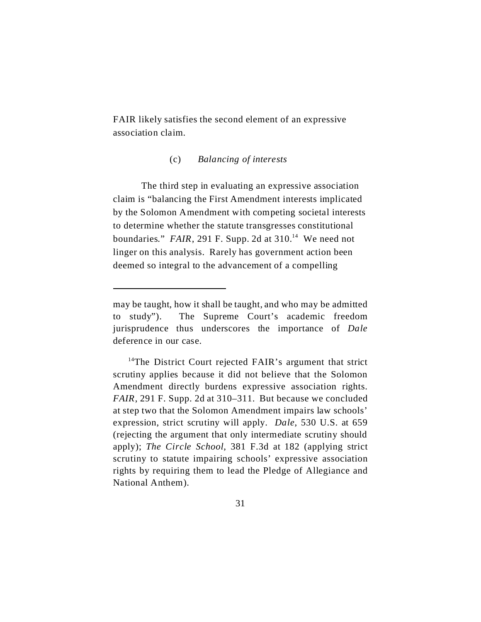FAIR likely satisfies the second element of an expressive association claim.

## (c) *Balancing of interests*

The third step in evaluating an expressive association claim is "balancing the First Amendment interests implicated by the Solomon Amendment with competing societal interests to determine whether the statute transgresses constitutional boundaries." *FAIR*, 291 F. Supp. 2d at  $310$ .<sup>14</sup> We need not linger on this analysis. Rarely has government action been deemed so integral to the advancement of a compelling

may be taught, how it shall be taught, and who may be admitted to study"). The Supreme Court's academic freedom jurisprudence thus underscores the importance of *Dale* deference in our case.

<sup>&</sup>lt;sup>14</sup>The District Court rejected FAIR's argument that strict scrutiny applies because it did not believe that the Solomon Amendment directly burdens expressive association rights. *FAIR*, 291 F. Supp. 2d at 310–311. But because we concluded at step two that the Solomon Amendment impairs law schools' expression, strict scrutiny will apply. *Dale*, 530 U.S. at 659 (rejecting the argument that only intermediate scrutiny should apply); *The Circle School*, 381 F.3d at 182 (applying strict scrutiny to statute impairing schools' expressive association rights by requiring them to lead the Pledge of Allegiance and National Anthem).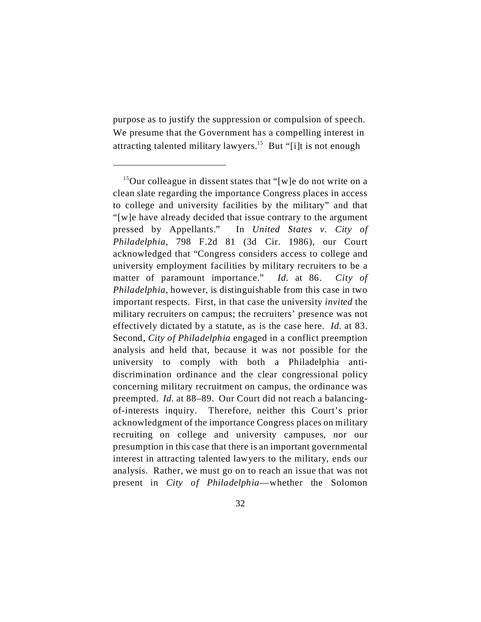purpose as to justify the suppression or compulsion of speech. We presume that the Government has a compelling interest in attracting talented military lawyers.<sup>15</sup> But "[i]t is not enough

<sup>&</sup>lt;sup>15</sup>Our colleague in dissent states that "[w]e do not write on a clean slate regarding the importance Congress places in access to college and university facilities by the military" and that "[w]e have already decided that issue contrary to the argument pressed by Appellants." In *United States v. City of Philadelphia*, 798 F.2d 81 (3d Cir. 1986), our Court acknowledged that "Congress considers access to college and university employment facilities by military recruiters to be a matter of paramount importance." *Id.* at 86. *City of Philadelphia*, however, is distinguishable from this case in two important respects. First, in that case the university *invited* the military recruiters on campus; the recruiters' presence was not effectively dictated by a statute, as is the case here. *Id.* at 83. Second, *City of Philadelphia* engaged in a conflict preemption analysis and held that, because it was not possible for the university to comply with both a Philadelphia antidiscrimination ordinance and the clear congressional policy concerning military recruitment on campus, the ordinance was preempted. *Id.* at 88–89. Our Court did not reach a balancingof-interests inquiry. Therefore, neither this Court's prior acknowledgment of the importance Congress places on military recruiting on college and university campuses, nor our presumption in this case that there is an important governmental interest in attracting talented lawyers to the military, ends our analysis. Rather, we must go on to reach an issue that was not present in *City of Philadelphia*—whether the Solomon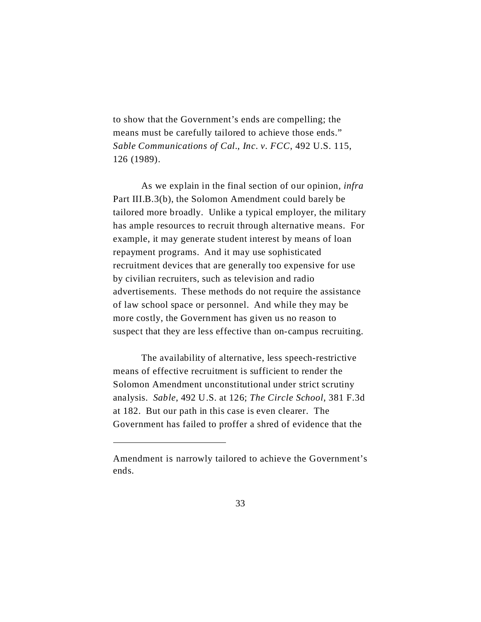to show that the Government's ends are compelling; the means must be carefully tailored to achieve those ends." *Sable Communications of Cal., Inc. v. FCC*, 492 U.S. 115, 126 (1989).

As we explain in the final section of our opinion, *infra* Part III.B.3(b), the Solomon Amendment could barely be tailored more broadly. Unlike a typical employer, the military has ample resources to recruit through alternative means. For example, it may generate student interest by means of loan repayment programs. And it may use sophisticated recruitment devices that are generally too expensive for use by civilian recruiters, such as television and radio advertisements. These methods do not require the assistance of law school space or personnel. And while they may be more costly, the Government has given us no reason to suspect that they are less effective than on-campus recruiting.

The availability of alternative, less speech-restrictive means of effective recruitment is sufficient to render the Solomon Amendment unconstitutional under strict scrutiny analysis. *Sable*, 492 U.S. at 126; *The Circle School*, 381 F.3d at 182. But our path in this case is even clearer. The Government has failed to proffer a shred of evidence that the

Amendment is narrowly tailored to achieve the Government's ends.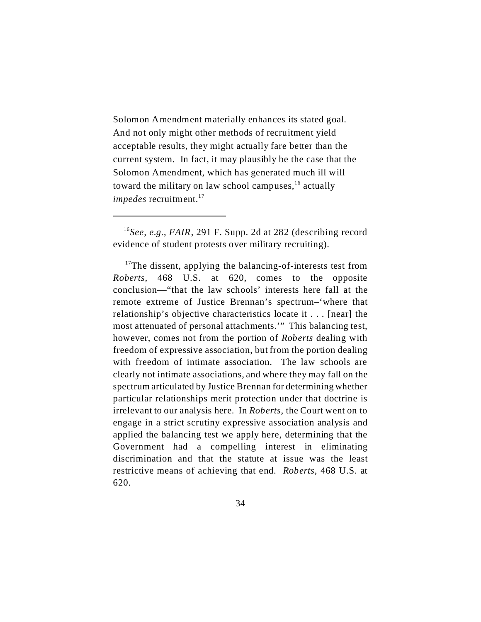Solomon Amendment materially enhances its stated goal. And not only might other methods of recruitment yield acceptable results, they might actually fare better than the current system. In fact, it may plausibly be the case that the Solomon Amendment, which has generated much ill will toward the military on law school campuses,<sup>16</sup> actually *impedes* recruitment.<sup>17</sup>

<sup>16</sup>*See, e.g.*, *FAIR*, 291 F. Supp. 2d at 282 (describing record evidence of student protests over military recruiting).

 $17$ The dissent, applying the balancing-of-interests test from *Roberts,* 468 U.S. at 620, comes to the opposite conclusion—"that the law schools' interests here fall at the remote extreme of Justice Brennan's spectrum–'where that relationship's objective characteristics locate it . . . [near] the most attenuated of personal attachments.'" This balancing test, however, comes not from the portion of *Roberts* dealing with freedom of expressive association, but from the portion dealing with freedom of intimate association. The law schools are clearly not intimate associations, and where they may fall on the spectrum articulated by Justice Brennan for determining whether particular relationships merit protection under that doctrine is irrelevant to our analysis here. In *Roberts*, the Court went on to engage in a strict scrutiny expressive association analysis and applied the balancing test we apply here, determining that the Government had a compelling interest in eliminating discrimination and that the statute at issue was the least restrictive means of achieving that end. *Roberts*, 468 U.S. at 620.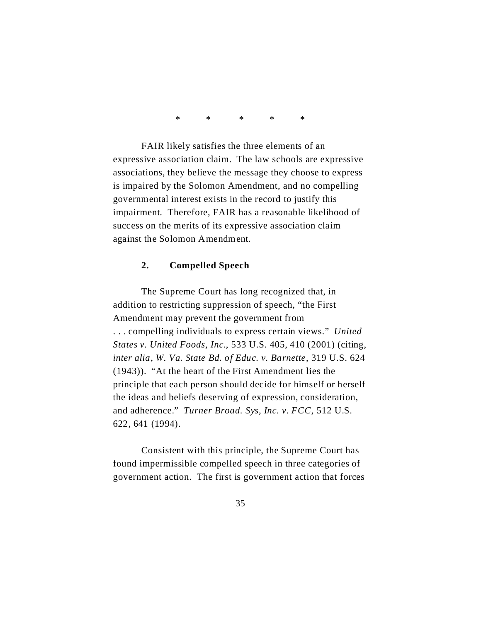\* \* \* \* \*

FAIR likely satisfies the three elements of an expressive association claim. The law schools are expressive associations, they believe the message they choose to express is impaired by the Solomon Amendment, and no compelling governmental interest exists in the record to justify this impairment. Therefore, FAIR has a reasonable likelihood of success on the merits of its expressive association claim against the Solomon Amendment.

#### **2. Compelled Speech**

The Supreme Court has long recognized that, in addition to restricting suppression of speech, "the First Amendment may prevent the government from . . . compelling individuals to express certain views." *United States v. United Foods, Inc.*, 533 U.S. 405, 410 (2001) (citing, *inter alia*, *W. Va. State Bd. of Educ. v. Barnette*, 319 U.S. 624 (1943)). "At the heart of the First Amendment lies the principle that each person should decide for himself or herself the ideas and beliefs deserving of expression, consideration, and adherence." *Turner Broad. Sys, Inc. v. FCC*, 512 U.S. 622, 641 (1994).

Consistent with this principle, the Supreme Court has found impermissible compelled speech in three categories of government action. The first is government action that forces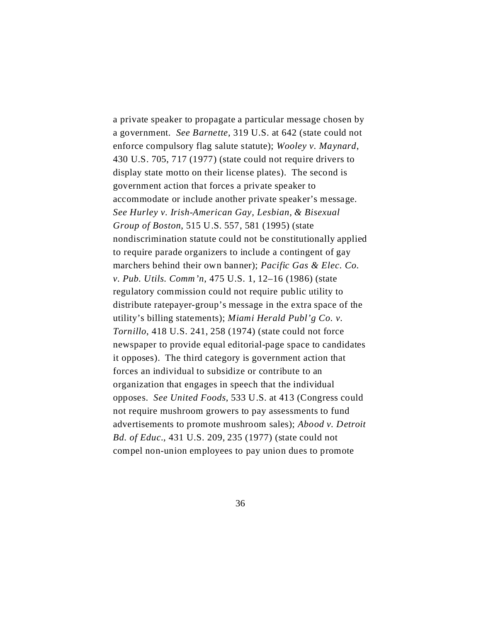a private speaker to propagate a particular message chosen by a government. *See Barnette*, 319 U.S. at 642 (state could not enforce compulsory flag salute statute); *Wooley v. Maynard*, 430 U.S. 705, 717 (1977) (state could not require drivers to display state motto on their license plates). The second is government action that forces a private speaker to accommodate or include another private speaker's message. *See Hurley v. Irish-American Gay, Lesbian, & Bisexual Group of Boston*, 515 U.S. 557, 581 (1995) (state nondiscrimination statute could not be constitutionally applied to require parade organizers to include a contingent of gay marchers behind their own banner); *Pacific Gas & Elec. Co. v. Pub. Utils. Comm'n*, 475 U.S. 1, 12–16 (1986) (state regulatory commission could not require public utility to distribute ratepayer-group's message in the extra space of the utility's billing statements); *Miami Herald Publ'g Co. v. Tornillo*, 418 U.S. 241, 258 (1974) (state could not force newspaper to provide equal editorial-page space to candidates it opposes). The third category is government action that forces an individual to subsidize or contribute to an organization that engages in speech that the individual opposes. *See United Foods*, 533 U.S. at 413 (Congress could not require mushroom growers to pay assessments to fund advertisements to promote mushroom sales); *Abood v. Detroit Bd. of Educ.*, 431 U.S. 209, 235 (1977) (state could not compel non-union employees to pay union dues to promote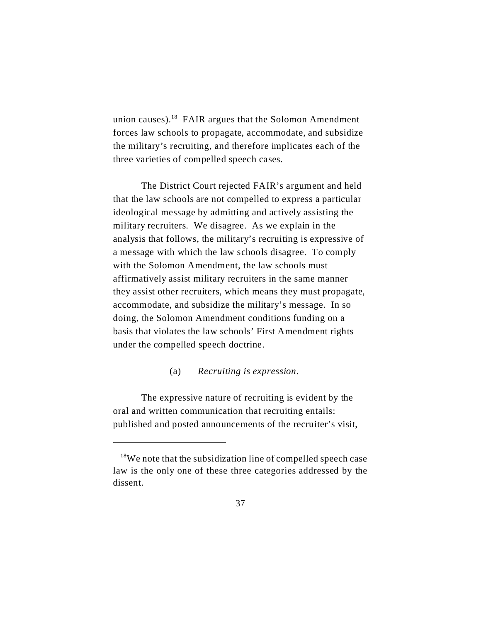union causes).<sup>18</sup> FAIR argues that the Solomon Amendment forces law schools to propagate, accommodate, and subsidize the military's recruiting, and therefore implicates each of the three varieties of compelled speech cases.

The District Court rejected FAIR's argument and held that the law schools are not compelled to express a particular ideological message by admitting and actively assisting the military recruiters. We disagree. As we explain in the analysis that follows, the military's recruiting is expressive of a message with which the law schools disagree. To comply with the Solomon Amendment, the law schools must affirmatively assist military recruiters in the same manner they assist other recruiters, which means they must propagate, accommodate, and subsidize the military's message. In so doing, the Solomon Amendment conditions funding on a basis that violates the law schools' First Amendment rights under the compelled speech doctrine.

### (a) *Recruiting is expression*.

The expressive nature of recruiting is evident by the oral and written communication that recruiting entails: published and posted announcements of the recruiter's visit,

 $18$ We note that the subsidization line of compelled speech case law is the only one of these three categories addressed by the dissent.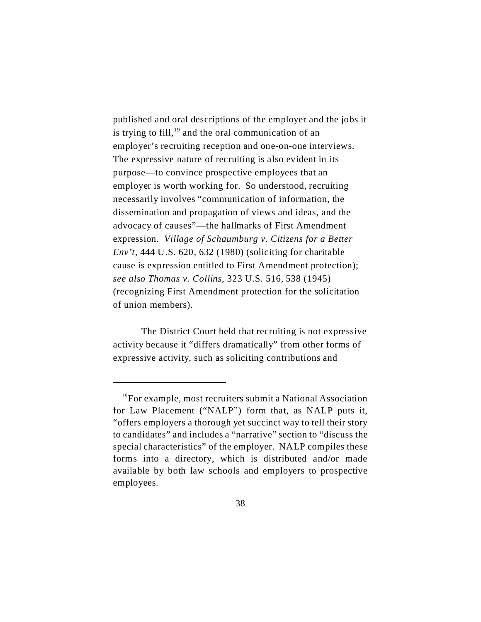published and oral descriptions of the employer and the jobs it is trying to fill,<sup>19</sup> and the oral communication of an employer's recruiting reception and one-on-one interviews. The expressive nature of recruiting is also evident in its purpose—to convince prospective employees that an employer is worth working for. So understood, recruiting necessarily involves "communication of information, the dissemination and propagation of views and ideas, and the advocacy of causes"—the hallmarks of First Amendment expression. *Village of Schaumburg v. Citizens for a Better Env't*, 444 U.S. 620, 632 (1980) (soliciting for charitable cause is expression entitled to First Amendment protection); *see also Thomas v. Collins*, 323 U.S. 516, 538 (1945) (recognizing First Amendment protection for the solicitation of union members).

The District Court held that recruiting is not expressive activity because it "differs dramatically" from other forms of expressive activity, such as soliciting contributions and

<sup>&</sup>lt;sup>19</sup>For example, most recruiters submit a National Association for Law Placement ("NALP") form that, as NALP puts it, "offers employers a thorough yet succinct way to tell their story to candidates" and includes a "narrative" section to "discuss the special characteristics" of the employer. NALP compiles these forms into a directory, which is distributed and/or made available by both law schools and employers to prospective employees.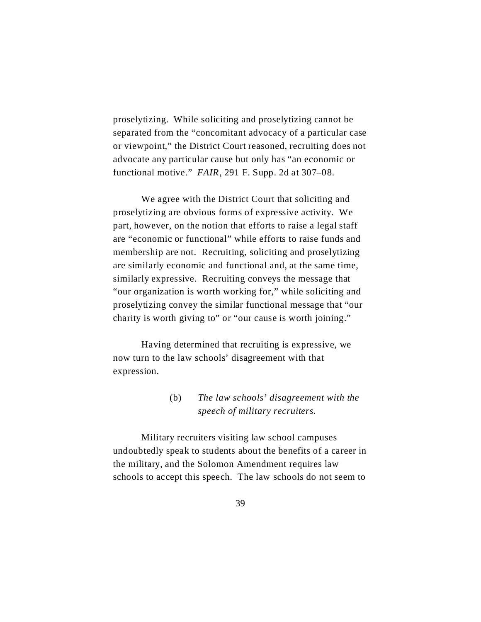proselytizing. While soliciting and proselytizing cannot be separated from the "concomitant advocacy of a particular case or viewpoint," the District Court reasoned, recruiting does not advocate any particular cause but only has "an economic or functional motive." *FAIR*, 291 F. Supp. 2d at 307–08.

We agree with the District Court that soliciting and proselytizing are obvious forms of expressive activity. We part, however, on the notion that efforts to raise a legal staff are "economic or functional" while efforts to raise funds and membership are not. Recruiting, soliciting and proselytizing are similarly economic and functional and, at the same time, similarly expressive. Recruiting conveys the message that "our organization is worth working for," while soliciting and proselytizing convey the similar functional message that "our charity is worth giving to" or "our cause is worth joining."

Having determined that recruiting is expressive, we now turn to the law schools' disagreement with that expression.

# (b) *The law schools' disagreement with the speech of military recruiters.*

Military recruiters visiting law school campuses undoubtedly speak to students about the benefits of a career in the military, and the Solomon Amendment requires law schools to accept this speech. The law schools do not seem to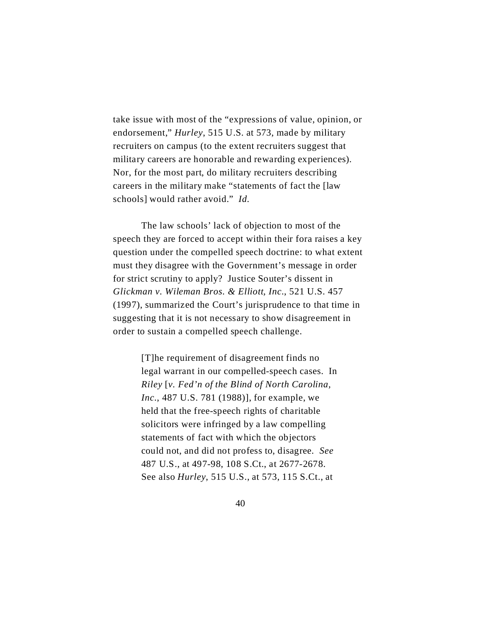take issue with most of the "expressions of value, opinion, or endorsement," *Hurley*, 515 U.S. at 573, made by military recruiters on campus (to the extent recruiters suggest that military careers are honorable and rewarding experiences). Nor, for the most part, do military recruiters describing careers in the military make "statements of fact the [law schools] would rather avoid." *Id.*

The law schools' lack of objection to most of the speech they are forced to accept within their fora raises a key question under the compelled speech doctrine: to what extent must they disagree with the Government's message in order for strict scrutiny to apply? Justice Souter's dissent in *Glickman v. Wileman Bros. & Elliott, Inc.*, 521 U.S. 457 (1997), summarized the Court's jurisprudence to that time in suggesting that it is not necessary to show disagreement in order to sustain a compelled speech challenge.

> [T]he requirement of disagreement finds no legal warrant in our compelled-speech cases. In *Riley* [*v. Fed'n of the Blind of North Carolina, Inc.*, 487 U.S. 781 (1988)], for example, we held that the free-speech rights of charitable solicitors were infringed by a law compelling statements of fact with which the objectors could not, and did not profess to, disagree. *See* 487 U.S., at 497-98, 108 S.Ct., at 2677-2678. See also *Hurley*, 515 U.S., at 573, 115 S.Ct., at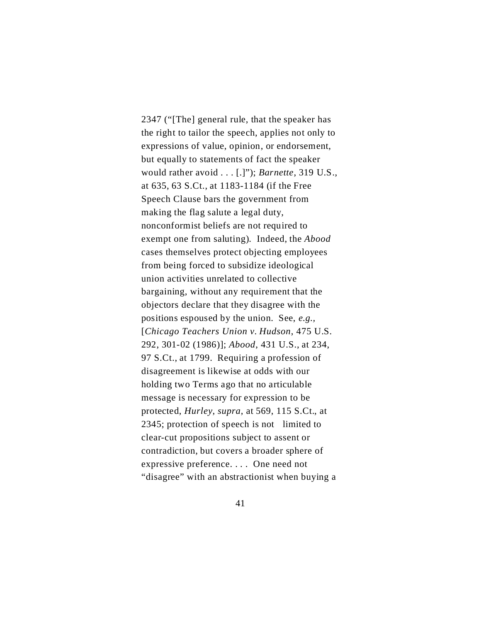2347 ("[The] general rule, that the speaker has the right to tailor the speech, applies not only to expressions of value, opinion, or endorsement, but equally to statements of fact the speaker would rather avoid . . . [.]"); *Barnette*, 319 U.S., at 635, 63 S.Ct., at 1183-1184 (if the Free Speech Clause bars the government from making the flag salute a legal duty, nonconformist beliefs are not required to exempt one from saluting). Indeed, the *Abood* cases themselves protect objecting employees from being forced to subsidize ideological union activities unrelated to collective bargaining, without any requirement that the objectors declare that they disagree with the positions espoused by the union. See, *e.g.,* [*Chicago Teachers Union v. Hudson*, 475 U.S. 292, 301-02 (1986)]; *Abood*, 431 U.S., at 234, 97 S.Ct., at 1799. Requiring a profession of disagreement is likewise at odds with our holding two Terms ago that no articulable message is necessary for expression to be protected, *Hurley*, *supra*, at 569, 115 S.Ct., at 2345; protection of speech is not limited to clear-cut propositions subject to assent or contradiction, but covers a broader sphere of expressive preference. . . . One need not "disagree" with an abstractionist when buying a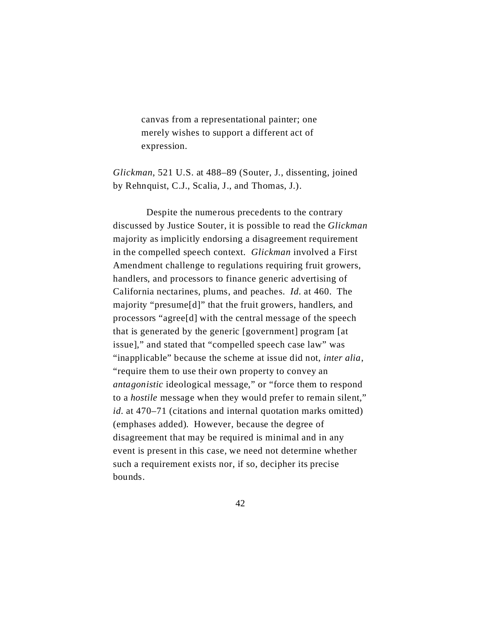canvas from a representational painter; one merely wishes to support a different act of expression.

*Glickman*, 521 U.S. at 488–89 (Souter, J., dissenting, joined by Rehnquist, C.J., Scalia, J., and Thomas, J.).

 Despite the numerous precedents to the contrary discussed by Justice Souter, it is possible to read the *Glickman* majority as implicitly endorsing a disagreement requirement in the compelled speech context. *Glickman* involved a First Amendment challenge to regulations requiring fruit growers, handlers, and processors to finance generic advertising of California nectarines, plums, and peaches. *Id.* at 460. The majority "presume[d]" that the fruit growers, handlers, and processors "agree[d] with the central message of the speech that is generated by the generic [government] program [at issue]," and stated that "compelled speech case law" was "inapplicable" because the scheme at issue did not, *inter alia*, "require them to use their own property to convey an *antagonistic* ideological message," or "force them to respond to a *hostile* message when they would prefer to remain silent," *id.* at 470–71 (citations and internal quotation marks omitted) (emphases added). However, because the degree of disagreement that may be required is minimal and in any event is present in this case, we need not determine whether such a requirement exists nor, if so, decipher its precise bounds.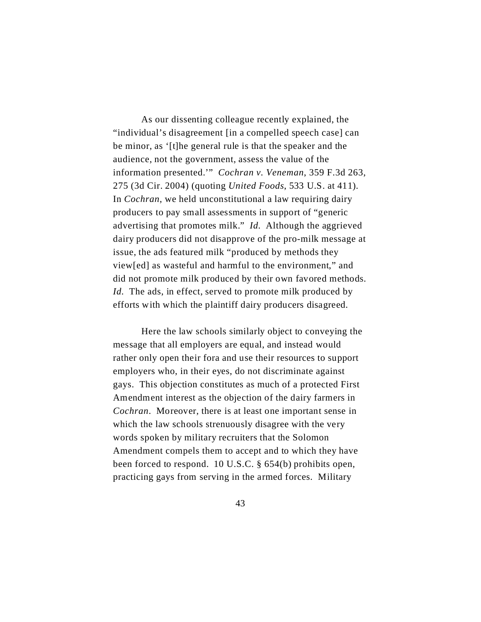As our dissenting colleague recently explained, the "individual's disagreement [in a compelled speech case] can be minor, as '[t]he general rule is that the speaker and the audience, not the government, assess the value of the information presented.'" *Cochran v. Veneman*, 359 F.3d 263, 275 (3d Cir. 2004) (quoting *United Foods*, 533 U.S. at 411). In *Cochran*, we held unconstitutional a law requiring dairy producers to pay small assessments in support of "generic advertising that promotes milk." *Id.* Although the aggrieved dairy producers did not disapprove of the pro-milk message at issue, the ads featured milk "produced by methods they view[ed] as wasteful and harmful to the environment," and did not promote milk produced by their own favored methods. *Id.* The ads, in effect, served to promote milk produced by efforts with which the plaintiff dairy producers disagreed.

Here the law schools similarly object to conveying the message that all employers are equal, and instead would rather only open their fora and use their resources to support employers who, in their eyes, do not discriminate against gays. This objection constitutes as much of a protected First Amendment interest as the objection of the dairy farmers in *Cochran*. Moreover, there is at least one important sense in which the law schools strenuously disagree with the very words spoken by military recruiters that the Solomon Amendment compels them to accept and to which they have been forced to respond. 10 U.S.C. § 654(b) prohibits open, practicing gays from serving in the armed forces. Military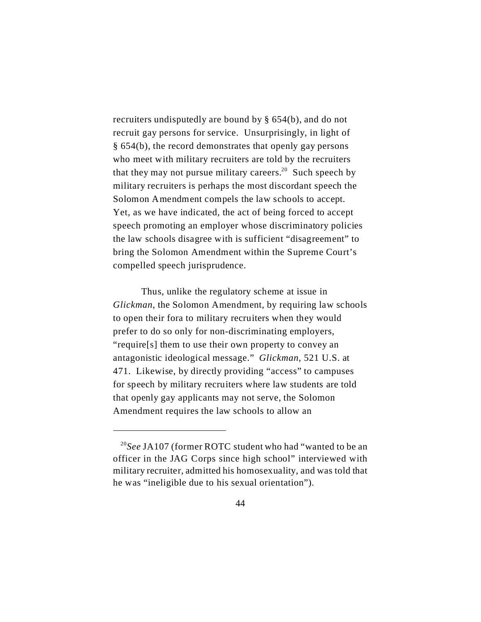recruiters undisputedly are bound by § 654(b), and do not recruit gay persons for service. Unsurprisingly, in light of § 654(b), the record demonstrates that openly gay persons who meet with military recruiters are told by the recruiters that they may not pursue military careers.<sup>20</sup> Such speech by military recruiters is perhaps the most discordant speech the Solomon Amendment compels the law schools to accept. Yet, as we have indicated, the act of being forced to accept speech promoting an employer whose discriminatory policies the law schools disagree with is sufficient "disagreement" to bring the Solomon Amendment within the Supreme Court's compelled speech jurisprudence.

Thus, unlike the regulatory scheme at issue in *Glickman*, the Solomon Amendment, by requiring law schools to open their fora to military recruiters when they would prefer to do so only for non-discriminating employers, "require[s] them to use their own property to convey an antagonistic ideological message." *Glickman*, 521 U.S. at 471. Likewise, by directly providing "access" to campuses for speech by military recruiters where law students are told that openly gay applicants may not serve, the Solomon Amendment requires the law schools to allow an

<sup>20</sup>*See* JA107 (former ROTC student who had "wanted to be an officer in the JAG Corps since high school" interviewed with military recruiter, admitted his homosexuality, and was told that he was "ineligible due to his sexual orientation").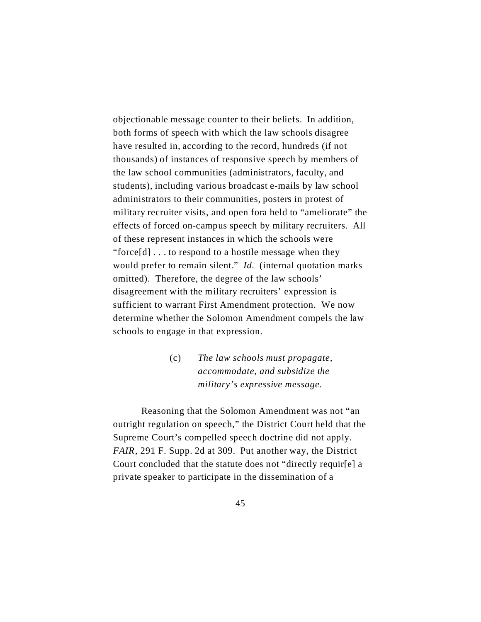objectionable message counter to their beliefs. In addition, both forms of speech with which the law schools disagree have resulted in, according to the record, hundreds (if not thousands) of instances of responsive speech by members of the law school communities (administrators, faculty, and students), including various broadcast e-mails by law school administrators to their communities, posters in protest of military recruiter visits, and open fora held to "ameliorate" the effects of forced on-campus speech by military recruiters. All of these represent instances in which the schools were "force[d] . . . to respond to a hostile message when they would prefer to remain silent." *Id.* (internal quotation marks omitted). Therefore, the degree of the law schools' disagreement with the military recruiters' expression is sufficient to warrant First Amendment protection. We now determine whether the Solomon Amendment compels the law schools to engage in that expression.

> (c) *The law schools must propagate, accommodate, and subsidize the military's expressive message*.

Reasoning that the Solomon Amendment was not "an outright regulation on speech," the District Court held that the Supreme Court's compelled speech doctrine did not apply. *FAIR*, 291 F. Supp. 2d at 309. Put another way, the District Court concluded that the statute does not "directly requir[e] a private speaker to participate in the dissemination of a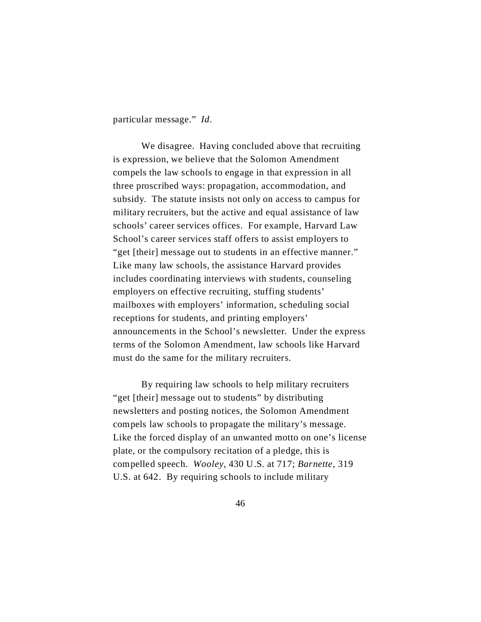particular message." *Id*.

We disagree. Having concluded above that recruiting is expression, we believe that the Solomon Amendment compels the law schools to engage in that expression in all three proscribed ways: propagation, accommodation, and subsidy. The statute insists not only on access to campus for military recruiters, but the active and equal assistance of law schools' career services offices. For example, Harvard Law School's career services staff offers to assist employers to "get [their] message out to students in an effective manner." Like many law schools, the assistance Harvard provides includes coordinating interviews with students, counseling employers on effective recruiting, stuffing students' mailboxes with employers' information, scheduling social receptions for students, and printing employers' announcements in the School's newsletter. Under the express terms of the Solomon Amendment, law schools like Harvard must do the same for the military recruiters.

By requiring law schools to help military recruiters "get [their] message out to students" by distributing newsletters and posting notices, the Solomon Amendment compels law schools to propagate the military's message. Like the forced display of an unwanted motto on one's license plate, or the compulsory recitation of a pledge, this is compelled speech. *Wooley*, 430 U.S. at 717; *Barnette*, 319 U.S. at 642. By requiring schools to include military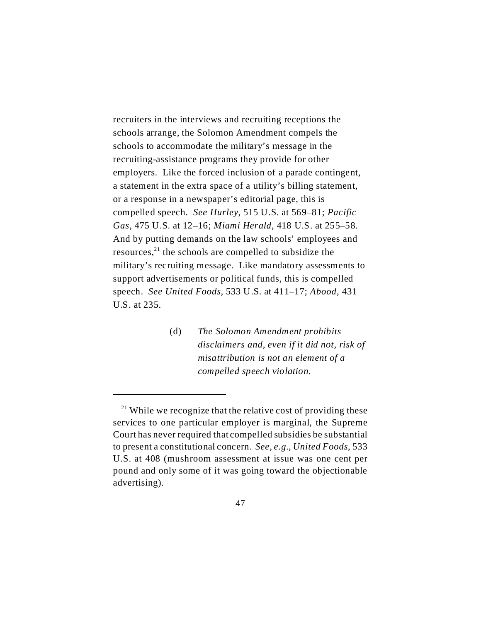recruiters in the interviews and recruiting receptions the schools arrange, the Solomon Amendment compels the schools to accommodate the military's message in the recruiting-assistance programs they provide for other employers. Like the forced inclusion of a parade contingent, a statement in the extra space of a utility's billing statement, or a response in a newspaper's editorial page, this is compelled speech. *See Hurley*, 515 U.S. at 569–81; *Pacific Gas*, 475 U.S. at 12–16; *Miami Herald*, 418 U.S. at 255–58. And by putting demands on the law schools' employees and resources, $^{21}$  the schools are compelled to subsidize the military's recruiting message. Like mandatory assessments to support advertisements or political funds, this is compelled speech. *See United Foods*, 533 U.S. at 411–17; *Abood*, 431 U.S. at 235.

> (d) *The Solomon Amendment prohibits disclaimers and, even if it did not, risk of misattribution is not an element of a compelled speech violation.*

 $21$  While we recognize that the relative cost of providing these services to one particular employer is marginal, the Supreme Court has never required that compelled subsidies be substantial to present a constitutional concern. *See, e.g.*, *United Foods*, 533 U.S. at 408 (mushroom assessment at issue was one cent per pound and only some of it was going toward the objectionable advertising).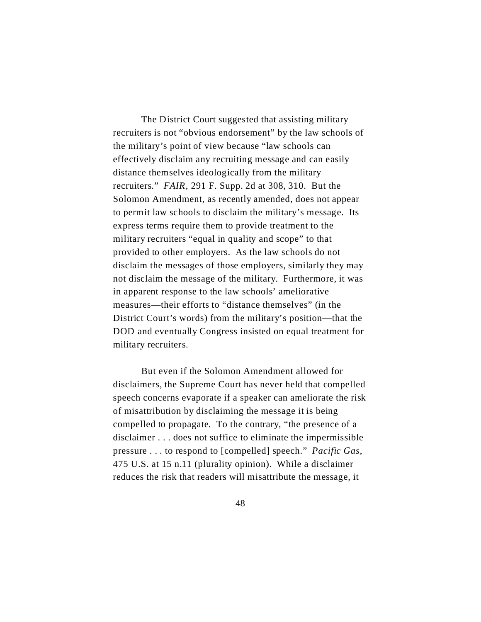The District Court suggested that assisting military recruiters is not "obvious endorsement" by the law schools of the military's point of view because "law schools can effectively disclaim any recruiting message and can easily distance themselves ideologically from the military recruiters." *FAIR*, 291 F. Supp. 2d at 308, 310. But the Solomon Amendment, as recently amended, does not appear to permit law schools to disclaim the military's message. Its express terms require them to provide treatment to the military recruiters "equal in quality and scope" to that provided to other employers. As the law schools do not disclaim the messages of those employers, similarly they may not disclaim the message of the military. Furthermore, it was in apparent response to the law schools' ameliorative measures—their efforts to "distance themselves" (in the District Court's words) from the military's position—that the DOD and eventually Congress insisted on equal treatment for military recruiters.

But even if the Solomon Amendment allowed for disclaimers, the Supreme Court has never held that compelled speech concerns evaporate if a speaker can ameliorate the risk of misattribution by disclaiming the message it is being compelled to propagate. To the contrary, "the presence of a disclaimer . . . does not suffice to eliminate the impermissible pressure . . . to respond to [compelled] speech." *Pacific Gas*, 475 U.S. at 15 n.11 (plurality opinion). While a disclaimer reduces the risk that readers will misattribute the message, it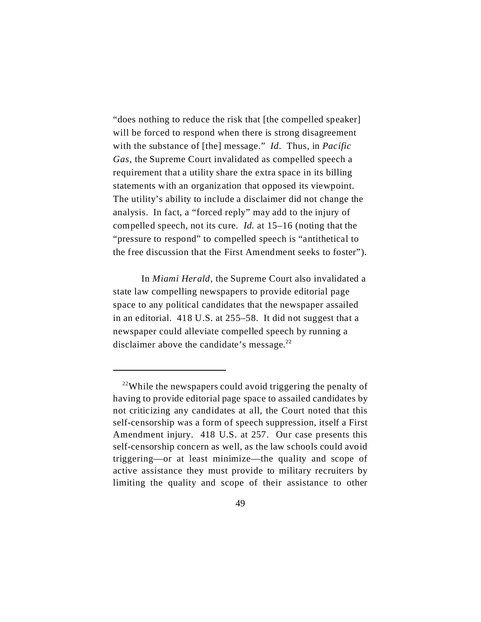"does nothing to reduce the risk that [the compelled speaker] will be forced to respond when there is strong disagreement with the substance of [the] message." *Id*. Thus, in *Pacific Gas*, the Supreme Court invalidated as compelled speech a requirement that a utility share the extra space in its billing statements with an organization that opposed its viewpoint. The utility's ability to include a disclaimer did not change the analysis. In fact, a "forced reply" may add to the injury of compelled speech, not its cure. *Id.* at 15–16 (noting that the "pressure to respond" to compelled speech is "antithetical to the free discussion that the First Amendment seeks to foster").

In *Miami Herald*, the Supreme Court also invalidated a state law compelling newspapers to provide editorial page space to any political candidates that the newspaper assailed in an editorial. 418 U.S. at 255–58. It did not suggest that a newspaper could alleviate compelled speech by running a disclaimer above the candidate's message.<sup>22</sup>

 $22$ While the newspapers could avoid triggering the penalty of having to provide editorial page space to assailed candidates by not criticizing any candidates at all, the Court noted that this self-censorship was a form of speech suppression, itself a First Amendment injury. 418 U.S. at 257. Our case presents this self-censorship concern as well, as the law schools could avoid triggering—or at least minimize—the quality and scope of active assistance they must provide to military recruiters by limiting the quality and scope of their assistance to other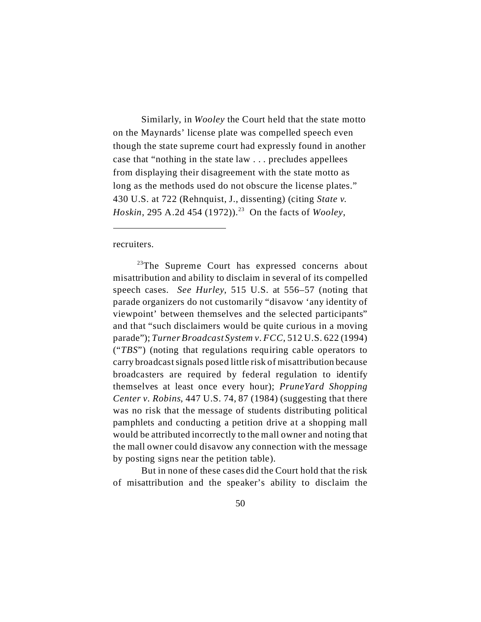Similarly, in *Wooley* the Court held that the state motto on the Maynards' license plate was compelled speech even though the state supreme court had expressly found in another case that "nothing in the state law . . . precludes appellees from displaying their disagreement with the state motto as long as the methods used do not obscure the license plates." 430 U.S. at 722 (Rehnquist, J., dissenting) (citing *State v. Hoskin*, 295 A.2d 454 (1972)).<sup>23</sup> On the facts of *Wooley*,

recruiters.

<sup>23</sup>The Supreme Court has expressed concerns about misattribution and ability to disclaim in several of its compelled speech cases. *See Hurley*, 515 U.S. at 556–57 (noting that parade organizers do not customarily "disavow 'any identity of viewpoint' between themselves and the selected participants" and that "such disclaimers would be quite curious in a moving parade"); *Turner Broadcast System v. FCC*, 512 U.S. 622 (1994) ("*TBS*") (noting that regulations requiring cable operators to carry broadcast signals posed little risk of misattribution because broadcasters are required by federal regulation to identify themselves at least once every hour); *PruneYard Shopping Center v. Robins*, 447 U.S. 74, 87 (1984) (suggesting that there was no risk that the message of students distributing political pamphlets and conducting a petition drive at a shopping mall would be attributed incorrectly to the mall owner and noting that the mall owner could disavow any connection with the message by posting signs near the petition table).

But in none of these cases did the Court hold that the risk of misattribution and the speaker's ability to disclaim the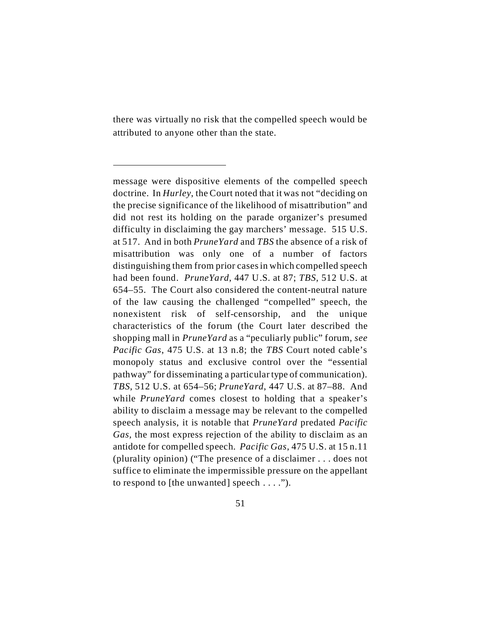there was virtually no risk that the compelled speech would be attributed to anyone other than the state.

message were dispositive elements of the compelled speech doctrine. In *Hurley*, the Court noted that it was not "deciding on the precise significance of the likelihood of misattribution" and did not rest its holding on the parade organizer's presumed difficulty in disclaiming the gay marchers' message. 515 U.S. at 517. And in both *PruneYard* and *TBS* the absence of a risk of misattribution was only one of a number of factors distinguishing them from prior cases in which compelled speech had been found. *PruneYard*, 447 U.S. at 87; *TBS*, 512 U.S. at 654–55. The Court also considered the content-neutral nature of the law causing the challenged "compelled" speech, the nonexistent risk of self-censorship, and the unique characteristics of the forum (the Court later described the shopping mall in *PruneYard* as a "peculiarly public" forum, *see Pacific Gas*, 475 U.S. at 13 n.8; the *TBS* Court noted cable's monopoly status and exclusive control over the "essential pathway" for disseminating a particular type of communication). *TBS*, 512 U.S. at 654–56; *PruneYard*, 447 U.S. at 87–88. And while *PruneYard* comes closest to holding that a speaker's ability to disclaim a message may be relevant to the compelled speech analysis, it is notable that *PruneYard* predated *Pacific Gas,* the most express rejection of the ability to disclaim as an antidote for compelled speech. *Pacific Gas*, 475 U.S. at 15 n.11 (plurality opinion) ("The presence of a disclaimer . . . does not suffice to eliminate the impermissible pressure on the appellant to respond to [the unwanted] speech  $\dots$ .").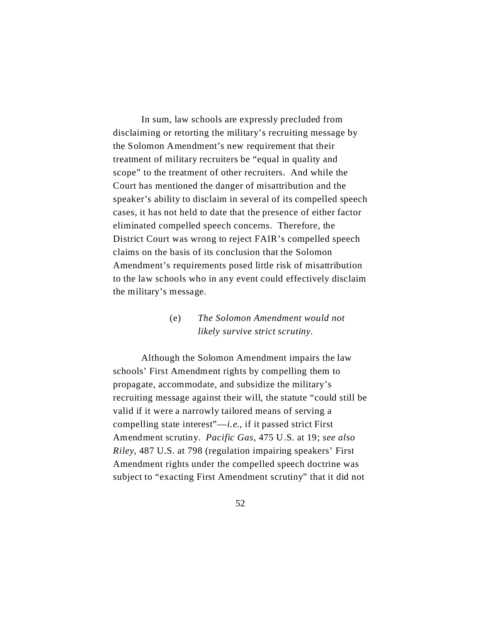In sum, law schools are expressly precluded from disclaiming or retorting the military's recruiting message by the Solomon Amendment's new requirement that their treatment of military recruiters be "equal in quality and scope" to the treatment of other recruiters. And while the Court has mentioned the danger of misattribution and the speaker's ability to disclaim in several of its compelled speech cases, it has not held to date that the presence of either factor eliminated compelled speech concerns. Therefore, the District Court was wrong to reject FAIR's compelled speech claims on the basis of its conclusion that the Solomon Amendment's requirements posed little risk of misattribution to the law schools who in any event could effectively disclaim the military's message.

# (e) *The Solomon Amendment would not likely survive strict scrutiny.*

Although the Solomon Amendment impairs the law schools' First Amendment rights by compelling them to propagate, accommodate, and subsidize the military's recruiting message against their will, the statute "could still be valid if it were a narrowly tailored means of serving a compelling state interest"—*i.e.*, if it passed strict First Amendment scrutiny. *Pacific Gas*, 475 U.S. at 19; *see also Riley*, 487 U.S. at 798 (regulation impairing speakers' First Amendment rights under the compelled speech doctrine was subject to "exacting First Amendment scrutiny" that it did not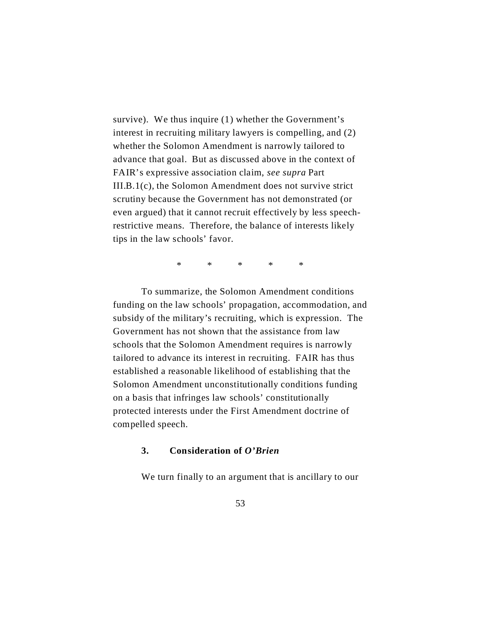survive). We thus inquire (1) whether the Government's interest in recruiting military lawyers is compelling, and (2) whether the Solomon Amendment is narrowly tailored to advance that goal. But as discussed above in the context of FAIR's expressive association claim, *see supra* Part III.B.1(c), the Solomon Amendment does not survive strict scrutiny because the Government has not demonstrated (or even argued) that it cannot recruit effectively by less speechrestrictive means. Therefore, the balance of interests likely tips in the law schools' favor.

\* \* \* \* \*

To summarize, the Solomon Amendment conditions funding on the law schools' propagation, accommodation, and subsidy of the military's recruiting, which is expression. The Government has not shown that the assistance from law schools that the Solomon Amendment requires is narrowly tailored to advance its interest in recruiting. FAIR has thus established a reasonable likelihood of establishing that the Solomon Amendment unconstitutionally conditions funding on a basis that infringes law schools' constitutionally protected interests under the First Amendment doctrine of compelled speech.

## **3. Consideration of** *O'Brien*

We turn finally to an argument that is ancillary to our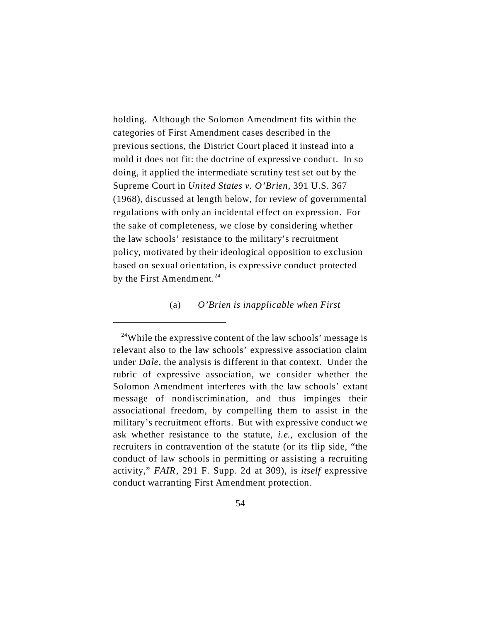holding. Although the Solomon Amendment fits within the categories of First Amendment cases described in the previous sections, the District Court placed it instead into a mold it does not fit: the doctrine of expressive conduct. In so doing, it applied the intermediate scrutiny test set out by the Supreme Court in *United States v. O'Brien*, 391 U.S. 367 (1968), discussed at length below, for review of governmental regulations with only an incidental effect on expression. For the sake of completeness, we close by considering whether the law schools' resistance to the military's recruitment policy, motivated by their ideological opposition to exclusion based on sexual orientation, is expressive conduct protected by the First Amendment.<sup>24</sup>

#### (a) *O'Brien is inapplicable when First*

<sup>24</sup>While the expressive content of the law schools' message is relevant also to the law schools' expressive association claim under *Dale*, the analysis is different in that context. Under the rubric of expressive association, we consider whether the Solomon Amendment interferes with the law schools' extant message of nondiscrimination, and thus impinges their associational freedom, by compelling them to assist in the military's recruitment efforts. But with expressive conduct we ask whether resistance to the statute, *i.e.*, exclusion of the recruiters in contravention of the statute (or its flip side, "the conduct of law schools in permitting or assisting a recruiting activity," *FAIR*, 291 F. Supp. 2d at 309), is *itself* expressive conduct warranting First Amendment protection.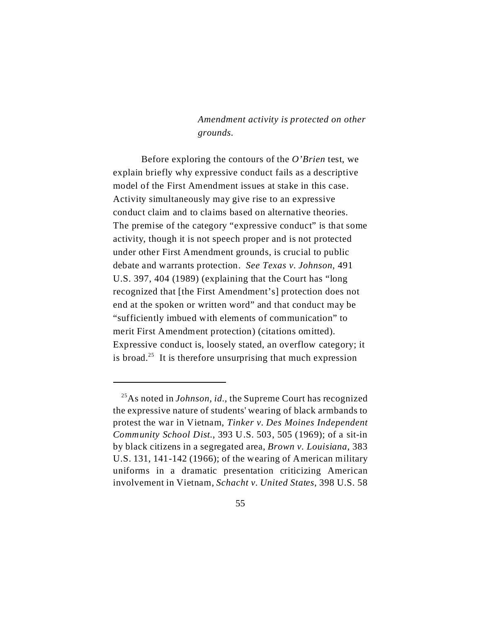*Amendment activity is protected on other grounds.*

Before exploring the contours of the *O'Brien* test, we explain briefly why expressive conduct fails as a descriptive model of the First Amendment issues at stake in this case. Activity simultaneously may give rise to an expressive conduct claim and to claims based on alternative theories. The premise of the category "expressive conduct" is that some activity, though it is not speech proper and is not protected under other First Amendment grounds, is crucial to public debate and warrants protection. *See Texas v. Johnson*, 491 U.S. 397, 404 (1989) (explaining that the Court has "long recognized that [the First Amendment's] protection does not end at the spoken or written word" and that conduct may be "sufficiently imbued with elements of communication" to merit First Amendment protection) (citations omitted). Expressive conduct is, loosely stated, an overflow category; it is broad.<sup>25</sup> It is therefore unsurprising that much expression

<sup>25</sup>As noted in *Johnson*, *id.*, the Supreme Court has recognized the expressive nature of students' wearing of black armbands to protest the war in Vietnam, *Tinker v. Des Moines Independent Community School Dist.*, 393 U.S. 503, 505 (1969); of a sit-in by black citizens in a segregated area, *Brown v. Louisiana*, 383 U.S. 131, 141-142 (1966); of the wearing of American military uniforms in a dramatic presentation criticizing American involvement in Vietnam, *Schacht v. United States*, 398 U.S. 58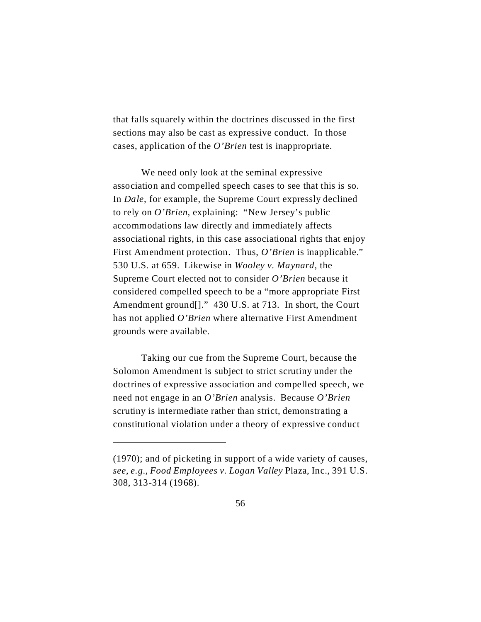that falls squarely within the doctrines discussed in the first sections may also be cast as expressive conduct. In those cases, application of the *O'Brien* test is inappropriate.

We need only look at the seminal expressive association and compelled speech cases to see that this is so. In *Dale*, for example, the Supreme Court expressly declined to rely on *O'Brien*, explaining: "New Jersey's public accommodations law directly and immediately affects associational rights, in this case associational rights that enjoy First Amendment protection. Thus, *O'Brien* is inapplicable." 530 U.S. at 659. Likewise in *Wooley v. Maynard*, the Supreme Court elected not to consider *O'Brien* because it considered compelled speech to be a "more appropriate First Amendment ground<sup>[]</sup>." 430 U.S. at 713. In short, the Court has not applied *O'Brien* where alternative First Amendment grounds were available.

Taking our cue from the Supreme Court, because the Solomon Amendment is subject to strict scrutiny under the doctrines of expressive association and compelled speech, we need not engage in an *O'Brien* analysis. Because *O'Brien* scrutiny is intermediate rather than strict, demonstrating a constitutional violation under a theory of expressive conduct

<sup>(1970);</sup> and of picketing in support of a wide variety of causes, *see*, *e.g.*, *Food Employees v. Logan Valley* Plaza, Inc., 391 U.S. 308, 313-314 (1968).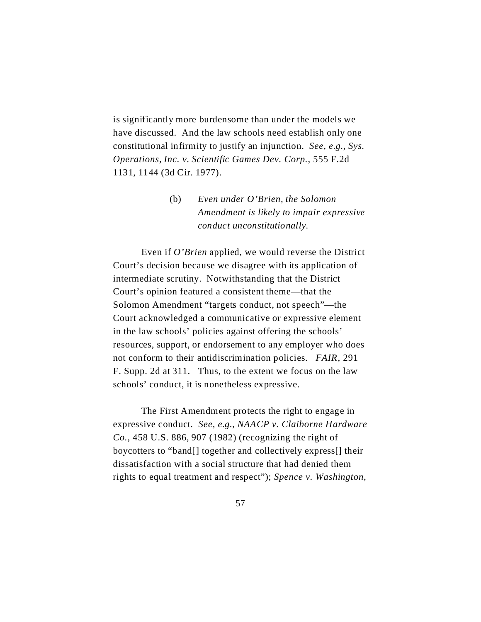is significantly more burdensome than under the models we have discussed. And the law schools need establish only one constitutional infirmity to justify an injunction. *See, e.g.*, *Sys. Operations, Inc. v. Scientific Games Dev. Corp.*, 555 F.2d 1131, 1144 (3d Cir. 1977).

> (b) *Even under O'Brien, the Solomon Amendment is likely to impair expressive conduct unconstitutionally.*

Even if *O'Brien* applied, we would reverse the District Court's decision because we disagree with its application of intermediate scrutiny. Notwithstanding that the District Court's opinion featured a consistent theme—that the Solomon Amendment "targets conduct, not speech"—the Court acknowledged a communicative or expressive element in the law schools' policies against offering the schools' resources, support, or endorsement to any employer who does not conform to their antidiscrimination policies. *FAIR*, 291 F. Supp. 2d at 311. Thus, to the extent we focus on the law schools' conduct, it is nonetheless expressive.

The First Amendment protects the right to engage in expressive conduct. *See, e.g.*, *NAACP v. Claiborne Hardware Co.*, 458 U.S. 886, 907 (1982) (recognizing the right of boycotters to "band[] together and collectively express[] their dissatisfaction with a social structure that had denied them rights to equal treatment and respect"); *Spence v. Washington*,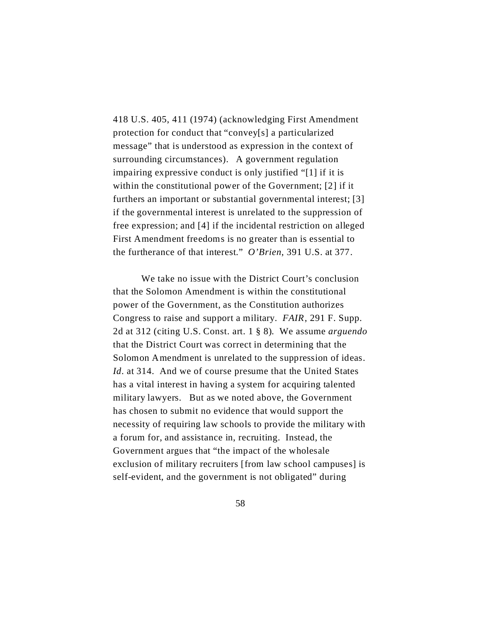418 U.S. 405, 411 (1974) (acknowledging First Amendment protection for conduct that "convey[s] a particularized message" that is understood as expression in the context of surrounding circumstances). A government regulation impairing expressive conduct is only justified "[1] if it is within the constitutional power of the Government; [2] if it furthers an important or substantial governmental interest; [3] if the governmental interest is unrelated to the suppression of free expression; and [4] if the incidental restriction on alleged First Amendment freedoms is no greater than is essential to the furtherance of that interest." *O'Brien*, 391 U.S. at 377.

We take no issue with the District Court's conclusion that the Solomon Amendment is within the constitutional power of the Government, as the Constitution authorizes Congress to raise and support a military. *FAIR*, 291 F. Supp. 2d at 312 (citing U.S. Const. art. 1 § 8). We assume *arguendo* that the District Court was correct in determining that the Solomon Amendment is unrelated to the suppression of ideas. *Id*. at 314. And we of course presume that the United States has a vital interest in having a system for acquiring talented military lawyers. But as we noted above, the Government has chosen to submit no evidence that would support the necessity of requiring law schools to provide the military with a forum for, and assistance in, recruiting. Instead, the Government argues that "the impact of the wholesale exclusion of military recruiters [from law school campuses] is self-evident, and the government is not obligated" during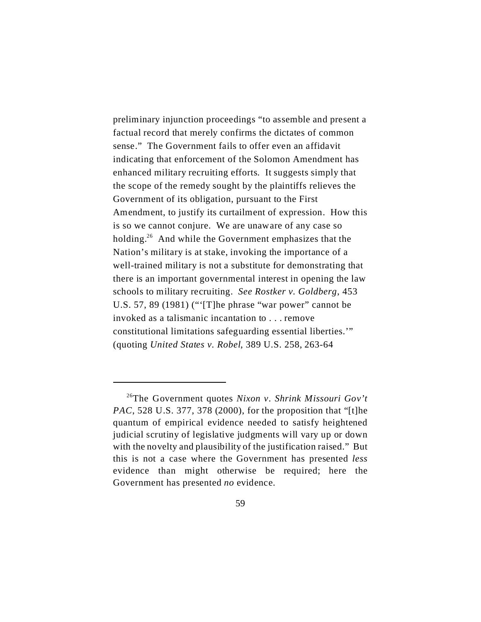preliminary injunction proceedings "to assemble and present a factual record that merely confirms the dictates of common sense." The Government fails to offer even an affidavit indicating that enforcement of the Solomon Amendment has enhanced military recruiting efforts. It suggests simply that the scope of the remedy sought by the plaintiffs relieves the Government of its obligation, pursuant to the First Amendment, to justify its curtailment of expression. How this is so we cannot conjure. We are unaware of any case so holding.<sup>26</sup> And while the Government emphasizes that the Nation's military is at stake, invoking the importance of a well-trained military is not a substitute for demonstrating that there is an important governmental interest in opening the law schools to military recruiting. *See Rostker v. Goldberg*, 453 U.S. 57, 89 (1981) ("'[T]he phrase "war power" cannot be invoked as a talismanic incantation to . . . remove constitutional limitations safeguarding essential liberties.'" (quoting *United States v. Robel*, 389 U.S. 258, 263-64

<sup>26</sup>The Government quotes *Nixon v. Shrink Missouri Gov't PAC*, 528 U.S. 377, 378 (2000), for the proposition that "[t]he quantum of empirical evidence needed to satisfy heightened judicial scrutiny of legislative judgments will vary up or down with the novelty and plausibility of the justification raised." But this is not a case where the Government has presented *less* evidence than might otherwise be required; here the Government has presented *no* evidence.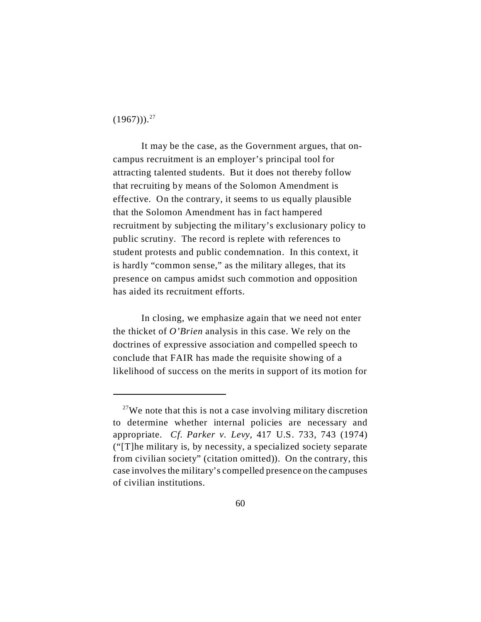$(1967))$ <sup>27</sup>

It may be the case, as the Government argues, that oncampus recruitment is an employer's principal tool for attracting talented students. But it does not thereby follow that recruiting by means of the Solomon Amendment is effective. On the contrary, it seems to us equally plausible that the Solomon Amendment has in fact hampered recruitment by subjecting the military's exclusionary policy to public scrutiny. The record is replete with references to student protests and public condemnation. In this context, it is hardly "common sense," as the military alleges, that its presence on campus amidst such commotion and opposition has aided its recruitment efforts.

In closing, we emphasize again that we need not enter the thicket of *O'Brien* analysis in this case. We rely on the doctrines of expressive association and compelled speech to conclude that FAIR has made the requisite showing of a likelihood of success on the merits in support of its motion for

 $27$ We note that this is not a case involving military discretion to determine whether internal policies are necessary and appropriate. *Cf*. *Parker v. Levy*, 417 U.S. 733, 743 (1974) ("[T]he military is, by necessity, a specialized society separate from civilian society" (citation omitted)). On the contrary, this case involves the military's compelled presence on the campuses of civilian institutions.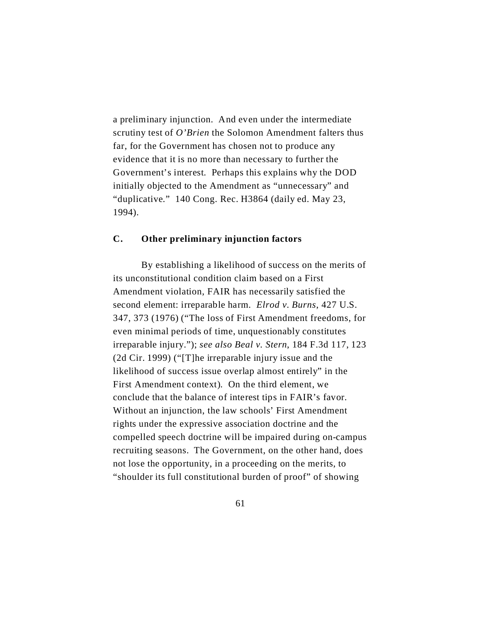a preliminary injunction. And even under the intermediate scrutiny test of *O'Brien* the Solomon Amendment falters thus far, for the Government has chosen not to produce any evidence that it is no more than necessary to further the Government's interest. Perhaps this explains why the DOD initially objected to the Amendment as "unnecessary" and "duplicative." 140 Cong. Rec. H3864 (daily ed. May 23, 1994).

### **C. Other preliminary injunction factors**

By establishing a likelihood of success on the merits of its unconstitutional condition claim based on a First Amendment violation, FAIR has necessarily satisfied the second element: irreparable harm. *Elrod v. Burns*, 427 U.S. 347, 373 (1976) ("The loss of First Amendment freedoms, for even minimal periods of time, unquestionably constitutes irreparable injury."); *see also Beal v. Stern*, 184 F.3d 117, 123 (2d Cir. 1999) ("[T]he irreparable injury issue and the likelihood of success issue overlap almost entirely" in the First Amendment context). On the third element, we conclude that the balance of interest tips in FAIR's favor. Without an injunction, the law schools' First Amendment rights under the expressive association doctrine and the compelled speech doctrine will be impaired during on-campus recruiting seasons. The Government, on the other hand, does not lose the opportunity, in a proceeding on the merits, to "shoulder its full constitutional burden of proof" of showing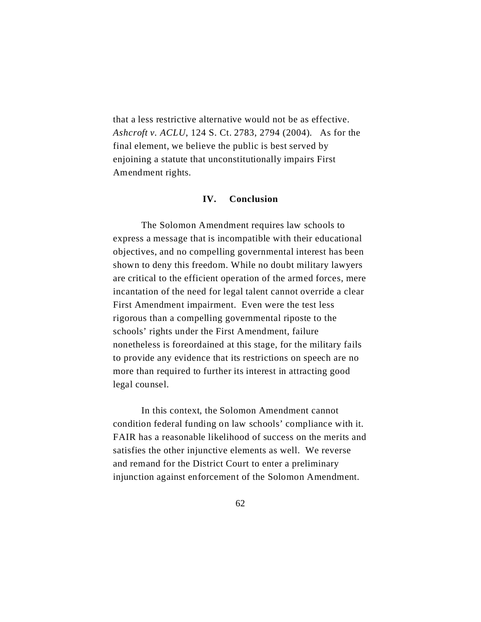that a less restrictive alternative would not be as effective. *Ashcroft v. ACLU*, 124 S. Ct. 2783, 2794 (2004). As for the final element, we believe the public is best served by enjoining a statute that unconstitutionally impairs First Amendment rights.

## **IV. Conclusion**

The Solomon Amendment requires law schools to express a message that is incompatible with their educational objectives, and no compelling governmental interest has been shown to deny this freedom. While no doubt military lawyers are critical to the efficient operation of the armed forces, mere incantation of the need for legal talent cannot override a clear First Amendment impairment. Even were the test less rigorous than a compelling governmental riposte to the schools' rights under the First Amendment, failure nonetheless is foreordained at this stage, for the military fails to provide any evidence that its restrictions on speech are no more than required to further its interest in attracting good legal counsel.

In this context, the Solomon Amendment cannot condition federal funding on law schools' compliance with it. FAIR has a reasonable likelihood of success on the merits and satisfies the other injunctive elements as well. We reverse and remand for the District Court to enter a preliminary injunction against enforcement of the Solomon Amendment.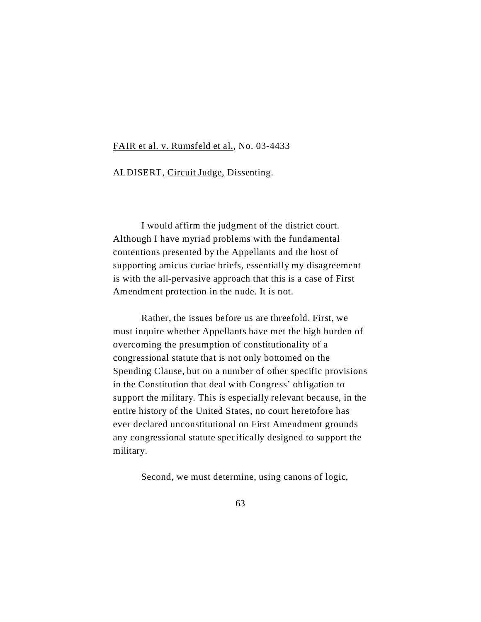#### FAIR et al. v. Rumsfeld et al., No. 03-4433

ALDISERT, Circuit Judge, Dissenting.

I would affirm the judgment of the district court. Although I have myriad problems with the fundamental contentions presented by the Appellants and the host of supporting amicus curiae briefs, essentially my disagreement is with the all-pervasive approach that this is a case of First Amendment protection in the nude. It is not.

Rather, the issues before us are threefold. First, we must inquire whether Appellants have met the high burden of overcoming the presumption of constitutionality of a congressional statute that is not only bottomed on the Spending Clause, but on a number of other specific provisions in the Constitution that deal with Congress' obligation to support the military. This is especially relevant because, in the entire history of the United States, no court heretofore has ever declared unconstitutional on First Amendment grounds any congressional statute specifically designed to support the military.

Second, we must determine, using canons of logic,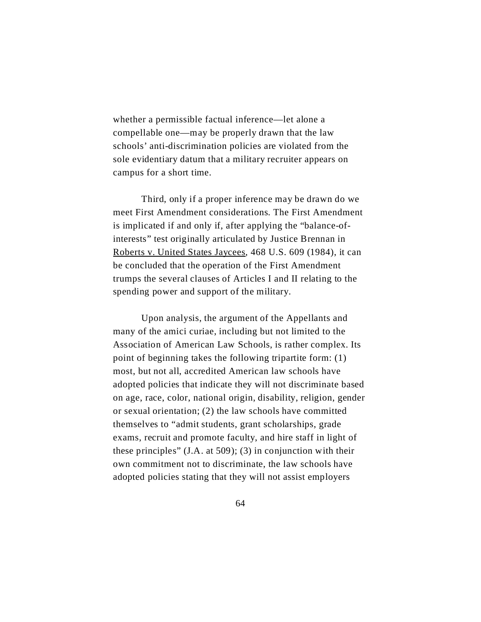whether a permissible factual inference—let alone a compellable one—may be properly drawn that the law schools' anti-discrimination policies are violated from the sole evidentiary datum that a military recruiter appears on campus for a short time.

Third, only if a proper inference may be drawn do we meet First Amendment considerations. The First Amendment is implicated if and only if, after applying the "balance-ofinterests" test originally articulated by Justice Brennan in Roberts v. United States Jaycees, 468 U.S. 609 (1984), it can be concluded that the operation of the First Amendment trumps the several clauses of Articles I and II relating to the spending power and support of the military.

Upon analysis, the argument of the Appellants and many of the amici curiae, including but not limited to the Association of American Law Schools, is rather complex. Its point of beginning takes the following tripartite form: (1) most, but not all, accredited American law schools have adopted policies that indicate they will not discriminate based on age, race, color, national origin, disability, religion, gender or sexual orientation; (2) the law schools have committed themselves to "admit students, grant scholarships, grade exams, recruit and promote faculty, and hire staff in light of these principles" (J.A. at 509); (3) in conjunction with their own commitment not to discriminate, the law schools have adopted policies stating that they will not assist employers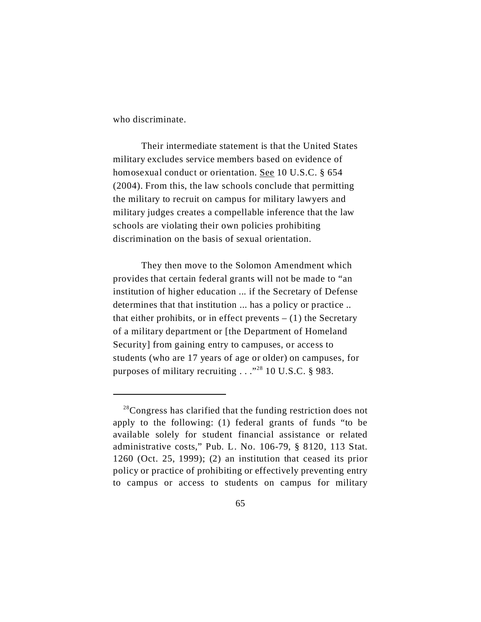who discriminate.

Their intermediate statement is that the United States military excludes service members based on evidence of homosexual conduct or orientation. See 10 U.S.C. § 654 (2004). From this, the law schools conclude that permitting the military to recruit on campus for military lawyers and military judges creates a compellable inference that the law schools are violating their own policies prohibiting discrimination on the basis of sexual orientation.

They then move to the Solomon Amendment which provides that certain federal grants will not be made to "an institution of higher education ... if the Secretary of Defense determines that that institution ... has a policy or practice .. that either prohibits, or in effect prevents  $- (1)$  the Secretary of a military department or [the Department of Homeland Security] from gaining entry to campuses, or access to students (who are 17 years of age or older) on campuses, for purposes of military recruiting  $\ldots$ <sup>28</sup> 10 U.S.C. § 983.

<sup>&</sup>lt;sup>28</sup>Congress has clarified that the funding restriction does not apply to the following: (1) federal grants of funds "to be available solely for student financial assistance or related administrative costs," Pub. L. No. 106-79, § 8120, 113 Stat. 1260 (Oct. 25, 1999); (2) an institution that ceased its prior policy or practice of prohibiting or effectively preventing entry to campus or access to students on campus for military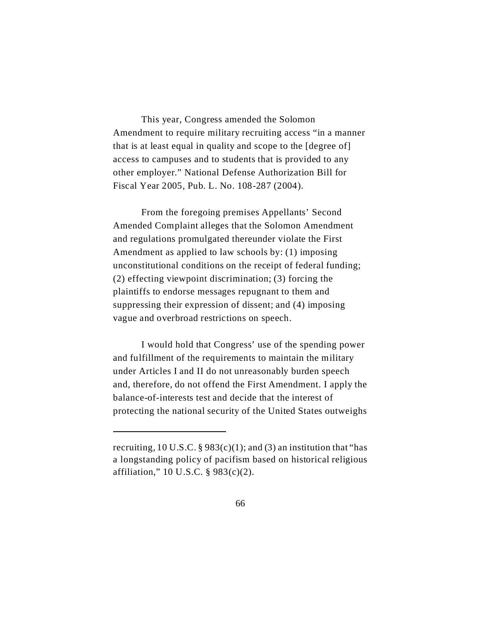This year, Congress amended the Solomon Amendment to require military recruiting access "in a manner that is at least equal in quality and scope to the [degree of] access to campuses and to students that is provided to any other employer." National Defense Authorization Bill for Fiscal Year 2005, Pub. L. No. 108-287 (2004).

From the foregoing premises Appellants' Second Amended Complaint alleges that the Solomon Amendment and regulations promulgated thereunder violate the First Amendment as applied to law schools by: (1) imposing unconstitutional conditions on the receipt of federal funding; (2) effecting viewpoint discrimination; (3) forcing the plaintiffs to endorse messages repugnant to them and suppressing their expression of dissent; and (4) imposing vague and overbroad restrictions on speech.

I would hold that Congress' use of the spending power and fulfillment of the requirements to maintain the military under Articles I and II do not unreasonably burden speech and, therefore, do not offend the First Amendment. I apply the balance-of-interests test and decide that the interest of protecting the national security of the United States outweighs

recruiting, 10 U.S.C. § 983 $(c)(1)$ ; and  $(3)$  an institution that "has a longstanding policy of pacifism based on historical religious affiliation," 10 U.S.C. § 983(c)(2).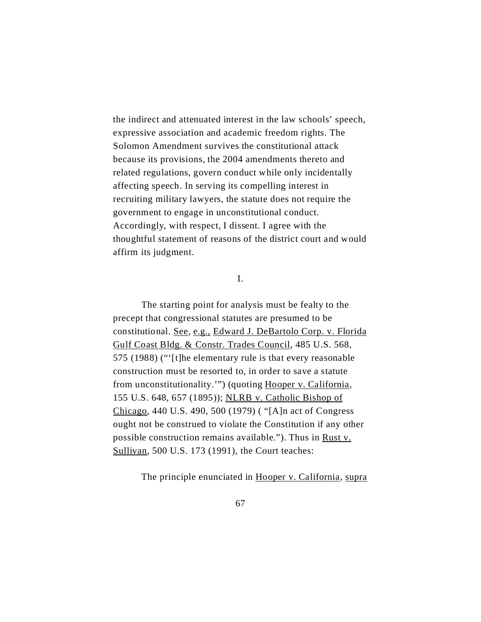the indirect and attenuated interest in the law schools' speech, expressive association and academic freedom rights. The Solomon Amendment survives the constitutional attack because its provisions, the 2004 amendments thereto and related regulations, govern conduct while only incidentally affecting speech. In serving its compelling interest in recruiting military lawyers, the statute does not require the government to engage in unconstitutional conduct. Accordingly, with respect, I dissent. I agree with the thoughtful statement of reasons of the district court and would affirm its judgment.

I.

The starting point for analysis must be fealty to the precept that congressional statutes are presumed to be constitutional. See, e.g., Edward J. DeBartolo Corp. v. Florida Gulf Coast Bldg. & Constr. Trades Council, 485 U.S. 568, 575 (1988) ("'[t]he elementary rule is that every reasonable construction must be resorted to, in order to save a statute from unconstitutionality.'") (quoting Hooper v. California, 155 U.S. 648, 657 (1895)); NLRB v. Catholic Bishop of Chicago, 440 U.S. 490, 500 (1979) ( "[A]n act of Congress ought not be construed to violate the Constitution if any other possible construction remains available."). Thus in Rust v. Sullivan, 500 U.S. 173 (1991), the Court teaches:

The principle enunciated in Hooper v. California, supra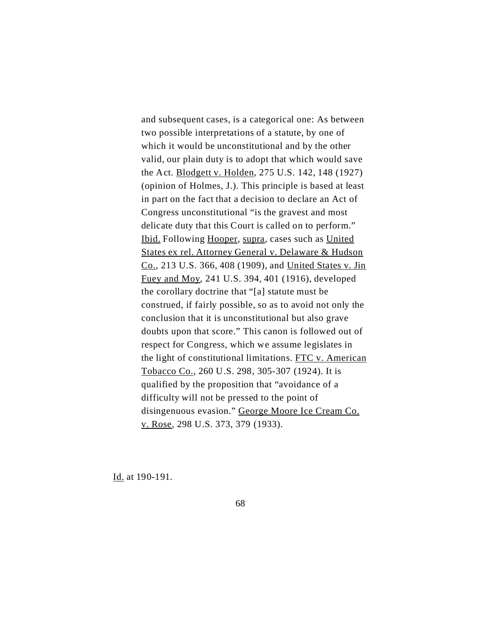and subsequent cases, is a categorical one: As between two possible interpretations of a statute, by one of which it would be unconstitutional and by the other valid, our plain duty is to adopt that which would save the Act. Blodgett v. Holden, 275 U.S. 142, 148 (1927) (opinion of Holmes, J.). This principle is based at least in part on the fact that a decision to declare an Act of Congress unconstitutional "is the gravest and most delicate duty that this Court is called on to perform." Ibid. Following Hooper, supra, cases such as United States ex rel. Attorney General v. Delaware & Hudson Co., 213 U.S. 366, 408 (1909), and United States v. Jin Fuey and Moy, 241 U.S. 394, 401 (1916), developed the corollary doctrine that "[a] statute must be construed, if fairly possible, so as to avoid not only the conclusion that it is unconstitutional but also grave doubts upon that score." This canon is followed out of respect for Congress, which we assume legislates in the light of constitutional limitations. FTC v. American Tobacco Co., 260 U.S. 298, 305-307 (1924). It is qualified by the proposition that "avoidance of a difficulty will not be pressed to the point of disingenuous evasion." George Moore Ice Cream Co. v. Rose, 298 U.S. 373, 379 (1933).

Id. at 190-191.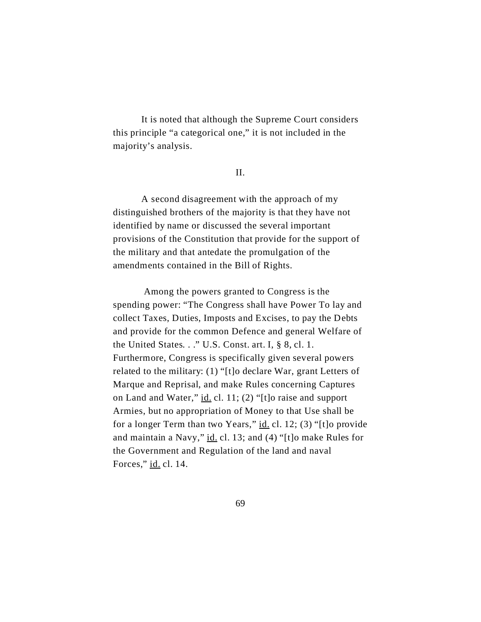It is noted that although the Supreme Court considers this principle "a categorical one," it is not included in the majority's analysis.

#### II.

A second disagreement with the approach of my distinguished brothers of the majority is that they have not identified by name or discussed the several important provisions of the Constitution that provide for the support of the military and that antedate the promulgation of the amendments contained in the Bill of Rights.

 Among the powers granted to Congress is the spending power: "The Congress shall have Power To lay and collect Taxes, Duties, Imposts and Excises, to pay the Debts and provide for the common Defence and general Welfare of the United States. . ." U.S. Const. art. I, § 8, cl. 1. Furthermore, Congress is specifically given several powers related to the military: (1) "[t]o declare War, grant Letters of Marque and Reprisal, and make Rules concerning Captures on Land and Water," id. cl. 11; (2) "[t]o raise and support Armies, but no appropriation of Money to that Use shall be for a longer Term than two Years," id. cl. 12; (3) "[t]o provide and maintain a Navy," id. cl. 13; and (4) "[t]o make Rules for the Government and Regulation of the land and naval Forces," id. cl. 14.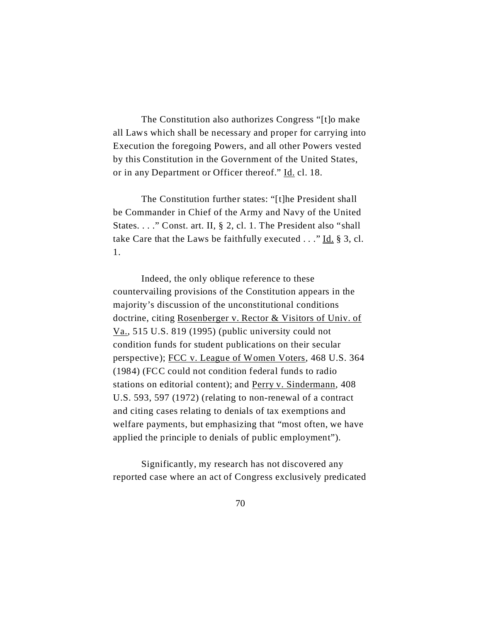The Constitution also authorizes Congress "[t]o make all Laws which shall be necessary and proper for carrying into Execution the foregoing Powers, and all other Powers vested by this Constitution in the Government of the United States, or in any Department or Officer thereof." Id. cl. 18.

The Constitution further states: "[t]he President shall be Commander in Chief of the Army and Navy of the United States. . . ." Const. art. II, § 2, cl. 1. The President also "shall take Care that the Laws be faithfully executed  $\ldots$ " Id. § 3, cl. 1.

Indeed, the only oblique reference to these countervailing provisions of the Constitution appears in the majority's discussion of the unconstitutional conditions doctrine, citing Rosenberger v. Rector & Visitors of Univ. of Va., 515 U.S. 819 (1995) (public university could not condition funds for student publications on their secular perspective); FCC v. League of Women Voters, 468 U.S. 364 (1984) (FCC could not condition federal funds to radio stations on editorial content); and Perry v. Sindermann, 408 U.S. 593, 597 (1972) (relating to non-renewal of a contract and citing cases relating to denials of tax exemptions and welfare payments, but emphasizing that "most often, we have applied the principle to denials of public employment").

Significantly, my research has not discovered any reported case where an act of Congress exclusively predicated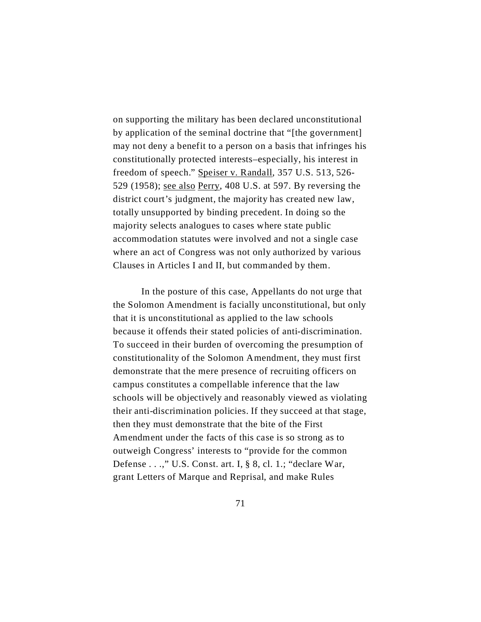on supporting the military has been declared unconstitutional by application of the seminal doctrine that "[the government] may not deny a benefit to a person on a basis that infringes his constitutionally protected interests–especially, his interest in freedom of speech." Speiser v. Randall, 357 U.S. 513, 526- 529 (1958); see also Perry, 408 U.S. at 597. By reversing the district court's judgment, the majority has created new law, totally unsupported by binding precedent. In doing so the majority selects analogues to cases where state public accommodation statutes were involved and not a single case where an act of Congress was not only authorized by various Clauses in Articles I and II, but commanded by them.

In the posture of this case, Appellants do not urge that the Solomon Amendment is facially unconstitutional, but only that it is unconstitutional as applied to the law schools because it offends their stated policies of anti-discrimination. To succeed in their burden of overcoming the presumption of constitutionality of the Solomon Amendment, they must first demonstrate that the mere presence of recruiting officers on campus constitutes a compellable inference that the law schools will be objectively and reasonably viewed as violating their anti-discrimination policies. If they succeed at that stage, then they must demonstrate that the bite of the First Amendment under the facts of this case is so strong as to outweigh Congress' interests to "provide for the common Defense . . .," U.S. Const. art. I, § 8, cl. 1.; "declare War, grant Letters of Marque and Reprisal, and make Rules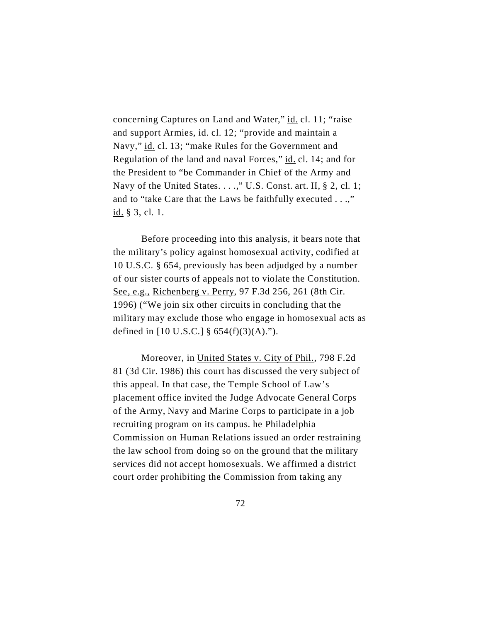concerning Captures on Land and Water," id. cl. 11; "raise and support Armies, id. cl. 12; "provide and maintain a Navy," id. cl. 13; "make Rules for the Government and Regulation of the land and naval Forces," id. cl. 14; and for the President to "be Commander in Chief of the Army and Navy of the United States. . . .," U.S. Const. art. II, § 2, cl. 1; and to "take Care that the Laws be faithfully executed . . .," id. § 3, cl. 1.

Before proceeding into this analysis, it bears note that the military's policy against homosexual activity, codified at 10 U.S.C. § 654, previously has been adjudged by a number of our sister courts of appeals not to violate the Constitution. See, e.g., Richenberg v. Perry, 97 F.3d 256, 261 (8th Cir. 1996) ("We join six other circuits in concluding that the military may exclude those who engage in homosexual acts as defined in [10 U.S.C.] §  $654(f)(3)(A)$ .").

Moreover, in United States v. City of Phil., 798 F.2d 81 (3d Cir. 1986) this court has discussed the very subject of this appeal. In that case, the Temple School of Law's placement office invited the Judge Advocate General Corps of the Army, Navy and Marine Corps to participate in a job recruiting program on its campus. he Philadelphia Commission on Human Relations issued an order restraining the law school from doing so on the ground that the military services did not accept homosexuals. We affirmed a district court order prohibiting the Commission from taking any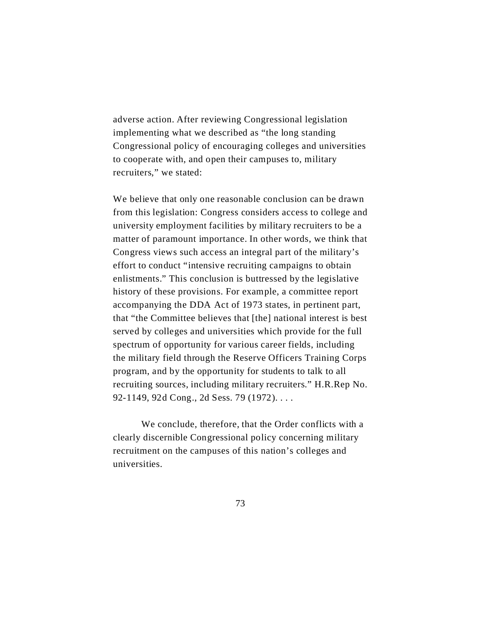adverse action. After reviewing Congressional legislation implementing what we described as "the long standing Congressional policy of encouraging colleges and universities to cooperate with, and open their campuses to, military recruiters," we stated:

We believe that only one reasonable conclusion can be drawn from this legislation: Congress considers access to college and university employment facilities by military recruiters to be a matter of paramount importance. In other words, we think that Congress views such access an integral part of the military's effort to conduct "intensive recruiting campaigns to obtain enlistments." This conclusion is buttressed by the legislative history of these provisions. For example, a committee report accompanying the DDA Act of 1973 states, in pertinent part, that "the Committee believes that [the] national interest is best served by colleges and universities which provide for the full spectrum of opportunity for various career fields, including the military field through the Reserve Officers Training Corps program, and by the opportunity for students to talk to all recruiting sources, including military recruiters." H.R.Rep No. 92-1149, 92d Cong., 2d Sess. 79 (1972). . . .

We conclude, therefore, that the Order conflicts with a clearly discernible Congressional policy concerning military recruitment on the campuses of this nation's colleges and universities.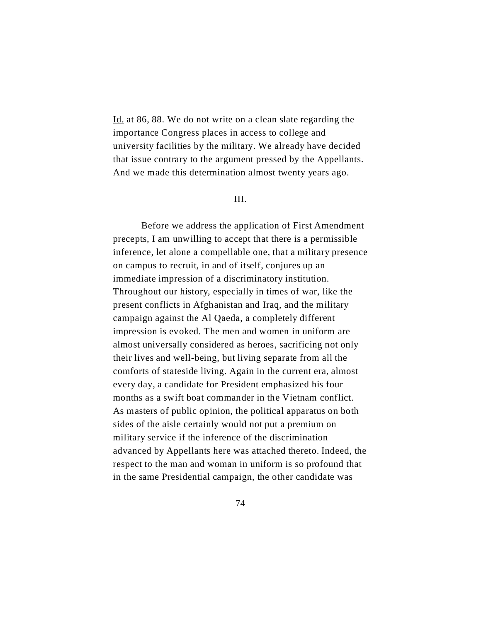Id. at 86, 88. We do not write on a clean slate regarding the importance Congress places in access to college and university facilities by the military. We already have decided that issue contrary to the argument pressed by the Appellants. And we made this determination almost twenty years ago.

#### III.

Before we address the application of First Amendment precepts, I am unwilling to accept that there is a permissible inference, let alone a compellable one, that a military presence on campus to recruit, in and of itself, conjures up an immediate impression of a discriminatory institution. Throughout our history, especially in times of war, like the present conflicts in Afghanistan and Iraq, and the military campaign against the Al Qaeda, a completely different impression is evoked. The men and women in uniform are almost universally considered as heroes, sacrificing not only their lives and well-being, but living separate from all the comforts of stateside living. Again in the current era, almost every day, a candidate for President emphasized his four months as a swift boat commander in the Vietnam conflict. As masters of public opinion, the political apparatus on both sides of the aisle certainly would not put a premium on military service if the inference of the discrimination advanced by Appellants here was attached thereto. Indeed, the respect to the man and woman in uniform is so profound that in the same Presidential campaign, the other candidate was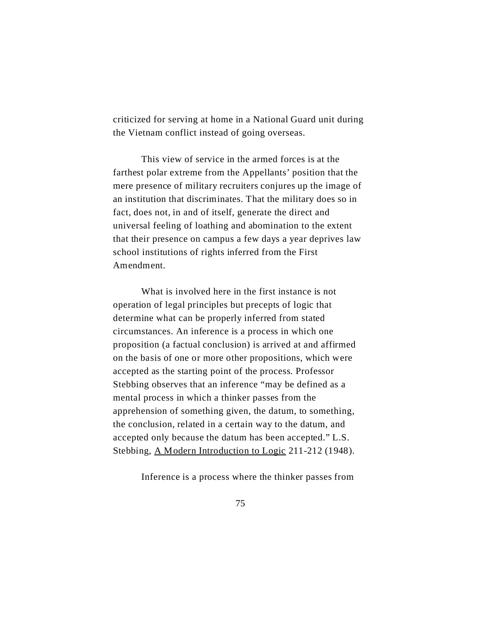criticized for serving at home in a National Guard unit during the Vietnam conflict instead of going overseas.

This view of service in the armed forces is at the farthest polar extreme from the Appellants' position that the mere presence of military recruiters conjures up the image of an institution that discriminates. That the military does so in fact, does not, in and of itself, generate the direct and universal feeling of loathing and abomination to the extent that their presence on campus a few days a year deprives law school institutions of rights inferred from the First Amendment.

What is involved here in the first instance is not operation of legal principles but precepts of logic that determine what can be properly inferred from stated circumstances. An inference is a process in which one proposition (a factual conclusion) is arrived at and affirmed on the basis of one or more other propositions, which were accepted as the starting point of the process. Professor Stebbing observes that an inference "may be defined as a mental process in which a thinker passes from the apprehension of something given, the datum, to something, the conclusion, related in a certain way to the datum, and accepted only because the datum has been accepted." L.S. Stebbing, A Modern Introduction to Logic 211-212 (1948).

Inference is a process where the thinker passes from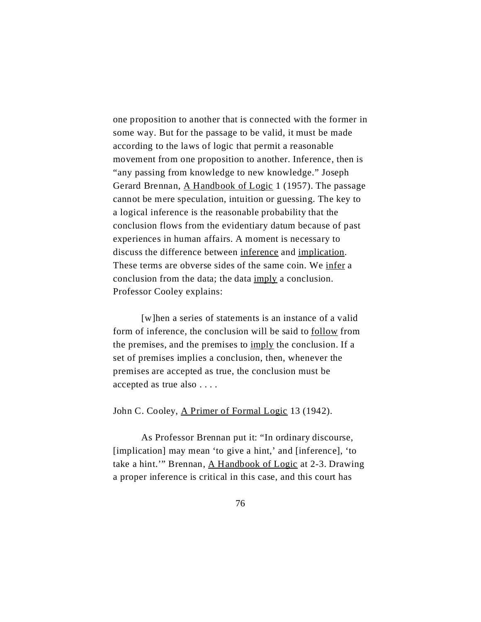one proposition to another that is connected with the former in some way. But for the passage to be valid, it must be made according to the laws of logic that permit a reasonable movement from one proposition to another. Inference, then is "any passing from knowledge to new knowledge." Joseph Gerard Brennan, A Handbook of Logic 1 (1957). The passage cannot be mere speculation, intuition or guessing. The key to a logical inference is the reasonable probability that the conclusion flows from the evidentiary datum because of past experiences in human affairs. A moment is necessary to discuss the difference between inference and implication. These terms are obverse sides of the same coin. We infer a conclusion from the data; the data imply a conclusion. Professor Cooley explains:

[w]hen a series of statements is an instance of a valid form of inference, the conclusion will be said to follow from the premises, and the premises to imply the conclusion. If a set of premises implies a conclusion, then, whenever the premises are accepted as true, the conclusion must be accepted as true also . . . .

John C. Cooley, A Primer of Formal Logic 13 (1942).

As Professor Brennan put it: "In ordinary discourse, [implication] may mean 'to give a hint,' and [inference], 'to take a hint.'" Brennan, A Handbook of Logic at 2-3. Drawing a proper inference is critical in this case, and this court has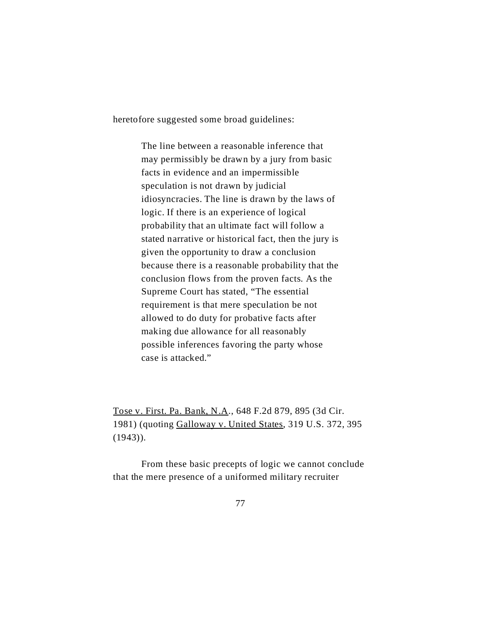heretofore suggested some broad guidelines:

The line between a reasonable inference that may permissibly be drawn by a jury from basic facts in evidence and an impermissible speculation is not drawn by judicial idiosyncracies. The line is drawn by the laws of logic. If there is an experience of logical probability that an ultimate fact will follow a stated narrative or historical fact, then the jury is given the opportunity to draw a conclusion because there is a reasonable probability that the conclusion flows from the proven facts. As the Supreme Court has stated, "The essential requirement is that mere speculation be not allowed to do duty for probative facts after making due allowance for all reasonably possible inferences favoring the party whose case is attacked."

Tose v. First. Pa. Bank, N.A., 648 F.2d 879, 895 (3d Cir. 1981) (quoting Galloway v. United States, 319 U.S. 372, 395  $(1943)$ .

From these basic precepts of logic we cannot conclude that the mere presence of a uniformed military recruiter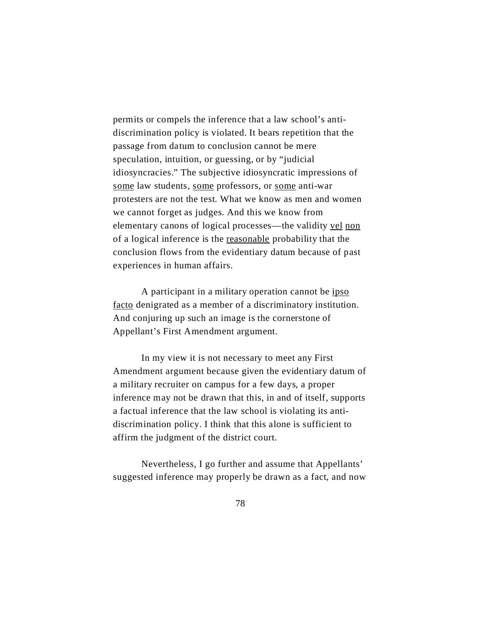permits or compels the inference that a law school's antidiscrimination policy is violated. It bears repetition that the passage from datum to conclusion cannot be mere speculation, intuition, or guessing, or by "judicial idiosyncracies." The subjective idiosyncratic impressions of some law students, some professors, or some anti-war protesters are not the test. What we know as men and women we cannot forget as judges. And this we know from elementary canons of logical processes—the validity vel non of a logical inference is the reasonable probability that the conclusion flows from the evidentiary datum because of past experiences in human affairs.

A participant in a military operation cannot be ipso facto denigrated as a member of a discriminatory institution. And conjuring up such an image is the cornerstone of Appellant's First Amendment argument.

In my view it is not necessary to meet any First Amendment argument because given the evidentiary datum of a military recruiter on campus for a few days, a proper inference may not be drawn that this, in and of itself, supports a factual inference that the law school is violating its antidiscrimination policy. I think that this alone is sufficient to affirm the judgment of the district court.

Nevertheless, I go further and assume that Appellants' suggested inference may properly be drawn as a fact, and now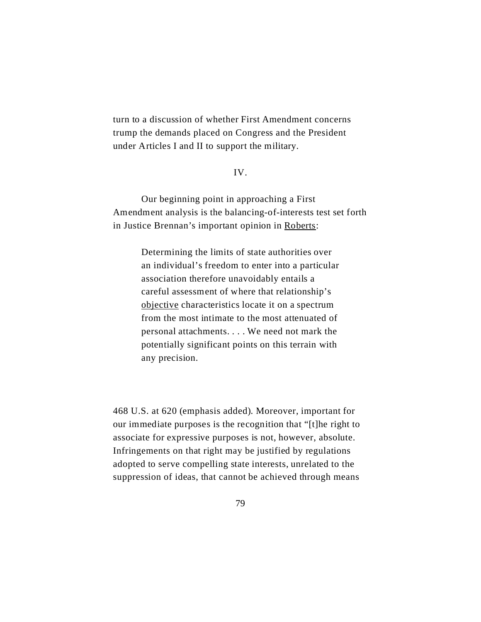turn to a discussion of whether First Amendment concerns trump the demands placed on Congress and the President under Articles I and II to support the military.

#### IV.

Our beginning point in approaching a First Amendment analysis is the balancing-of-interests test set forth in Justice Brennan's important opinion in Roberts:

> Determining the limits of state authorities over an individual's freedom to enter into a particular association therefore unavoidably entails a careful assessment of where that relationship's objective characteristics locate it on a spectrum from the most intimate to the most attenuated of personal attachments. . . . We need not mark the potentially significant points on this terrain with any precision.

468 U.S. at 620 (emphasis added). Moreover, important for our immediate purposes is the recognition that "[t]he right to associate for expressive purposes is not, however, absolute. Infringements on that right may be justified by regulations adopted to serve compelling state interests, unrelated to the suppression of ideas, that cannot be achieved through means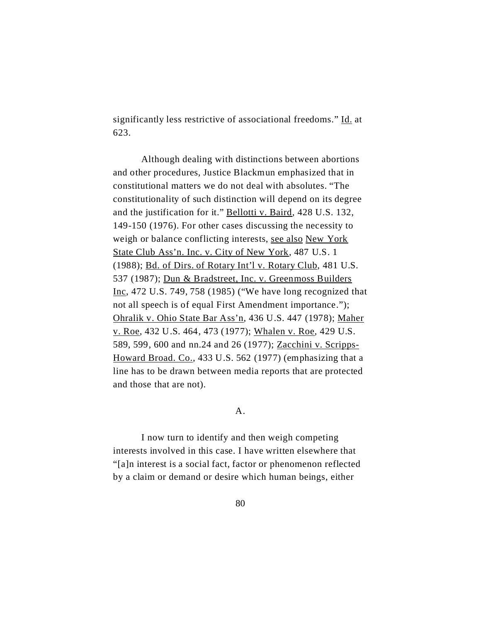significantly less restrictive of associational freedoms." Id. at 623.

Although dealing with distinctions between abortions and other procedures, Justice Blackmun emphasized that in constitutional matters we do not deal with absolutes. "The constitutionality of such distinction will depend on its degree and the justification for it." Bellotti v. Baird, 428 U.S. 132, 149-150 (1976). For other cases discussing the necessity to weigh or balance conflicting interests, see also New York State Club Ass'n. Inc. v. City of New York, 487 U.S. 1 (1988); Bd. of Dirs. of Rotary Int'l v. Rotary Club, 481 U.S. 537 (1987); Dun & Bradstreet, Inc. v. Greenmoss Builders Inc, 472 U.S. 749, 758 (1985) ("We have long recognized that not all speech is of equal First Amendment importance."); Ohralik v. Ohio State Bar Ass'n, 436 U.S. 447 (1978); Maher v. Roe, 432 U.S. 464, 473 (1977); Whalen v. Roe, 429 U.S. 589, 599, 600 and nn.24 and 26 (1977); Zacchini v. Scripps-Howard Broad. Co., 433 U.S. 562 (1977) (emphasizing that a line has to be drawn between media reports that are protected and those that are not).

### A.

I now turn to identify and then weigh competing interests involved in this case. I have written elsewhere that "[a]n interest is a social fact, factor or phenomenon reflected by a claim or demand or desire which human beings, either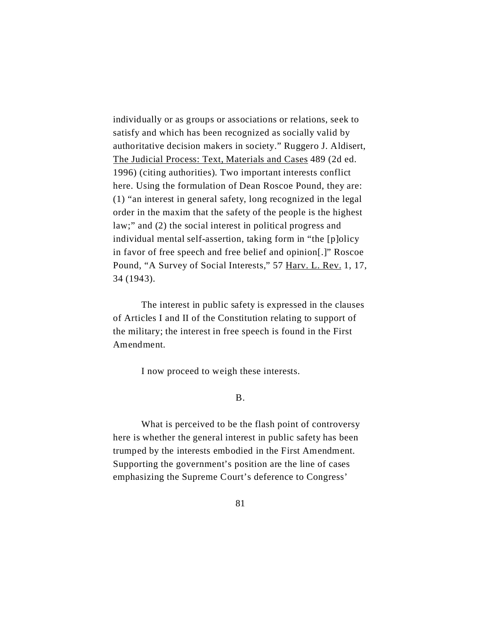individually or as groups or associations or relations, seek to satisfy and which has been recognized as socially valid by authoritative decision makers in society." Ruggero J. Aldisert, The Judicial Process: Text, Materials and Cases 489 (2d ed. 1996) (citing authorities). Two important interests conflict here. Using the formulation of Dean Roscoe Pound, they are: (1) "an interest in general safety, long recognized in the legal order in the maxim that the safety of the people is the highest law;" and (2) the social interest in political progress and individual mental self-assertion, taking form in "the [p]olicy in favor of free speech and free belief and opinion[.]" Roscoe Pound, "A Survey of Social Interests," 57 Harv. L. Rev. 1, 17, 34 (1943).

The interest in public safety is expressed in the clauses of Articles I and II of the Constitution relating to support of the military; the interest in free speech is found in the First Amendment.

I now proceed to weigh these interests.

# B.

What is perceived to be the flash point of controversy here is whether the general interest in public safety has been trumped by the interests embodied in the First Amendment. Supporting the government's position are the line of cases emphasizing the Supreme Court's deference to Congress'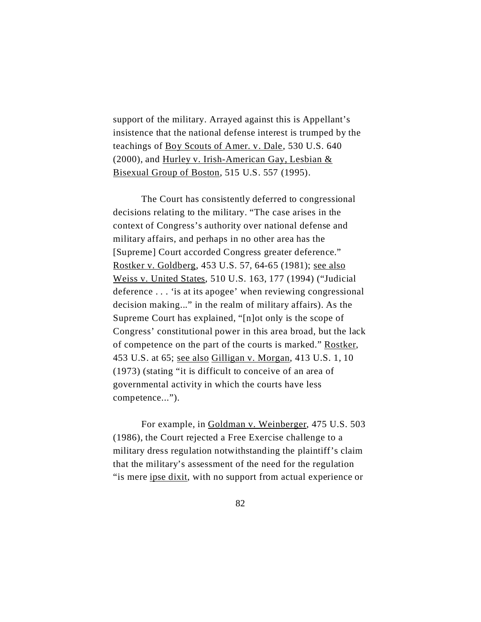support of the military. Arrayed against this is Appellant's insistence that the national defense interest is trumped by the teachings of Boy Scouts of Amer. v. Dale, 530 U.S. 640 (2000), and Hurley v. Irish-American Gay, Lesbian  $&$ Bisexual Group of Boston, 515 U.S. 557 (1995).

The Court has consistently deferred to congressional decisions relating to the military. "The case arises in the context of Congress's authority over national defense and military affairs, and perhaps in no other area has the [Supreme] Court accorded Congress greater deference." Rostker v. Goldberg, 453 U.S. 57*,* 64-65 (1981); see also Weiss v. United States, 510 U.S. 163, 177 (1994) ("Judicial deference . . . 'is at its apogee' when reviewing congressional decision making..." in the realm of military affairs). As the Supreme Court has explained, "[n]ot only is the scope of Congress' constitutional power in this area broad, but the lack of competence on the part of the courts is marked." Rostker, 453 U.S. at 65; see also Gilligan v. Morgan, 413 U.S. 1, 10 (1973) (stating "it is difficult to conceive of an area of governmental activity in which the courts have less competence...").

For example, in Goldman v. Weinberger, 475 U.S. 503 (1986), the Court rejected a Free Exercise challenge to a military dress regulation notwithstanding the plaintiff's claim that the military's assessment of the need for the regulation "is mere ipse dixit, with no support from actual experience or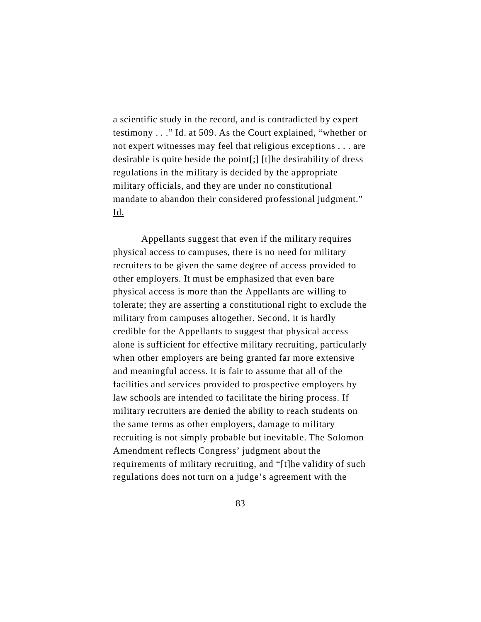a scientific study in the record, and is contradicted by expert testimony . . ." Id. at 509. As the Court explained, "whether or not expert witnesses may feel that religious exceptions . . . are desirable is quite beside the point[;] [t]he desirability of dress regulations in the military is decided by the appropriate military officials, and they are under no constitutional mandate to abandon their considered professional judgment." Id.

Appellants suggest that even if the military requires physical access to campuses, there is no need for military recruiters to be given the same degree of access provided to other employers. It must be emphasized that even bare physical access is more than the Appellants are willing to tolerate; they are asserting a constitutional right to exclude the military from campuses altogether. Second, it is hardly credible for the Appellants to suggest that physical access alone is sufficient for effective military recruiting, particularly when other employers are being granted far more extensive and meaningful access. It is fair to assume that all of the facilities and services provided to prospective employers by law schools are intended to facilitate the hiring process. If military recruiters are denied the ability to reach students on the same terms as other employers, damage to military recruiting is not simply probable but inevitable. The Solomon Amendment reflects Congress' judgment about the requirements of military recruiting, and "[t]he validity of such regulations does not turn on a judge's agreement with the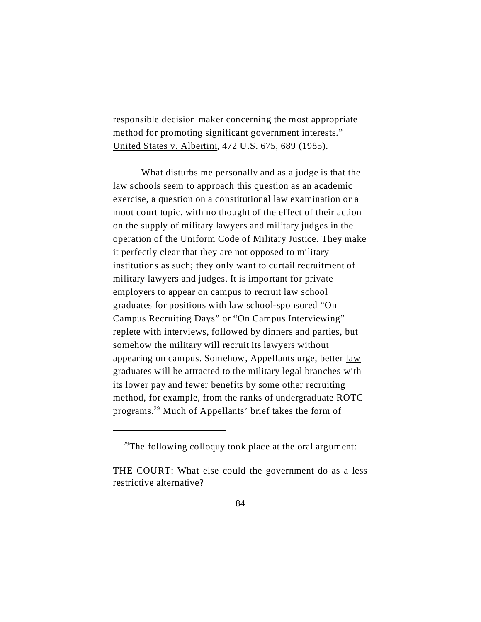responsible decision maker concerning the most appropriate method for promoting significant government interests." United States v. Albertini, 472 U.S. 675, 689 (1985).

What disturbs me personally and as a judge is that the law schools seem to approach this question as an academic exercise, a question on a constitutional law examination or a moot court topic, with no thought of the effect of their action on the supply of military lawyers and military judges in the operation of the Uniform Code of Military Justice. They make it perfectly clear that they are not opposed to military institutions as such; they only want to curtail recruitment of military lawyers and judges. It is important for private employers to appear on campus to recruit law school graduates for positions with law school-sponsored "On Campus Recruiting Days" or "On Campus Interviewing" replete with interviews, followed by dinners and parties, but somehow the military will recruit its lawyers without appearing on campus. Somehow, Appellants urge, better <u>law</u> graduates will be attracted to the military legal branches with its lower pay and fewer benefits by some other recruiting method, for example, from the ranks of undergraduate ROTC programs.<sup>29</sup> Much of Appellants' brief takes the form of

 $29$ The following colloquy took place at the oral argument:

THE COURT: What else could the government do as a less restrictive alternative?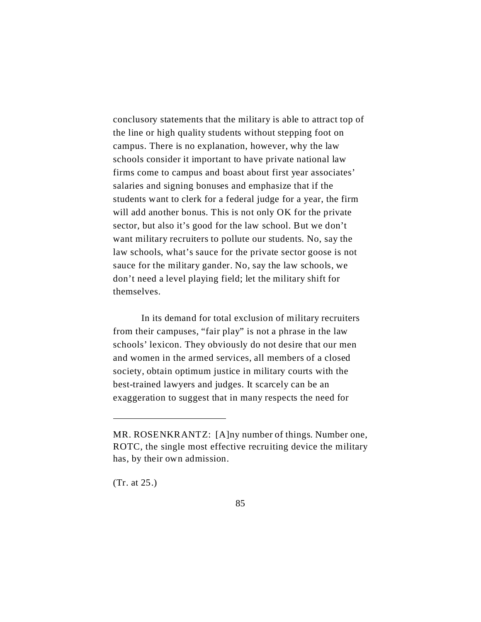conclusory statements that the military is able to attract top of the line or high quality students without stepping foot on campus. There is no explanation, however, why the law schools consider it important to have private national law firms come to campus and boast about first year associates' salaries and signing bonuses and emphasize that if the students want to clerk for a federal judge for a year, the firm will add another bonus. This is not only OK for the private sector, but also it's good for the law school. But we don't want military recruiters to pollute our students. No, say the law schools, what's sauce for the private sector goose is not sauce for the military gander. No, say the law schools, we don't need a level playing field; let the military shift for themselves.

In its demand for total exclusion of military recruiters from their campuses, "fair play" is not a phrase in the law schools' lexicon. They obviously do not desire that our men and women in the armed services, all members of a closed society, obtain optimum justice in military courts with the best-trained lawyers and judges. It scarcely can be an exaggeration to suggest that in many respects the need for

(Tr. at 25.)

MR. ROSENKRANTZ: [A]ny number of things. Number one, ROTC, the single most effective recruiting device the military has, by their own admission.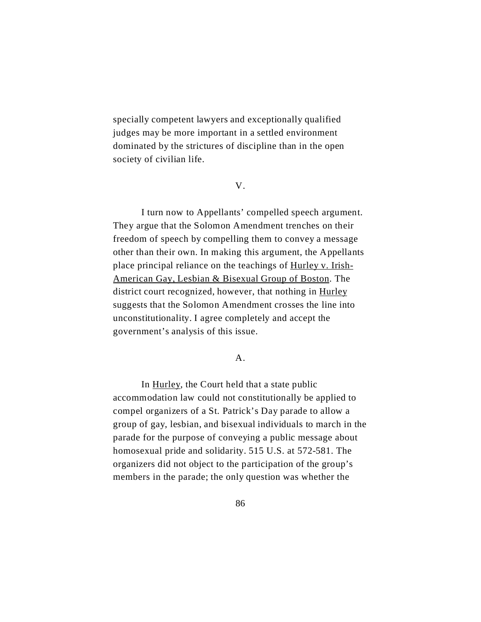specially competent lawyers and exceptionally qualified judges may be more important in a settled environment dominated by the strictures of discipline than in the open society of civilian life.

V.

I turn now to Appellants' compelled speech argument. They argue that the Solomon Amendment trenches on their freedom of speech by compelling them to convey a message other than their own. In making this argument, the Appellants place principal reliance on the teachings of Hurley v. Irish-American Gay, Lesbian & Bisexual Group of Boston. The district court recognized, however, that nothing in Hurley suggests that the Solomon Amendment crosses the line into unconstitutionality. I agree completely and accept the government's analysis of this issue.

A.

In Hurley, the Court held that a state public accommodation law could not constitutionally be applied to compel organizers of a St. Patrick's Day parade to allow a group of gay, lesbian, and bisexual individuals to march in the parade for the purpose of conveying a public message about homosexual pride and solidarity. 515 U.S. at 572-581. The organizers did not object to the participation of the group's members in the parade; the only question was whether the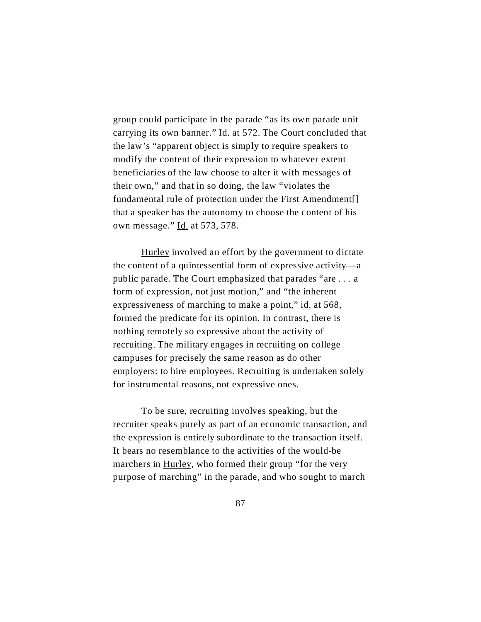group could participate in the parade "as its own parade unit carrying its own banner." Id. at 572. The Court concluded that the law's "apparent object is simply to require speakers to modify the content of their expression to whatever extent beneficiaries of the law choose to alter it with messages of their own," and that in so doing, the law "violates the fundamental rule of protection under the First Amendment[] that a speaker has the autonomy to choose the content of his own message." Id. at 573, 578.

Hurley involved an effort by the government to dictate the content of a quintessential form of expressive activity—a public parade. The Court emphasized that parades "are . . . a form of expression, not just motion," and "the inherent expressiveness of marching to make a point," id. at 568, formed the predicate for its opinion. In contrast, there is nothing remotely so expressive about the activity of recruiting. The military engages in recruiting on college campuses for precisely the same reason as do other employers: to hire employees. Recruiting is undertaken solely for instrumental reasons, not expressive ones.

To be sure, recruiting involves speaking, but the recruiter speaks purely as part of an economic transaction, and the expression is entirely subordinate to the transaction itself. It bears no resemblance to the activities of the would-be marchers in Hurley, who formed their group "for the very purpose of marching" in the parade, and who sought to march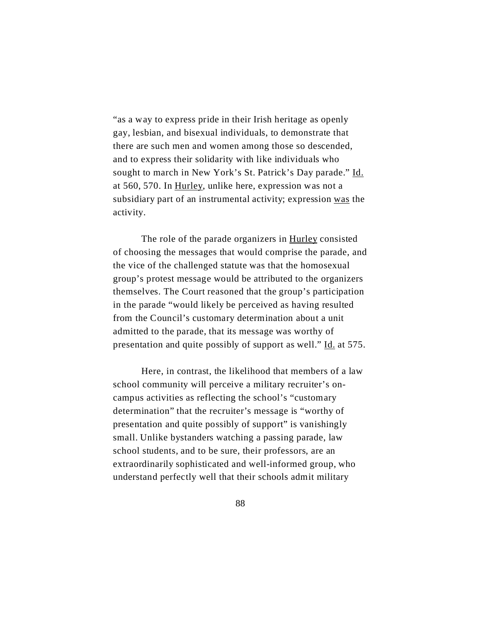"as a way to express pride in their Irish heritage as openly gay, lesbian, and bisexual individuals, to demonstrate that there are such men and women among those so descended, and to express their solidarity with like individuals who sought to march in New York's St. Patrick's Day parade." Id. at 560, 570. In Hurley, unlike here, expression was not a subsidiary part of an instrumental activity; expression was the activity.

The role of the parade organizers in Hurley consisted of choosing the messages that would comprise the parade, and the vice of the challenged statute was that the homosexual group's protest message would be attributed to the organizers themselves. The Court reasoned that the group's participation in the parade "would likely be perceived as having resulted from the Council's customary determination about a unit admitted to the parade, that its message was worthy of presentation and quite possibly of support as well." Id. at 575.

Here, in contrast, the likelihood that members of a law school community will perceive a military recruiter's oncampus activities as reflecting the school's "customary determination" that the recruiter's message is "worthy of presentation and quite possibly of support" is vanishingly small. Unlike bystanders watching a passing parade, law school students, and to be sure, their professors, are an extraordinarily sophisticated and well-informed group, who understand perfectly well that their schools admit military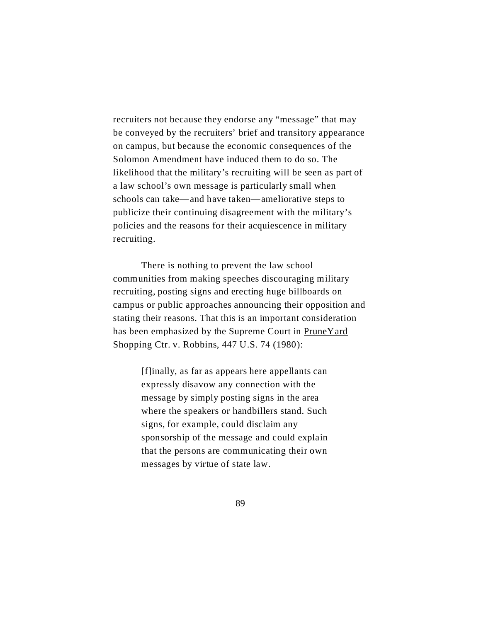recruiters not because they endorse any "message" that may be conveyed by the recruiters' brief and transitory appearance on campus, but because the economic consequences of the Solomon Amendment have induced them to do so. The likelihood that the military's recruiting will be seen as part of a law school's own message is particularly small when schools can take—and have taken—ameliorative steps to publicize their continuing disagreement with the military's policies and the reasons for their acquiescence in military recruiting.

There is nothing to prevent the law school communities from making speeches discouraging military recruiting, posting signs and erecting huge billboards on campus or public approaches announcing their opposition and stating their reasons. That this is an important consideration has been emphasized by the Supreme Court in PruneYard Shopping Ctr. v. Robbins, 447 U.S. 74 (1980):

> [f]inally, as far as appears here appellants can expressly disavow any connection with the message by simply posting signs in the area where the speakers or handbillers stand. Such signs, for example, could disclaim any sponsorship of the message and could explain that the persons are communicating their own messages by virtue of state law.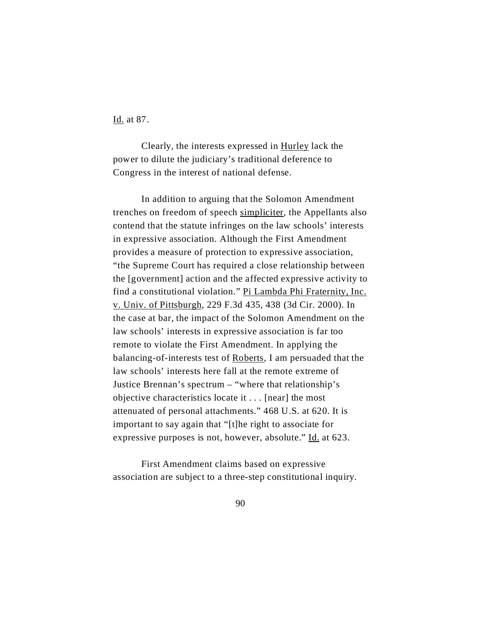Id. at 87.

Clearly, the interests expressed in Hurley lack the power to dilute the judiciary's traditional deference to Congress in the interest of national defense.

In addition to arguing that the Solomon Amendment trenches on freedom of speech simpliciter, the Appellants also contend that the statute infringes on the law schools' interests in expressive association. Although the First Amendment provides a measure of protection to expressive association, "the Supreme Court has required a close relationship between the [government] action and the affected expressive activity to find a constitutional violation." Pi Lambda Phi Fraternity, Inc. v. Univ. of Pittsburgh, 229 F.3d 435, 438 (3d Cir. 2000). In the case at bar, the impact of the Solomon Amendment on the law schools' interests in expressive association is far too remote to violate the First Amendment. In applying the balancing-of-interests test of Roberts, I am persuaded that the law schools' interests here fall at the remote extreme of Justice Brennan's spectrum – "where that relationship's objective characteristics locate it . . . [near] the most attenuated of personal attachments." 468 U.S. at 620. It is important to say again that "[t]he right to associate for expressive purposes is not, however, absolute." Id. at 623.

First Amendment claims based on expressive association are subject to a three-step constitutional inquiry.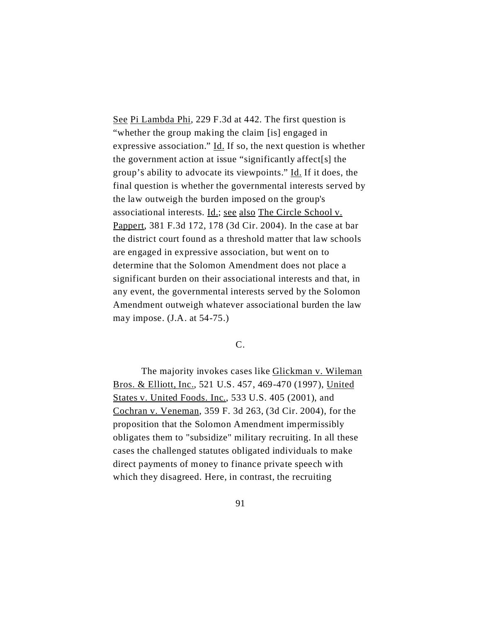See Pi Lambda Phi, 229 F.3d at 442. The first question is "whether the group making the claim [is] engaged in expressive association." Id. If so, the next question is whether the government action at issue "significantly affect[s] the group's ability to advocate its viewpoints." Id. If it does, the final question is whether the governmental interests served by the law outweigh the burden imposed on the group's associational interests. Id.; see also The Circle School v. Pappert, 381 F.3d 172, 178 (3d Cir. 2004). In the case at bar the district court found as a threshold matter that law schools are engaged in expressive association, but went on to determine that the Solomon Amendment does not place a significant burden on their associational interests and that, in any event, the governmental interests served by the Solomon Amendment outweigh whatever associational burden the law may impose. (J.A. at 54-75.)

# C.

The majority invokes cases like Glickman v. Wileman Bros. & Elliott, Inc., 521 U.S. 457, 469-470 (1997), United States v. United Foods. Inc., 533 U.S. 405 (2001), and Cochran v. Veneman, 359 F. 3d 263, (3d Cir. 2004), for the proposition that the Solomon Amendment impermissibly obligates them to "subsidize" military recruiting. In all these cases the challenged statutes obligated individuals to make direct payments of money to finance private speech with which they disagreed. Here, in contrast, the recruiting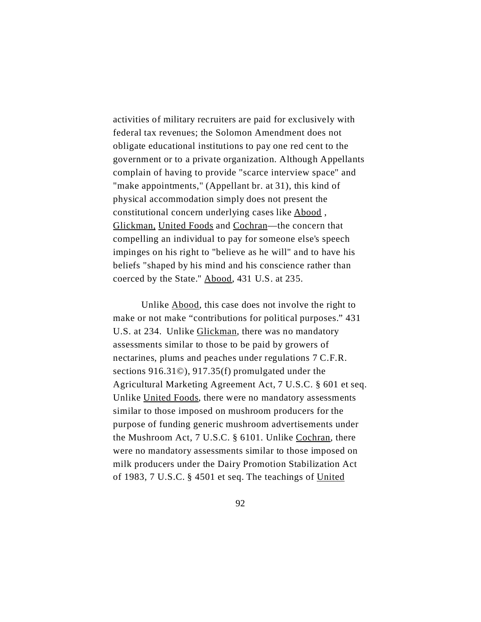activities of military recruiters are paid for exclusively with federal tax revenues; the Solomon Amendment does not obligate educational institutions to pay one red cent to the government or to a private organization. Although Appellants complain of having to provide "scarce interview space" and "make appointments," (Appellant br. at 31), this kind of physical accommodation simply does not present the constitutional concern underlying cases like Abood , Glickman, United Foods and Cochran—the concern that compelling an individual to pay for someone else's speech impinges on his right to "believe as he will" and to have his beliefs "shaped by his mind and his conscience rather than coerced by the State." Abood, 431 U.S. at 235.

Unlike Abood, this case does not involve the right to make or not make "contributions for political purposes." 431 U.S. at 234. Unlike Glickman, there was no mandatory assessments similar to those to be paid by growers of nectarines, plums and peaches under regulations 7 C.F.R. sections 916.31©), 917.35(f) promulgated under the Agricultural Marketing Agreement Act, 7 U.S.C. § 601 et seq. Unlike United Foods, there were no mandatory assessments similar to those imposed on mushroom producers for the purpose of funding generic mushroom advertisements under the Mushroom Act, 7 U.S.C. § 6101. Unlike Cochran, there were no mandatory assessments similar to those imposed on milk producers under the Dairy Promotion Stabilization Act of 1983, 7 U.S.C. § 4501 et seq. The teachings of United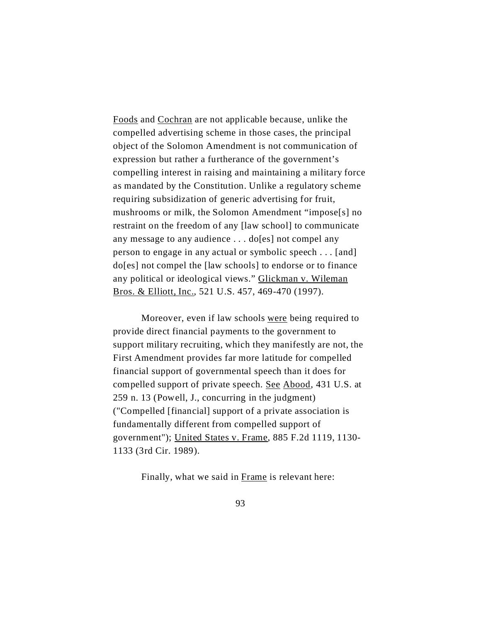Foods and Cochran are not applicable because, unlike the compelled advertising scheme in those cases, the principal object of the Solomon Amendment is not communication of expression but rather a furtherance of the government's compelling interest in raising and maintaining a military force as mandated by the Constitution. Unlike a regulatory scheme requiring subsidization of generic advertising for fruit, mushrooms or milk, the Solomon Amendment "impose[s] no restraint on the freedom of any [law school] to communicate any message to any audience . . . do[es] not compel any person to engage in any actual or symbolic speech . . . [and] do[es] not compel the [law schools] to endorse or to finance any political or ideological views." Glickman v. Wileman Bros. & Elliott, Inc., 521 U.S. 457, 469-470 (1997).

Moreover, even if law schools were being required to provide direct financial payments to the government to support military recruiting, which they manifestly are not, the First Amendment provides far more latitude for compelled financial support of governmental speech than it does for compelled support of private speech. See Abood, 431 U.S. at 259 n. 13 (Powell, J., concurring in the judgment) ("Compelled [financial] support of a private association is fundamentally different from compelled support of government"); United States v. Frame, 885 F.2d 1119, 1130- 1133 (3rd Cir. 1989).

Finally, what we said in Frame is relevant here: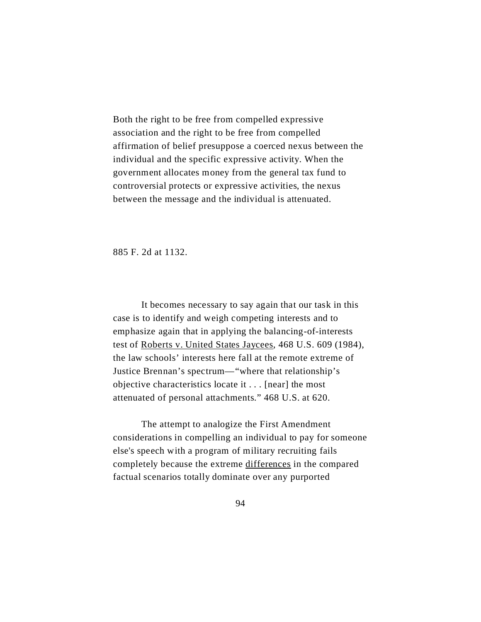Both the right to be free from compelled expressive association and the right to be free from compelled affirmation of belief presuppose a coerced nexus between the individual and the specific expressive activity. When the government allocates money from the general tax fund to controversial protects or expressive activities, the nexus between the message and the individual is attenuated.

885 F. 2d at 1132.

It becomes necessary to say again that our task in this case is to identify and weigh competing interests and to emphasize again that in applying the balancing-of-interests test of Roberts v. United States Jaycees, 468 U.S. 609 (1984), the law schools' interests here fall at the remote extreme of Justice Brennan's spectrum—"where that relationship's objective characteristics locate it . . . [near] the most attenuated of personal attachments." 468 U.S. at 620.

The attempt to analogize the First Amendment considerations in compelling an individual to pay for someone else's speech with a program of military recruiting fails completely because the extreme differences in the compared factual scenarios totally dominate over any purported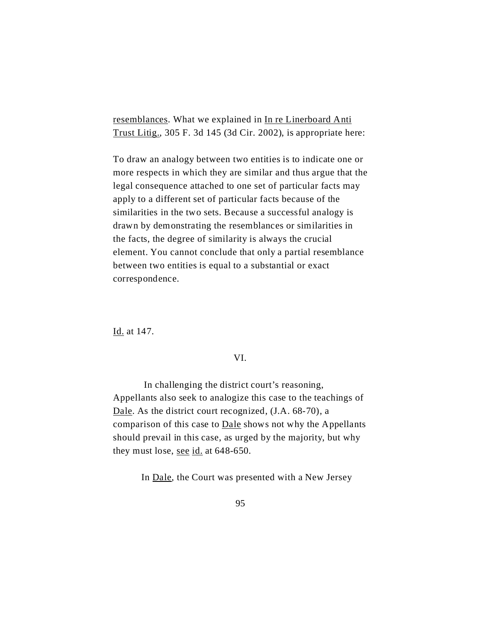resemblances. What we explained in In re Linerboard Anti Trust Litig., 305 F. 3d 145 (3d Cir. 2002), is appropriate here:

To draw an analogy between two entities is to indicate one or more respects in which they are similar and thus argue that the legal consequence attached to one set of particular facts may apply to a different set of particular facts because of the similarities in the two sets. Because a successful analogy is drawn by demonstrating the resemblances or similarities in the facts, the degree of similarity is always the crucial element. You cannot conclude that only a partial resemblance between two entities is equal to a substantial or exact correspondence.

Id. at 147.

### VI.

In challenging the district court's reasoning, Appellants also seek to analogize this case to the teachings of Dale. As the district court recognized, (J.A. 68-70), a comparison of this case to Dale shows not why the Appellants should prevail in this case, as urged by the majority, but why they must lose, see  $id$  at 648-650.

In Dale, the Court was presented with a New Jersey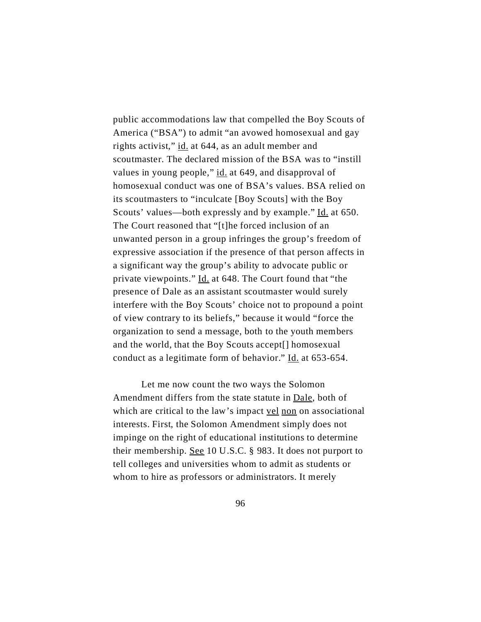public accommodations law that compelled the Boy Scouts of America ("BSA") to admit "an avowed homosexual and gay rights activist," id. at 644, as an adult member and scoutmaster. The declared mission of the BSA was to "instill values in young people," id. at 649, and disapproval of homosexual conduct was one of BSA's values. BSA relied on its scoutmasters to "inculcate [Boy Scouts] with the Boy Scouts' values—both expressly and by example." Id. at 650. The Court reasoned that "[t]he forced inclusion of an unwanted person in a group infringes the group's freedom of expressive association if the presence of that person affects in a significant way the group's ability to advocate public or private viewpoints." Id. at 648. The Court found that "the presence of Dale as an assistant scoutmaster would surely interfere with the Boy Scouts' choice not to propound a point of view contrary to its beliefs," because it would "force the organization to send a message, both to the youth members and the world, that the Boy Scouts accept[] homosexual conduct as a legitimate form of behavior." Id. at 653-654.

Let me now count the two ways the Solomon Amendment differs from the state statute in Dale, both of which are critical to the law's impact vel non on associational interests. First, the Solomon Amendment simply does not impinge on the right of educational institutions to determine their membership. See 10 U.S.C. § 983. It does not purport to tell colleges and universities whom to admit as students or whom to hire as professors or administrators. It merely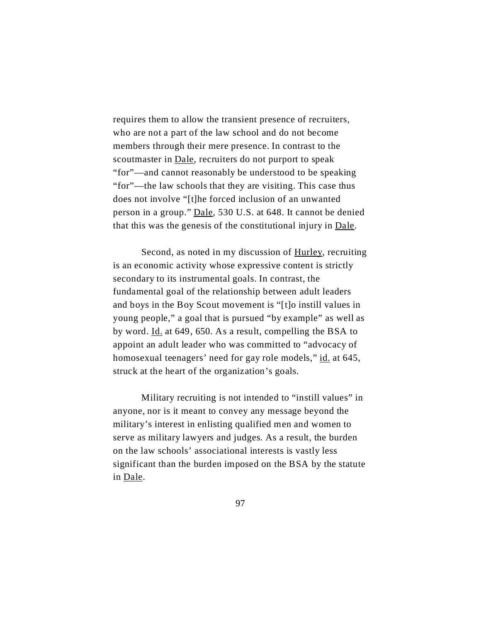requires them to allow the transient presence of recruiters, who are not a part of the law school and do not become members through their mere presence. In contrast to the scoutmaster in <u>Dale</u>, recruiters do not purport to speak "for"—and cannot reasonably be understood to be speaking "for"—the law schools that they are visiting. This case thus does not involve "[t]he forced inclusion of an unwanted person in a group." Dale, 530 U.S. at 648. It cannot be denied that this was the genesis of the constitutional injury in Dale.

Second, as noted in my discussion of Hurley, recruiting is an economic activity whose expressive content is strictly secondary to its instrumental goals. In contrast, the fundamental goal of the relationship between adult leaders and boys in the Boy Scout movement is "[t]o instill values in young people," a goal that is pursued "by example" as well as by word. Id. at 649, 650. As a result, compelling the BSA to appoint an adult leader who was committed to "advocacy of homosexual teenagers' need for gay role models," id. at 645, struck at the heart of the organization's goals.

Military recruiting is not intended to "instill values" in anyone, nor is it meant to convey any message beyond the military's interest in enlisting qualified men and women to serve as military lawyers and judges. As a result, the burden on the law schools' associational interests is vastly less significant than the burden imposed on the BSA by the statute in Dale.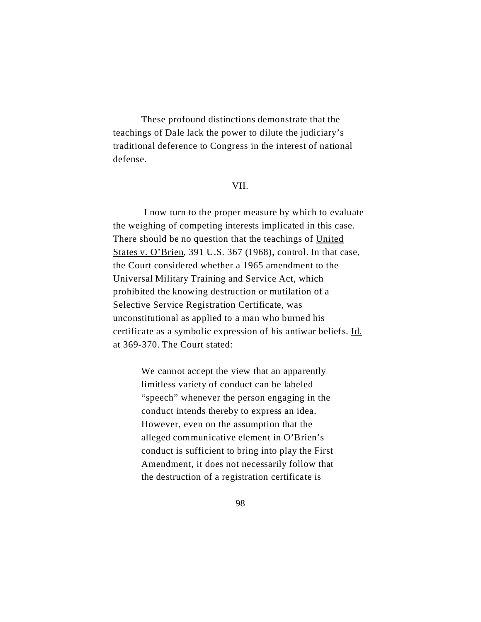These profound distinctions demonstrate that the teachings of Dale lack the power to dilute the judiciary's traditional deference to Congress in the interest of national defense.

### VII.

 I now turn to the proper measure by which to evaluate the weighing of competing interests implicated in this case. There should be no question that the teachings of United States v. O'Brien, 391 U.S. 367 (1968), control. In that case, the Court considered whether a 1965 amendment to the Universal Military Training and Service Act, which prohibited the knowing destruction or mutilation of a Selective Service Registration Certificate, was unconstitutional as applied to a man who burned his certificate as a symbolic expression of his antiwar beliefs. Id. at 369-370. The Court stated:

> We cannot accept the view that an apparently limitless variety of conduct can be labeled "speech" whenever the person engaging in the conduct intends thereby to express an idea. However, even on the assumption that the alleged communicative element in O'Brien's conduct is sufficient to bring into play the First Amendment, it does not necessarily follow that the destruction of a registration certificate is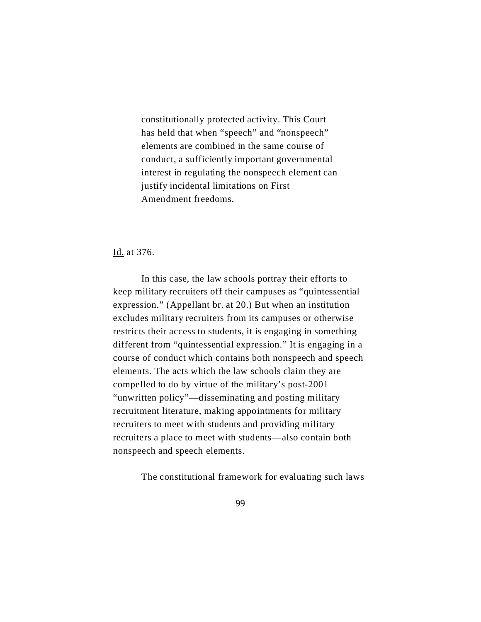constitutionally protected activity. This Court has held that when "speech" and "nonspeech" elements are combined in the same course of conduct, a sufficiently important governmental interest in regulating the nonspeech element can justify incidental limitations on First Amendment freedoms.

## Id. at 376.

In this case, the law schools portray their efforts to keep military recruiters off their campuses as "quintessential expression." (Appellant br. at 20.) But when an institution excludes military recruiters from its campuses or otherwise restricts their access to students, it is engaging in something different from "quintessential expression." It is engaging in a course of conduct which contains both nonspeech and speech elements. The acts which the law schools claim they are compelled to do by virtue of the military's post-2001 "unwritten policy"—disseminating and posting military recruitment literature, making appointments for military recruiters to meet with students and providing military recruiters a place to meet with students—also contain both nonspeech and speech elements.

The constitutional framework for evaluating such laws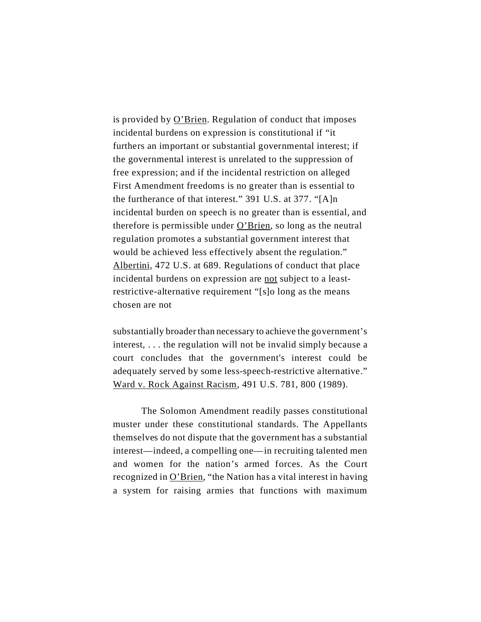is provided by  $O'$ Brien. Regulation of conduct that imposes incidental burdens on expression is constitutional if "it furthers an important or substantial governmental interest; if the governmental interest is unrelated to the suppression of free expression; and if the incidental restriction on alleged First Amendment freedoms is no greater than is essential to the furtherance of that interest." 391 U.S. at 377. "[A]n incidental burden on speech is no greater than is essential, and therefore is permissible under  $O'$ Brien, so long as the neutral regulation promotes a substantial government interest that would be achieved less effectively absent the regulation." Albertini, 472 U.S. at 689. Regulations of conduct that place incidental burdens on expression are not subject to a leastrestrictive-alternative requirement "[s]o long as the means chosen are not

substantially broaderthan necessary to achieve the government's interest, . . . the regulation will not be invalid simply because a court concludes that the government's interest could be adequately served by some less-speech-restrictive alternative." Ward v. Rock Against Racism, 491 U.S. 781, 800 (1989).

The Solomon Amendment readily passes constitutional muster under these constitutional standards. The Appellants themselves do not dispute that the government has a substantial interest—indeed, a compelling one—in recruiting talented men and women for the nation's armed forces. As the Court recognized in O'Brien, "the Nation has a vital interest in having a system for raising armies that functions with maximum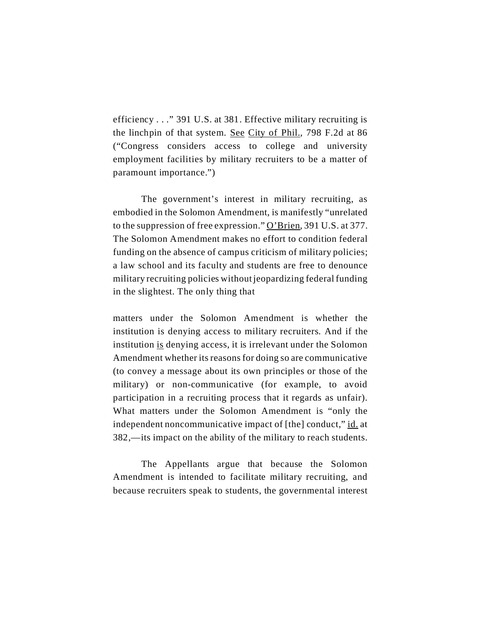efficiency . . ." 391 U.S. at 381. Effective military recruiting is the linchpin of that system. See City of Phil., 798 F.2d at 86 ("Congress considers access to college and university employment facilities by military recruiters to be a matter of paramount importance.")

The government's interest in military recruiting, as embodied in the Solomon Amendment, is manifestly "unrelated to the suppression of free expression." O'Brien, 391 U.S. at 377. The Solomon Amendment makes no effort to condition federal funding on the absence of campus criticism of military policies; a law school and its faculty and students are free to denounce military recruiting policies without jeopardizing federal funding in the slightest. The only thing that

matters under the Solomon Amendment is whether the institution is denying access to military recruiters. And if the institution is denying access, it is irrelevant under the Solomon Amendment whether its reasons for doing so are communicative (to convey a message about its own principles or those of the military) or non-communicative (for example, to avoid participation in a recruiting process that it regards as unfair). What matters under the Solomon Amendment is "only the independent noncommunicative impact of [the] conduct," id. at 382,—its impact on the ability of the military to reach students.

The Appellants argue that because the Solomon Amendment is intended to facilitate military recruiting, and because recruiters speak to students, the governmental interest